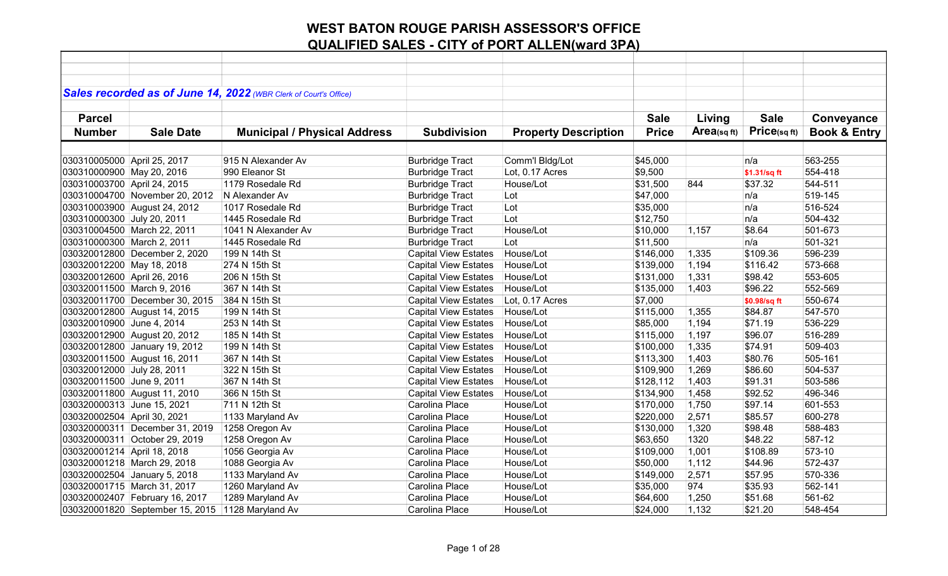|                             |                                 | Sales recorded as of June 14, 2022 (WBR Clerk of Court's Office) |                             |                             |              |            |              |                         |
|-----------------------------|---------------------------------|------------------------------------------------------------------|-----------------------------|-----------------------------|--------------|------------|--------------|-------------------------|
|                             |                                 |                                                                  |                             |                             |              |            |              |                         |
| <b>Parcel</b>               |                                 |                                                                  |                             |                             | <b>Sale</b>  | Living     | <b>Sale</b>  | Conveyance              |
| <b>Number</b>               | <b>Sale Date</b>                | <b>Municipal / Physical Address</b>                              | <b>Subdivision</b>          | <b>Property Description</b> | <b>Price</b> | Area(sqft) | Price(sqft)  | <b>Book &amp; Entry</b> |
|                             |                                 |                                                                  |                             |                             |              |            |              |                         |
| 030310005000 April 25, 2017 |                                 | 915 N Alexander Av                                               | <b>Burbridge Tract</b>      | Comm'l Bldg/Lot             | \$45,000     |            | n/a          | 563-255                 |
| 030310000900 May 20, 2016   |                                 | 990 Eleanor St                                                   | <b>Burbridge Tract</b>      | Lot, 0.17 Acres             | \$9,500      |            | \$1.31/sq ft | 554-418                 |
| 030310003700 April 24, 2015 |                                 | 1179 Rosedale Rd                                                 | <b>Burbridge Tract</b>      | House/Lot                   | \$31,500     | 844        | \$37.32      | 544-511                 |
|                             | 030310004700 November 20, 2012  | N Alexander Av                                                   | <b>Burbridge Tract</b>      | Lot                         | \$47,000     |            | n/a          | 519-145                 |
|                             | 030310003900 August 24, 2012    | 1017 Rosedale Rd                                                 | <b>Burbridge Tract</b>      | Lot                         | \$35,000     |            | n/a          | 516-524                 |
| 030310000300 July 20, 2011  |                                 | 1445 Rosedale Rd                                                 | <b>Burbridge Tract</b>      | Lot                         | \$12,750     |            | n/a          | 504-432                 |
|                             | 030310004500 March 22, 2011     | 1041 N Alexander Av                                              | <b>Burbridge Tract</b>      | House/Lot                   | \$10,000     | 1,157      | \$8.64       | 501-673                 |
| 030310000300 March 2, 2011  |                                 | 1445 Rosedale Rd                                                 | <b>Burbridge Tract</b>      | Lot                         | \$11,500     |            | n/a          | 501-321                 |
|                             | 030320012800 December 2, 2020   | 199 N 14th St                                                    | <b>Capital View Estates</b> | House/Lot                   | \$146,000    | 1,335      | \$109.36     | 596-239                 |
| 030320012200 May 18, 2018   |                                 | 274 N 15th St                                                    | <b>Capital View Estates</b> | House/Lot                   | \$139,000    | 1,194      | \$116.42     | 573-668                 |
| 030320012600 April 26, 2016 |                                 | 206 N 15th St                                                    | <b>Capital View Estates</b> | House/Lot                   | \$131,000    | 1,331      | \$98.42      | 553-605                 |
| 030320011500 March 9, 2016  |                                 | 367 N 14th St                                                    | <b>Capital View Estates</b> | House/Lot                   | \$135,000    | 1,403      | \$96.22      | 552-569                 |
|                             | 030320011700 December 30, 2015  | 384 N 15th St                                                    | <b>Capital View Estates</b> | Lot, 0.17 Acres             | \$7,000      |            | \$0.98/sq ft | 550-674                 |
|                             | 030320012800 August 14, 2015    | 199 N 14th St                                                    | <b>Capital View Estates</b> | House/Lot                   | \$115,000    | 1,355      | \$84.87      | 547-570                 |
| 030320010900 June 4, 2014   |                                 | 253 N 14th St                                                    | Capital View Estates        | House/Lot                   | \$85,000     | 1,194      | \$71.19      | 536-229                 |
|                             | 030320012900 August 20, 2012    | 185 N 14th St                                                    | <b>Capital View Estates</b> | House/Lot                   | \$115,000    | 1,197      | \$96.07      | 516-289                 |
|                             | 030320012800 January 19, 2012   | 199 N 14th St                                                    | <b>Capital View Estates</b> | House/Lot                   | \$100,000    | 1,335      | \$74.91      | 509-403                 |
|                             | 030320011500 August 16, 2011    | 367 N 14th St                                                    | <b>Capital View Estates</b> | House/Lot                   | \$113,300    | 1,403      | \$80.76      | 505-161                 |
| 030320012000 July 28, 2011  |                                 | 322 N 15th St                                                    | <b>Capital View Estates</b> | House/Lot                   | \$109,900    | 1,269      | \$86.60      | 504-537                 |
| 030320011500 June 9, 2011   |                                 | 367 N 14th St                                                    | <b>Capital View Estates</b> | House/Lot                   | \$128,112    | 1,403      | \$91.31      | 503-586                 |
|                             | 030320011800 August 11, 2010    | 366 N 15th St                                                    | <b>Capital View Estates</b> | House/Lot                   | \$134,900    | 1,458      | \$92.52      | 496-346                 |
| 030320000313 June 15, 2021  |                                 | 711 N 12th St                                                    | Carolina Place              | House/Lot                   | \$170,000    | 1,750      | \$97.14      | 601-553                 |
| 030320002504 April 30, 2021 |                                 | 1133 Maryland Av                                                 | Carolina Place              | House/Lot                   | \$220,000    | 2,571      | \$85.57      | 600-278                 |
|                             | 030320000311 December 31, 2019  | 1258 Oregon Av                                                   | Carolina Place              | House/Lot                   | \$130,000    | 1,320      | \$98.48      | 588-483                 |
|                             | 030320000311 October 29, 2019   | 1258 Oregon Av                                                   | Carolina Place              | House/Lot                   | \$63,650     | 1320       | \$48.22      | 587-12                  |
| 030320001214 April 18, 2018 |                                 | 1056 Georgia Av                                                  | Carolina Place              | House/Lot                   | \$109,000    | 1,001      | \$108.89     | 573-10                  |
|                             | 030320001218   March 29, 2018   | 1088 Georgia Av                                                  | Carolina Place              | House/Lot                   | \$50,000     | 1,112      | \$44.96      | 572-437                 |
|                             | 030320002504 January 5, 2018    | 1133 Maryland Av                                                 | Carolina Place              | House/Lot                   | \$149,000    | 2,571      | \$57.95      | 570-336                 |
|                             | 030320001715 March 31, 2017     | 1260 Maryland Av                                                 | Carolina Place              | House/Lot                   | \$35,000     | 974        | \$35.93      | 562-141                 |
|                             | 030320002407 February 16, 2017  | 1289 Maryland Av                                                 | Carolina Place              | House/Lot                   | \$64,600     | 1,250      | \$51.68      | 561-62                  |
|                             | 030320001820 September 15, 2015 | 1128 Maryland Av                                                 | Carolina Place              | House/Lot                   | \$24,000     | 1,132      | \$21.20      | 548-454                 |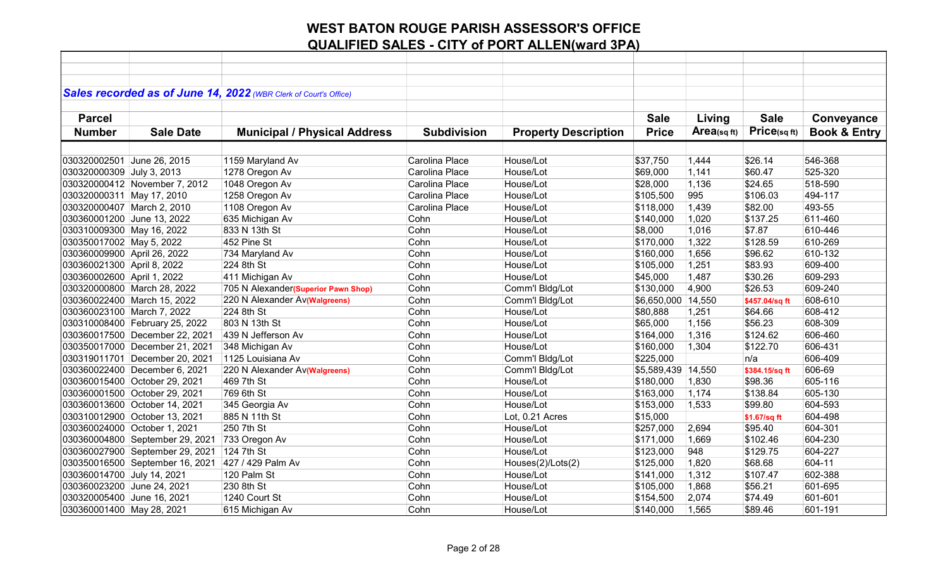|                             |                                 | Sales recorded as of June 14, 2022 (WBR Clerk of Court's Office) |                    |                             |                    |             |                |                         |
|-----------------------------|---------------------------------|------------------------------------------------------------------|--------------------|-----------------------------|--------------------|-------------|----------------|-------------------------|
|                             |                                 |                                                                  |                    |                             |                    |             |                |                         |
| <b>Parcel</b>               |                                 |                                                                  |                    |                             | <b>Sale</b>        | Living      | <b>Sale</b>    | Conveyance              |
| <b>Number</b>               | <b>Sale Date</b>                | <b>Municipal / Physical Address</b>                              | <b>Subdivision</b> | <b>Property Description</b> | <b>Price</b>       | Area(sq ft) | Price(sqft)    | <b>Book &amp; Entry</b> |
|                             |                                 |                                                                  |                    |                             |                    |             |                |                         |
| 030320002501 June 26, 2015  |                                 | 1159 Maryland Av                                                 | Carolina Place     | House/Lot                   | \$37,750           | 1,444       | \$26.14        | 546-368                 |
| 030320000309 July 3, 2013   |                                 | 1278 Oregon Av                                                   | Carolina Place     | House/Lot                   | \$69,000           | 1,141       | \$60.47        | 525-320                 |
|                             | 030320000412 November 7, 2012   | 1048 Oregon Av                                                   | Carolina Place     | House/Lot                   | \$28,000           | 1,136       | \$24.65        | 518-590                 |
| 030320000311 May 17, 2010   |                                 | 1258 Oregon Av                                                   | Carolina Place     | House/Lot                   | \$105,500          | 995         | \$106.03       | 494-117                 |
| 030320000407 March 2, 2010  |                                 | 1108 Oregon Av                                                   | Carolina Place     | House/Lot                   | \$118,000          | 1,439       | \$82.00        | 493-55                  |
| 030360001200 June 13, 2022  |                                 | 635 Michigan Av                                                  | Cohn               | House/Lot                   | \$140,000          | 1,020       | \$137.25       | 611-460                 |
| 030310009300 May 16, 2022   |                                 | 833 N 13th St                                                    | Cohn               | House/Lot                   | \$8,000            | 1,016       | \$7.87         | 610-446                 |
| 030350017002 May 5, 2022    |                                 | 452 Pine St                                                      | Cohn               | House/Lot                   | \$170,000          | 1,322       | \$128.59       | 610-269                 |
| 030360009900 April 26, 2022 |                                 | 734 Maryland Av                                                  | Cohn               | House/Lot                   | \$160,000          | 1,656       | \$96.62        | 610-132                 |
| 030360021300 April 8, 2022  |                                 | 224 8th St                                                       | Cohn               | House/Lot                   | \$105,000          | 1,251       | \$83.93        | 609-400                 |
| 030360002600 April 1, 2022  |                                 | 411 Michigan Av                                                  | Cohn               | House/Lot                   | \$45,000           | 1,487       | \$30.26        | 609-293                 |
|                             | 030320000800 March 28, 2022     | 705 N Alexander(Superior Pawn Shop)                              | Cohn               | Comm'l Bldg/Lot             | \$130,000          | 4,900       | \$26.53        | 609-240                 |
|                             | 030360022400 March 15, 2022     | 220 N Alexander Av(Walgreens)                                    | Cohn               | Comm'l Bldg/Lot             | \$6,650,000 14,550 |             | \$457.04/sq ft | 608-610                 |
| 030360023100 March 7, 2022  |                                 | 224 8th St                                                       | Cohn               | House/Lot                   | \$80,888           | 1,251       | \$64.66        | 608-412                 |
|                             | 030310008400 February 25, 2022  | 803 N 13th St                                                    | Cohn               | House/Lot                   | \$65,000           | 1,156       | \$56.23        | 608-309                 |
|                             | 030360017500 December 22, 2021  | 439 N Jefferson Av                                               | Cohn               | House/Lot                   | \$164,000          | 1,316       | \$124.62       | 606-460                 |
|                             | 030350017000 December 21, 2021  | 348 Michigan Av                                                  | Cohn               | House/Lot                   | \$160,000          | 1,304       | \$122.70       | 606-431                 |
|                             | 030319011701 December 20, 2021  | 1125 Louisiana Av                                                | Cohn               | Comm'l Bldg/Lot             | \$225,000          |             | n/a            | 606-409                 |
|                             | 030360022400 December 6, 2021   | 220 N Alexander Av(Walgreens)                                    | Cohn               | Comm'l Bldg/Lot             | \$5,589,439        | 14,550      | \$384.15/sq ft | 606-69                  |
|                             | 030360015400 October 29, 2021   | 469 7th St                                                       | Cohn               | House/Lot                   | \$180,000          | 1,830       | \$98.36        | 605-116                 |
|                             | 030360001500 October 29, 2021   | 769 6th St                                                       | Cohn               | House/Lot                   | \$163,000          | 1,174       | \$138.84       | 605-130                 |
|                             | 030360013600 October 14, 2021   | 345 Georgia Av                                                   | Cohn               | House/Lot                   | \$153,000          | 1,533       | \$99.80        | 604-593                 |
|                             | 030310012900 October 13, 2021   | 885 N 11th St                                                    | Cohn               | Lot, 0.21 Acres             | \$15,000           |             | \$1.67/sq ft   | 604-498                 |
|                             | 030360024000 October 1, 2021    | 250 7th St                                                       | Cohn               | House/Lot                   | \$257,000          | 2,694       | \$95.40        | 604-301                 |
|                             | 030360004800 September 29, 2021 | 733 Oregon Av                                                    | Cohn               | House/Lot                   | \$171,000          | 1,669       | \$102.46       | 604-230                 |
|                             | 030360027900 September 29, 2021 | 124 7th St                                                       | Cohn               | House/Lot                   | \$123,000          | 948         | \$129.75       | 604-227                 |
|                             | 030350016500 September 16, 2021 | 427 / 429 Palm Av                                                | Cohn               | Houses(2)/Lots(2)           | \$125,000          | 1,820       | \$68.68        | 604-11                  |
| 030360014700 July 14, 2021  |                                 | 120 Palm St                                                      | Cohn               | House/Lot                   | \$141,000          | 1,312       | \$107.47       | 602-388                 |
| 030360023200 June 24, 2021  |                                 | 230 8th St                                                       | Cohn               | House/Lot                   | \$105,000          | 1,868       | \$56.21        | 601-695                 |
| 030320005400 June 16, 2021  |                                 | 1240 Court St                                                    | Cohn               | House/Lot                   | \$154,500          | 2,074       | \$74.49        | 601-601                 |
| 030360001400 May 28, 2021   |                                 | 615 Michigan Av                                                  | Cohn               | House/Lot                   | \$140,000          | 1,565       | \$89.46        | 601-191                 |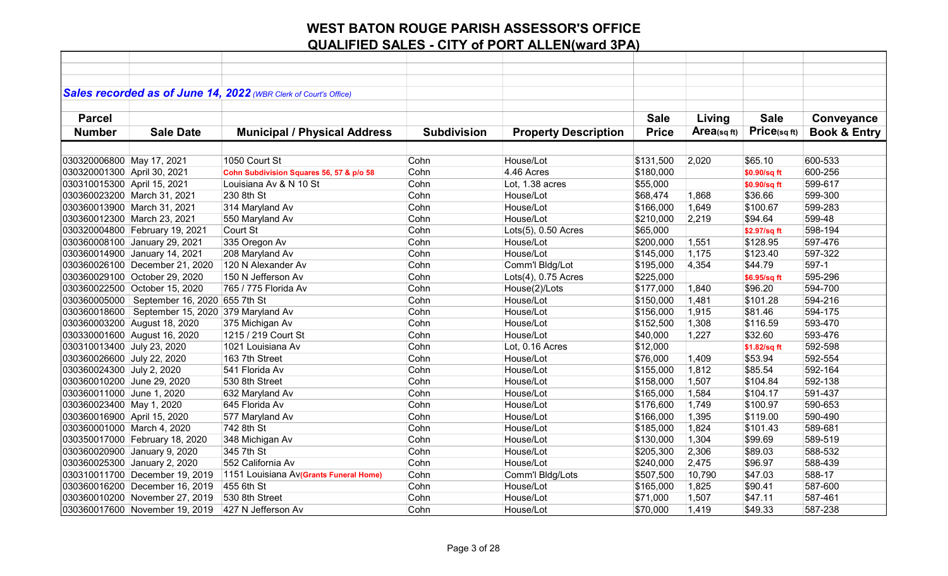|                             |                                                   | Sales recorded as of June 14, 2022 (WBR Clerk of Court's Office) |                    |                             |              |            |              |                         |
|-----------------------------|---------------------------------------------------|------------------------------------------------------------------|--------------------|-----------------------------|--------------|------------|--------------|-------------------------|
|                             |                                                   |                                                                  |                    |                             |              |            |              |                         |
| <b>Parcel</b>               |                                                   |                                                                  |                    |                             | <b>Sale</b>  | Living     | <b>Sale</b>  | Conveyance              |
| <b>Number</b>               | <b>Sale Date</b>                                  | <b>Municipal / Physical Address</b>                              | <b>Subdivision</b> | <b>Property Description</b> | <b>Price</b> | Area(sqft) | Price(sqft)  | <b>Book &amp; Entry</b> |
|                             |                                                   |                                                                  |                    |                             |              |            |              |                         |
|                             |                                                   |                                                                  |                    |                             |              |            |              |                         |
| 030320006800 May 17, 2021   |                                                   | 1050 Court St                                                    | Cohn               | House/Lot                   | \$131,500    | 2,020      | \$65.10      | 600-533                 |
| 030320001300 April 30, 2021 |                                                   | Cohn Subdivision Squares 56, 57 & p/o 58                         | Cohn               | 4.46 Acres                  | \$180,000    |            | \$0.90/sq ft | 600-256                 |
| 030310015300 April 15, 2021 |                                                   | Louisiana Av & N 10 St                                           | Cohn               | Lot, 1.38 acres             | \$55,000     |            | \$0.90/sq ft | 599-617                 |
| 030360023200 March 31, 2021 |                                                   | 230 8th St                                                       | Cohn               | House/Lot                   | \$68,474     | 1,868      | \$36.66      | 599-300                 |
| 030360013900 March 31, 2021 |                                                   | 314 Maryland Av                                                  | Cohn               | House/Lot                   | \$166,000    | 1,649      | \$100.67     | 599-283                 |
| 030360012300 March 23, 2021 |                                                   | 550 Maryland Av                                                  | Cohn               | House/Lot                   | \$210,000    | 2,219      | \$94.64      | 599-48                  |
|                             | 030320004800 February 19, 2021                    | Court St                                                         | Cohn               | Lots(5), 0.50 Acres         | \$65,000     |            | \$2.97/sq ft | 598-194                 |
|                             | 030360008100 January 29, 2021                     | 335 Oregon Av                                                    | Cohn               | House/Lot                   | \$200,000    | 1,551      | \$128.95     | 597-476                 |
|                             | 030360014900 January 14, 2021                     | 208 Maryland Av                                                  | Cohn               | House/Lot                   | \$145,000    | 1,175      | \$123.40     | 597-322                 |
|                             | 030360026100 December 21, 2020                    | 120 N Alexander Av                                               | Cohn               | Comm'l Bldg/Lot             | \$195,000    | 4,354      | \$44.79      | 597-1                   |
|                             | 030360029100 October 29, 2020                     | 150 N Jefferson Av                                               | Cohn               | Lots(4), 0.75 Acres         | \$225,000    |            | \$6.95/sq ft | 595-296                 |
|                             | 030360022500 October 15, 2020                     | 765 / 775 Florida Av                                             | Cohn               | House(2)/Lots               | \$177,000    | 1,840      | \$96.20      | 594-700                 |
| 030360005000                | September 16, 2020 655 7th St                     |                                                                  | Cohn               | House/Lot                   | \$150,000    | 1,481      | \$101.28     | 594-216                 |
|                             | 030360018600   September 15, 2020 379 Maryland Av |                                                                  | Cohn               | House/Lot                   | \$156,000    | 1,915      | \$81.46      | 594-175                 |
|                             | 030360003200 August 18, 2020                      | 375 Michigan Av                                                  | Cohn               | House/Lot                   | \$152,500    | 1,308      | \$116.59     | 593-470                 |
|                             | 030330001600 August 16, 2020                      | 1215 / 219 Court St                                              | Cohn               | House/Lot                   | \$40,000     | 1,227      | \$32.60      | 593-476                 |
| 030310013400 July 23, 2020  |                                                   | 1021 Louisiana Av                                                | Cohn               | Lot, 0.16 Acres             | \$12,000     |            | \$1.82/sq ft | 592-598                 |
| 030360026600 July 22, 2020  |                                                   | 163 7th Street                                                   | Cohn               | House/Lot                   | \$76,000     | 1,409      | \$53.94      | 592-554                 |
| 030360024300 July 2, 2020   |                                                   | 541 Florida Av                                                   | Cohn               | House/Lot                   | \$155,000    | 1,812      | \$85.54      | 592-164                 |
| 030360010200 June 29, 2020  |                                                   | 530 8th Street                                                   | Cohn               | House/Lot                   | \$158,000    | 1,507      | \$104.84     | 592-138                 |
| 030360011000 June 1, 2020   |                                                   | 632 Maryland Av                                                  | Cohn               | House/Lot                   | \$165,000    | 1,584      | \$104.17     | 591-437                 |
| 030360023400 May 1, 2020    |                                                   | 645 Florida Av                                                   | Cohn               | House/Lot                   | \$176,600    | 1,749      | \$100.97     | 590-653                 |
| 030360016900 April 15, 2020 |                                                   | 577 Maryland Av                                                  | Cohn               | House/Lot                   | \$166,000    | 1,395      | \$119.00     | 590-490                 |
| 030360001000 March 4, 2020  |                                                   | 742 8th St                                                       | Cohn               | House/Lot                   | \$185,000    | 1,824      | \$101.43     | 589-681                 |
|                             | 030350017000 February 18, 2020                    | 348 Michigan Av                                                  | Cohn               | House/Lot                   | \$130,000    | 1,304      | \$99.69      | 589-519                 |
|                             | 030360020900 January 9, 2020                      | 345 7th St                                                       | Cohn               | House/Lot                   | \$205,300    | 2,306      | \$89.03      | 588-532                 |
|                             | 030360025300 January 2, 2020                      | 552 California Av                                                | Cohn               | House/Lot                   | \$240,000    | 2,475      | \$96.97      | 588-439                 |
|                             | 030310011700 December 19, 2019                    | 1151 Louisiana Av(Grants Funeral Home)                           | Cohn               | Comm'l Bldg/Lots            | \$507,500    | 10,790     | \$47.03      | 588-17                  |
|                             | 030360016200 December 16, 2019                    | 455 6th St                                                       | Cohn               | House/Lot                   | \$165,000    | 1,825      | \$90.41      | 587-600                 |
|                             | 030360010200 November 27, 2019                    | 530 8th Street                                                   | Cohn               | House/Lot                   | \$71,000     | 1,507      | \$47.11      | 587-461                 |
|                             | 030360017600 November 19, 2019                    | 427 N Jefferson Av                                               | Cohn               | House/Lot                   | \$70,000     | 1,419      | \$49.33      | 587-238                 |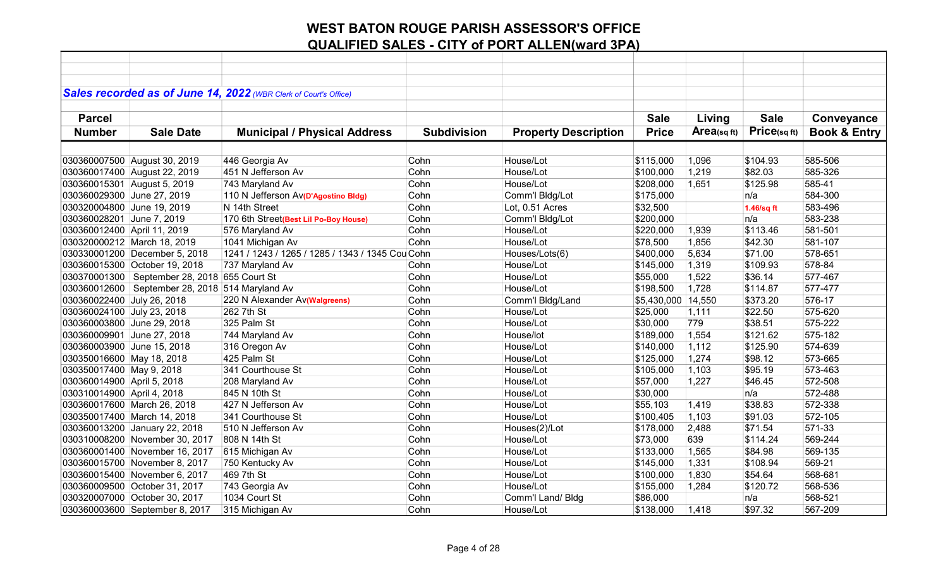|                             |                                    | Sales recorded as of June 14, 2022 (WBR Clerk of Court's Office) |                    |                             |                    |                |              |                         |
|-----------------------------|------------------------------------|------------------------------------------------------------------|--------------------|-----------------------------|--------------------|----------------|--------------|-------------------------|
|                             |                                    |                                                                  |                    |                             |                    |                |              |                         |
| <b>Parcel</b>               |                                    |                                                                  |                    |                             | <b>Sale</b>        | Living         | <b>Sale</b>  | Conveyance              |
| <b>Number</b>               | <b>Sale Date</b>                   | <b>Municipal / Physical Address</b>                              | <b>Subdivision</b> | <b>Property Description</b> | <b>Price</b>       | Area(sq $ft$ ) | Price(sq ft) | <b>Book &amp; Entry</b> |
|                             |                                    |                                                                  |                    |                             |                    |                |              |                         |
|                             | 030360007500 August 30, 2019       | 446 Georgia Av                                                   | Cohn               | House/Lot                   | \$115,000          | 1,096          | \$104.93     | 585-506                 |
|                             | 030360017400 August 22, 2019       | 451 N Jefferson Av                                               | Cohn               | House/Lot                   | \$100,000          | 1,219          | \$82.03      | 585-326                 |
| 030360015301 August 5, 2019 |                                    | 743 Maryland Av                                                  | Cohn               | House/Lot                   | \$208,000          | 1,651          | \$125.98     | 585-41                  |
| 030360029300 June 27, 2019  |                                    | 110 N Jefferson Av(D'Agostino Bldg)                              | Cohn               | Comm'l Bldg/Lot             | \$175,000          |                | n/a          | 584-300                 |
| 030320004800 June 19, 2019  |                                    | N 14th Street                                                    | Cohn               | Lot, 0.51 Acres             | \$32,500           |                | 1.46/sq ft   | 583-496                 |
| 030360028201 June 7, 2019   |                                    | 170 6th Street(Best Lil Po-Boy House)                            | Cohn               | Comm'l Bldg/Lot             | \$200,000          |                | n/a          | 583-238                 |
| 030360012400 April 11, 2019 |                                    | 576 Maryland Av                                                  | Cohn               | House/Lot                   | \$220,000          | 1,939          | \$113.46     | 581-501                 |
|                             | 030320000212 March 18, 2019        | 1041 Michigan Av                                                 | Cohn               | House/Lot                   | \$78,500           | 1,856          | \$42.30      | 581-107                 |
|                             | 030330001200 December 5, 2018      | 1241 / 1243 / 1265 / 1285 / 1343 / 1345 Cou Cohn                 |                    | Houses/Lots(6)              | \$400,000          | 5,634          | \$71.00      | 578-651                 |
|                             | 030360015300 October 19, 2018      | 737 Maryland Av                                                  | Cohn               | House/Lot                   | \$145,000          | 1,319          | \$109.93     | 578-84                  |
| 030370001300                | September 28, 2018 655 Court St    |                                                                  | Cohn               | House/Lot                   | \$55,000           | 1,522          | \$36.14      | 577-467                 |
| 030360012600                | September 28, 2018 514 Maryland Av |                                                                  | Cohn               | House/Lot                   | \$198,500          | 1,728          | \$114.87     | 577-477                 |
| 030360022400 July 26, 2018  |                                    | 220 N Alexander Av(Walgreens)                                    | Cohn               | Comm'l Bldg/Land            | \$5,430,000 14,550 |                | \$373.20     | 576-17                  |
| 030360024100 July 23, 2018  |                                    | 262 7th St                                                       | Cohn               | House/Lot                   | \$25,000           | 1,111          | \$22.50      | 575-620                 |
| 030360003800 June 29, 2018  |                                    | 325 Palm St                                                      | Cohn               | House/Lot                   | \$30,000           | 779            | \$38.51      | 575-222                 |
| 030360009901 June 27, 2018  |                                    | 744 Maryland Av                                                  | Cohn               | House/lot                   | \$189,000          | 1,554          | \$121.62     | 575-182                 |
| 030360003900 June 15, 2018  |                                    | 316 Oregon Av                                                    | Cohn               | House/Lot                   | \$140,000          | 1,112          | \$125.90     | 574-639                 |
| 030350016600 May 18, 2018   |                                    | 425 Palm St                                                      | Cohn               | House/Lot                   | \$125,000          | 1,274          | \$98.12      | 573-665                 |
| 030350017400 May 9, 2018    |                                    | 341 Courthouse St                                                | Cohn               | House/Lot                   | \$105,000          | 1,103          | \$95.19      | 573-463                 |
| 030360014900 April 5, 2018  |                                    | 208 Maryland Av                                                  | Cohn               | House/Lot                   | \$57,000           | 1,227          | \$46.45      | 572-508                 |
| 030310014900 April 4, 2018  |                                    | 845 N 10th St                                                    | Cohn               | House/Lot                   | \$30,000           |                | n/a          | 572-488                 |
|                             | 030360017600 March 26, 2018        | 427 N Jefferson Av                                               | Cohn               | House/Lot                   | \$55,103           | 1,419          | \$38.83      | 572-338                 |
|                             | 030350017400 March 14, 2018        | 341 Courthouse St                                                | Cohn               | House/Lot                   | \$100,405          | 1,103          | \$91.03      | 572-105                 |
|                             | 030360013200 January 22, 2018      | 510 N Jefferson Av                                               | Cohn               | Houses(2)/Lot               | \$178,000          | 2,488          | \$71.54      | 571-33                  |
|                             | 030310008200 November 30, 2017     | 808 N 14th St                                                    | Cohn               | House/Lot                   | \$73,000           | 639            | \$114.24     | 569-244                 |
|                             | 030360001400 November 16, 2017     | 615 Michigan Av                                                  | Cohn               | House/Lot                   | \$133,000          | 1,565          | \$84.98      | 569-135                 |
|                             | 030360015700 November 8, 2017      | 750 Kentucky Av                                                  | Cohn               | House/Lot                   | \$145,000          | 1,331          | \$108.94     | 569-21                  |
|                             | 030360015400 November 6, 2017      | 469 7th St                                                       | Cohn               | House/Lot                   | \$100,000          | 1,830          | \$54.64      | 568-681                 |
|                             | 030360009500 October 31, 2017      | 743 Georgia Av                                                   | Cohn               | House/Lot                   | \$155,000          | 1,284          | \$120.72     | 568-536                 |
|                             | 030320007000 October 30, 2017      | 1034 Court St                                                    | Cohn               | Comm'l Land/ Bldg           | \$86,000           |                | n/a          | 568-521                 |
|                             | 030360003600 September 8, 2017     | 315 Michigan Av                                                  | Cohn               | House/Lot                   | \$138,000          | 1,418          | \$97.32      | 567-209                 |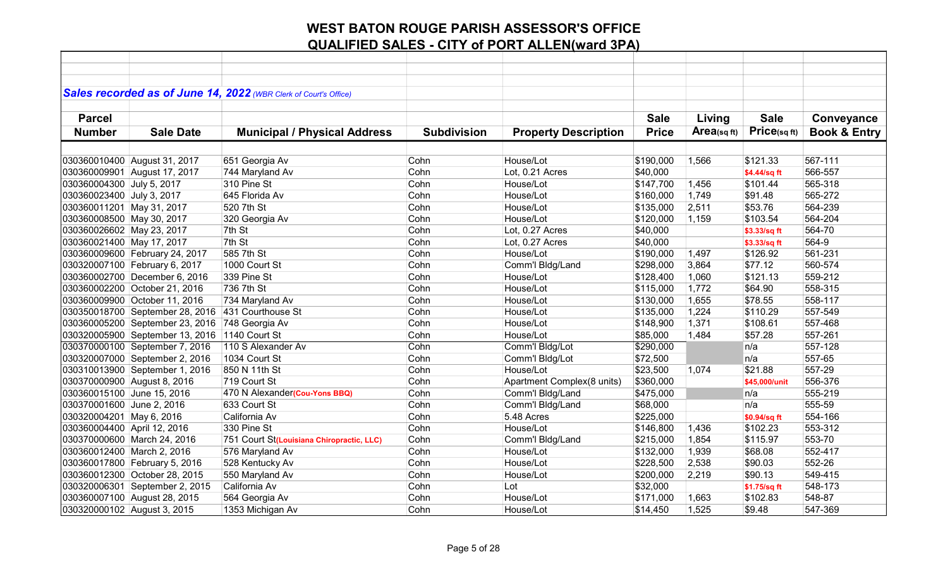|                             |                                               | Sales recorded as of June 14, 2022 (WBR Clerk of Court's Office) |                    |                             |              |            |               |                         |
|-----------------------------|-----------------------------------------------|------------------------------------------------------------------|--------------------|-----------------------------|--------------|------------|---------------|-------------------------|
|                             |                                               |                                                                  |                    |                             |              |            |               |                         |
|                             |                                               |                                                                  |                    |                             | <b>Sale</b>  |            | <b>Sale</b>   |                         |
| <b>Parcel</b>               |                                               |                                                                  |                    |                             |              | Living     |               | Conveyance              |
| <b>Number</b>               | <b>Sale Date</b>                              | <b>Municipal / Physical Address</b>                              | <b>Subdivision</b> | <b>Property Description</b> | <b>Price</b> | Area(sqft) | Price(sq ft)  | <b>Book &amp; Entry</b> |
|                             |                                               |                                                                  |                    |                             |              |            |               |                         |
|                             | 030360010400 August 31, 2017                  | 651 Georgia Av                                                   | Cohn               | House/Lot                   | \$190,000    | 1,566      | \$121.33      | 567-111                 |
|                             | 030360009901 August 17, 2017                  | 744 Maryland Av                                                  | Cohn               | Lot, 0.21 Acres             | \$40,000     |            | \$4.44/sq ft  | 566-557                 |
| 030360004300 July 5, 2017   |                                               | 310 Pine St                                                      | Cohn               | House/Lot                   | \$147,700    | 1,456      | \$101.44      | 565-318                 |
| 030360023400 July 3, 2017   |                                               | 645 Florida Av                                                   | Cohn               | House/Lot                   | \$160,000    | 1,749      | \$91.48       | 565-272                 |
| 030360011201 May 31, 2017   |                                               | 520 7th St                                                       | Cohn               | House/Lot                   | \$135,000    | 2,511      | \$53.76       | 564-239                 |
| 030360008500 May 30, 2017   |                                               | 320 Georgia Av                                                   | Cohn               | House/Lot                   | \$120,000    | 1,159      | \$103.54      | 564-204                 |
| 030360026602 May 23, 2017   |                                               | 7th St                                                           | Cohn               | Lot, 0.27 Acres             | \$40,000     |            | \$3.33/sq ft  | 564-70                  |
| 030360021400 May 17, 2017   |                                               | 7th St                                                           | Cohn               | Lot, 0.27 Acres             | \$40,000     |            | \$3.33/sq ft  | 564-9                   |
|                             | 030360009600 February 24, 2017                | 585 7th St                                                       | Cohn               | House/Lot                   | \$190,000    | 1,497      | \$126.92      | 561-231                 |
|                             | 030320007100 February 6, 2017                 | 1000 Court St                                                    | Cohn               | Comm'l Bldg/Land            | \$298,000    | 3,864      | \$77.12       | 560-574                 |
|                             | 030360002700 December 6, 2016                 | 339 Pine St                                                      | Cohn               | House/Lot                   | \$128,400    | 1,060      | \$121.13      | 559-212                 |
|                             | 030360002200 October 21, 2016                 | 736 7th St                                                       | Cohn               | House/Lot                   | \$115,000    | 1,772      | \$64.90       | 558-315                 |
|                             | 030360009900 October 11, 2016                 | 734 Maryland Av                                                  | Cohn               | House/Lot                   | \$130,000    | 1,655      | \$78.55       | 558-117                 |
|                             | 030350018700 September 28, 2016               | 431 Courthouse St                                                | Cohn               | House/Lot                   | \$135,000    | 1,224      | \$110.29      | 557-549                 |
|                             | 030360005200 September 23, 2016               | 748 Georgia Av                                                   | Cohn               | House/Lot                   | \$148,900    | 1,371      | \$108.61      | 557-468                 |
|                             | 030320005900 September 13, 2016 1140 Court St |                                                                  | Cohn               | House/Lot                   | \$85,000     | 1,484      | \$57.28       | 557-261                 |
|                             | 030370000100 September 7, 2016                | 110 S Alexander Av                                               | Cohn               | Comm'l Bldg/Lot             | \$290,000    |            | n/a           | 557-128                 |
|                             | 030320007000 September 2, 2016                | 1034 Court St                                                    | Cohn               | Comm'l Bldg/Lot             | \$72,500     |            | n/a           | 557-65                  |
|                             | 030310013900 September 1, 2016                | 850 N 11th St                                                    | Cohn               | House/Lot                   | \$23,500     | 1,074      | \$21.88       | 557-29                  |
| 030370000900 August 8, 2016 |                                               | 719 Court St                                                     | Cohn               | Apartment Complex(8 units)  | \$360,000    |            | \$45,000/unit | 556-376                 |
| 030360015100 June 15, 2016  |                                               | 470 N Alexander (Cou-Yons BBQ)                                   | Cohn               | Comm'l Bldg/Land            | \$475,000    |            | n/a           | 555-219                 |
| 030370001600 June 2, 2016   |                                               | 633 Court St                                                     | Cohn               | Comm'l Bldg/Land            | \$68,000     |            | n/a           | 555-59                  |
| 030320004201 May 6, 2016    |                                               | California Av                                                    | Cohn               | 5.48 Acres                  | \$225,000    |            | \$0.94/sq ft  | 554-166                 |
| 030360004400 April 12, 2016 |                                               | 330 Pine St                                                      | Cohn               | House/Lot                   | \$146,800    | 1,436      | \$102.23      | 553-312                 |
|                             | 030370000600 March 24, 2016                   | 751 Court St(Louisiana Chiropractic, LLC)                        | Cohn               | Comm'l Bldg/Land            | \$215,000    | 1,854      | \$115.97      | 553-70                  |
| 030360012400 March 2, 2016  |                                               | 576 Maryland Av                                                  | Cohn               | House/Lot                   | \$132,000    | 1,939      | \$68.08       | 552-417                 |
|                             | 030360017800 February 5, 2016                 | 528 Kentucky Av                                                  | Cohn               | House/Lot                   | \$228,500    | 2,538      | \$90.03       | 552-26                  |
|                             | 030360012300 October 28, 2015                 | 550 Maryland Av                                                  | Cohn               | House/Lot                   | \$200,000    | 2,219      | \$90.13       | 549-415                 |
|                             | 030320006301 September 2, 2015                | California Av                                                    | Cohn               | Lot                         | \$32,000     |            | \$1.75/sq ft  | 548-173                 |
|                             | 030360007100 August 28, 2015                  | 564 Georgia Av                                                   | Cohn               | House/Lot                   | \$171,000    | 1,663      | \$102.83      | 548-87                  |
| 030320000102 August 3, 2015 |                                               | 1353 Michigan Av                                                 | Cohn               | House/Lot                   | \$14,450     | 1,525      | \$9.48        | 547-369                 |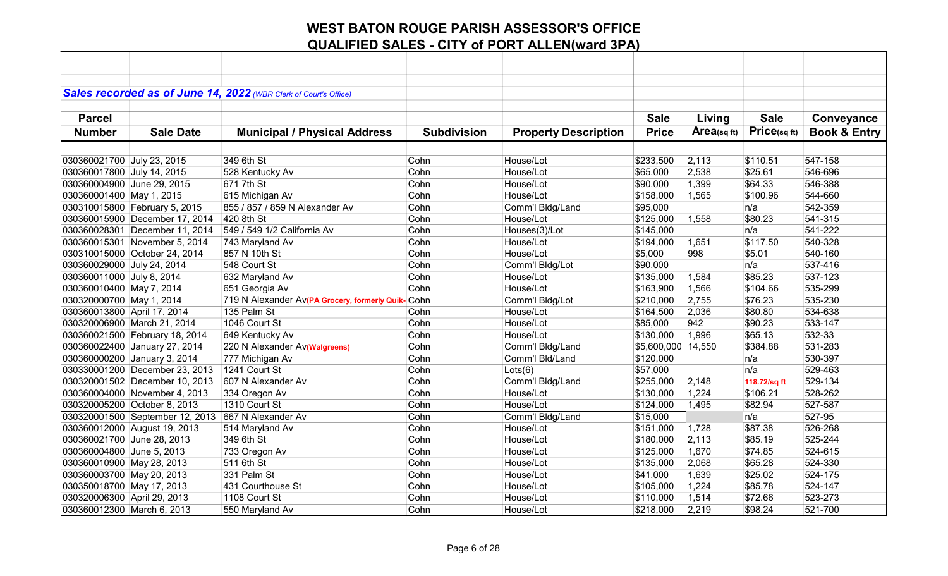|                             |                                 | Sales recorded as of June 14, 2022 (WBR Clerk of Court's Office) |                    |                             |                    |                |              |                         |
|-----------------------------|---------------------------------|------------------------------------------------------------------|--------------------|-----------------------------|--------------------|----------------|--------------|-------------------------|
| <b>Parcel</b>               |                                 |                                                                  |                    |                             | <b>Sale</b>        |                | <b>Sale</b>  |                         |
|                             |                                 |                                                                  |                    |                             |                    | Living         |              | Conveyance              |
| <b>Number</b>               | <b>Sale Date</b>                | <b>Municipal / Physical Address</b>                              | <b>Subdivision</b> | <b>Property Description</b> | <b>Price</b>       | Area(sq $ft$ ) | Price(sqft)  | <b>Book &amp; Entry</b> |
|                             |                                 |                                                                  |                    |                             |                    |                |              |                         |
| 030360021700 July 23, 2015  |                                 | 349 6th St                                                       | Cohn               | House/Lot                   | \$233,500          | 2,113          | \$110.51     | 547-158                 |
| 030360017800 July 14, 2015  |                                 | 528 Kentucky Av                                                  | Cohn               | House/Lot                   | \$65,000           | 2,538          | \$25.61      | 546-696                 |
| 030360004900 June 29, 2015  |                                 | 671 7th St                                                       | Cohn               | House/Lot                   | \$90,000           | 1,399          | \$64.33      | 546-388                 |
| 030360001400 May 1, 2015    |                                 | 615 Michigan Av                                                  | Cohn               | House/Lot                   | \$158,000          | 1,565          | \$100.96     | 544-660                 |
|                             | 030310015800 February 5, 2015   | 855 / 857 / 859 N Alexander Av                                   | Cohn               | Comm'l Bldg/Land            | \$95,000           |                | n/a          | 542-359                 |
|                             | 030360015900 December 17, 2014  | 420 8th St                                                       | Cohn               | House/Lot                   | \$125,000          | 1,558          | \$80.23      | 541-315                 |
|                             | 030360028301 December 11, 2014  | 549 / 549 1/2 California Av                                      | Cohn               | Houses(3)/Lot               | \$145,000          |                | n/a          | 541-222                 |
|                             | 030360015301 November 5, 2014   | 743 Maryland Av                                                  | Cohn               | House/Lot                   | \$194,000          | 1,651          | \$117.50     | 540-328                 |
|                             | 030310015000 October 24, 2014   | 857 N 10th St                                                    | Cohn               | House/Lot                   | \$5,000            | 998            | \$5.01       | 540-160                 |
| 030360029000 July 24, 2014  |                                 | 548 Court St                                                     | Cohn               | Comm'l Bldg/Lot             | \$90,000           |                | n/a          | 537-416                 |
| 030360011000 July 8, 2014   |                                 | 632 Maryland Av                                                  | Cohn               | House/Lot                   | \$135,000          | 1,584          | \$85.23      | 537-123                 |
| 030360010400 May 7, 2014    |                                 | 651 Georgia Av                                                   | Cohn               | House/Lot                   | \$163,900          | 1,566          | \$104.66     | 535-299                 |
| 030320000700 May 1, 2014    |                                 | 719 N Alexander Av(PA Grocery, formerly Quik- Cohn               |                    | Comm'l Bldg/Lot             | \$210,000          | 2,755          | \$76.23      | 535-230                 |
| 030360013800 April 17, 2014 |                                 | 135 Palm St                                                      | Cohn               | House/Lot                   | \$164,500          | 2,036          | \$80.80      | 534-638                 |
| 030320006900 March 21, 2014 |                                 | 1046 Court St                                                    | Cohn               | House/Lot                   | \$85,000           | 942            | \$90.23      | 533-147                 |
|                             | 030360021500 February 18, 2014  | 649 Kentucky Av                                                  | Cohn               | House/Lot                   | \$130,000          | 1,996          | \$65.13      | 532-33                  |
|                             | 030360022400 January 27, 2014   | 220 N Alexander Av(Walgreens)                                    | Cohn               | Comm'l Bldg/Land            | \$5,600,000 14,550 |                | \$384.88     | 531-283                 |
|                             | 030360000200 January 3, 2014    | 777 Michigan Av                                                  | Cohn               | Comm'l Bld/Land             | \$120,000          |                | n/a          | 530-397                 |
|                             | 030330001200 December 23, 2013  | 1241 Court St                                                    | Cohn               | Lots(6)                     | \$57,000           |                | n/a          | 529-463                 |
|                             | 030320001502 December 10, 2013  | 607 N Alexander Av                                               | Cohn               | Comm'l Bldg/Land            | \$255,000          | 2,148          | 118.72/sq ft | 529-134                 |
|                             | 030360004000 November 4, 2013   | 334 Oregon Av                                                    | Cohn               | House/Lot                   | \$130,000          | 1,224          | \$106.21     | 528-262                 |
|                             | 030320005200 October 8, 2013    | 1310 Court St                                                    | Cohn               | House/Lot                   | \$124,000          | 1,495          | \$82.94      | 527-587                 |
|                             | 030320001500 September 12, 2013 | 667 N Alexander Av                                               | Cohn               | Comm'l Bldg/Land            | \$15,000           |                | n/a          | 527-95                  |
|                             | 030360012000 August 19, 2013    | 514 Maryland Av                                                  | Cohn               | House/Lot                   | \$151,000          | 1,728          | \$87.38      | 526-268                 |
| 030360021700 June 28, 2013  |                                 | 349 6th St                                                       | Cohn               | House/Lot                   | \$180,000          | 2,113          | \$85.19      | 525-244                 |
| 030360004800 June 5, 2013   |                                 | 733 Oregon Av                                                    | Cohn               | House/Lot                   | \$125,000          | 1,670          | \$74.85      | 524-615                 |
| 030360010900 May 28, 2013   |                                 | 511 6th St                                                       | Cohn               | House/Lot                   | \$135,000          | 2,068          | \$65.28      | 524-330                 |
| 030360003700 May 20, 2013   |                                 | 331 Palm St                                                      | Cohn               | House/Lot                   | \$41,000           | 1,639          | \$25.02      | 524-175                 |
| 030350018700 May 17, 2013   |                                 | 431 Courthouse St                                                | Cohn               | House/Lot                   | \$105,000          | 1,224          | \$85.78      | 524-147                 |
| 030320006300 April 29, 2013 |                                 | 1108 Court St                                                    | Cohn               | House/Lot                   | \$110,000          | 1,514          | \$72.66      | 523-273                 |
| 030360012300 March 6, 2013  |                                 | 550 Maryland Av                                                  | Cohn               | House/Lot                   | \$218,000          | 2,219          | \$98.24      | 521-700                 |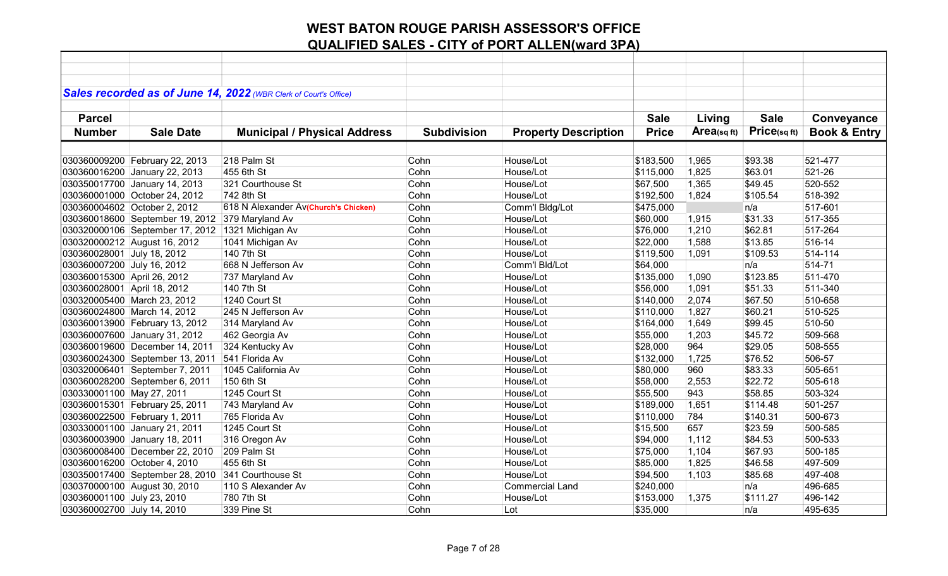|                             |                                 | Sales recorded as of June 14, 2022 (WBR Clerk of Court's Office) |                    |                             |              |                |              |                         |
|-----------------------------|---------------------------------|------------------------------------------------------------------|--------------------|-----------------------------|--------------|----------------|--------------|-------------------------|
|                             |                                 |                                                                  |                    |                             |              |                |              |                         |
| <b>Parcel</b>               |                                 |                                                                  |                    |                             | <b>Sale</b>  | Living         | <b>Sale</b>  | Conveyance              |
| <b>Number</b>               | <b>Sale Date</b>                | <b>Municipal / Physical Address</b>                              | <b>Subdivision</b> | <b>Property Description</b> | <b>Price</b> | Area(sq $ft$ ) | Price(sq ft) | <b>Book &amp; Entry</b> |
|                             |                                 |                                                                  |                    |                             |              |                |              |                         |
|                             | 030360009200 February 22, 2013  | 218 Palm St                                                      | Cohn               | House/Lot                   | \$183,500    | 1,965          | \$93.38      | 521-477                 |
|                             | 030360016200 January 22, 2013   | 455 6th St                                                       | Cohn               | House/Lot                   | \$115,000    | 1,825          | \$63.01      | 521-26                  |
|                             | 030350017700 January 14, 2013   | 321 Courthouse St                                                | Cohn               | House/Lot                   | \$67,500     | 1,365          | \$49.45      | 520-552                 |
|                             | 030360001000 October 24, 2012   | 742 8th St                                                       | Cohn               | House/Lot                   | \$192,500    | 1,824          | \$105.54     | 518-392                 |
|                             | 030360004602 October 2, 2012    | 618 N Alexander Av(Church's Chicken)                             | Cohn               | Comm'l Bldg/Lot             | \$475,000    |                | n/a          | 517-601                 |
|                             | 030360018600 September 19, 2012 | 379 Maryland Av                                                  | Cohn               | House/Lot                   | \$60,000     | 1,915          | \$31.33      | 517-355                 |
|                             | 030320000106 September 17, 2012 | 1321 Michigan Av                                                 | Cohn               | House/Lot                   | \$76,000     | 1,210          | \$62.81      | 517-264                 |
|                             | 030320000212 August 16, 2012    | 1041 Michigan Av                                                 | Cohn               | House/Lot                   | \$22,000     | 1,588          | \$13.85      | 516-14                  |
| 030360028001 July 18, 2012  |                                 | 140 7th St                                                       | Cohn               | House/Lot                   | \$119,500    | 1,091          | \$109.53     | 514-114                 |
| 030360007200 July 16, 2012  |                                 | 668 N Jefferson Av                                               | Cohn               | Comm'l Bld/Lot              | \$64,000     |                | n/a          | 514-71                  |
| 030360015300 April 26, 2012 |                                 | 737 Maryland Av                                                  | Cohn               | House/Lot                   | \$135,000    | 1,090          | \$123.85     | 511-470                 |
| 030360028001 April 18, 2012 |                                 | 140 7th St                                                       | Cohn               | House/Lot                   | \$56,000     | 1,091          | \$51.33      | 511-340                 |
|                             | 030320005400 March 23, 2012     | 1240 Court St                                                    | Cohn               | House/Lot                   | \$140,000    | 2,074          | \$67.50      | 510-658                 |
|                             | 030360024800 March 14, 2012     | 245 N Jefferson Av                                               | Cohn               | House/Lot                   | \$110,000    | 1,827          | \$60.21      | 510-525                 |
|                             | 030360013900 February 13, 2012  | 314 Maryland Av                                                  | Cohn               | House/Lot                   | \$164,000    | 1,649          | \$99.45      | 510-50                  |
|                             | 030360007600 January 31, 2012   | 462 Georgia Av                                                   | Cohn               | House/Lot                   | \$55,000     | 1,203          | \$45.72      | 509-568                 |
|                             | 030360019600 December 14, 2011  | 324 Kentucky Av                                                  | Cohn               | House/Lot                   | \$28,000     | 964            | \$29.05      | 508-555                 |
|                             | 030360024300 September 13, 2011 | 541 Florida Av                                                   | Cohn               | House/Lot                   | \$132,000    | 1,725          | \$76.52      | 506-57                  |
|                             | 030320006401 September 7, 2011  | 1045 California Av                                               | Cohn               | House/Lot                   | \$80,000     | 960            | \$83.33      | 505-651                 |
|                             | 030360028200 September 6, 2011  | 150 6th St                                                       | Cohn               | House/Lot                   | \$58,000     | 2,553          | \$22.72      | 505-618                 |
| 030330001100 May 27, 2011   |                                 | 1245 Court St                                                    | Cohn               | House/Lot                   | \$55,500     | 943            | \$58.85      | 503-324                 |
|                             | 030360015301 February 25, 2011  | 743 Maryland Av                                                  | Cohn               | House/Lot                   | \$189,000    | 1,651          | \$114.48     | 501-257                 |
|                             | 030360022500 February 1, 2011   | 765 Florida Av                                                   | Cohn               | House/Lot                   | \$110,000    | 784            | \$140.31     | 500-673                 |
|                             | 030330001100 January 21, 2011   | 1245 Court St                                                    | Cohn               | House/Lot                   | \$15,500     | 657            | \$23.59      | 500-585                 |
|                             | 030360003900 January 18, 2011   | 316 Oregon Av                                                    | Cohn               | House/Lot                   | \$94,000     | 1,112          | \$84.53      | 500-533                 |
|                             | 030360008400 December 22, 2010  | 209 Palm St                                                      | Cohn               | House/Lot                   | \$75,000     | 1,104          | \$67.93      | 500-185                 |
|                             | 030360016200 October 4, 2010    | 455 6th St                                                       | Cohn               | House/Lot                   | \$85,000     | 1,825          | \$46.58      | 497-509                 |
|                             | 030350017400 September 28, 2010 | 341 Courthouse St                                                | Cohn               | House/Lot                   | \$94,500     | 1,103          | \$85.68      | 497-408                 |
|                             | 030370000100 August 30, 2010    | 110 S Alexander Av                                               | Cohn               | <b>Commercial Land</b>      | \$240,000    |                | n/a          | 496-685                 |
| 030360001100 July 23, 2010  |                                 | 780 7th St                                                       | Cohn               | House/Lot                   | \$153,000    | 1,375          | \$111.27     | 496-142                 |
| 030360002700 July 14, 2010  |                                 | 339 Pine St                                                      | Cohn               | Lot                         | \$35,000     |                | n/a          | 495-635                 |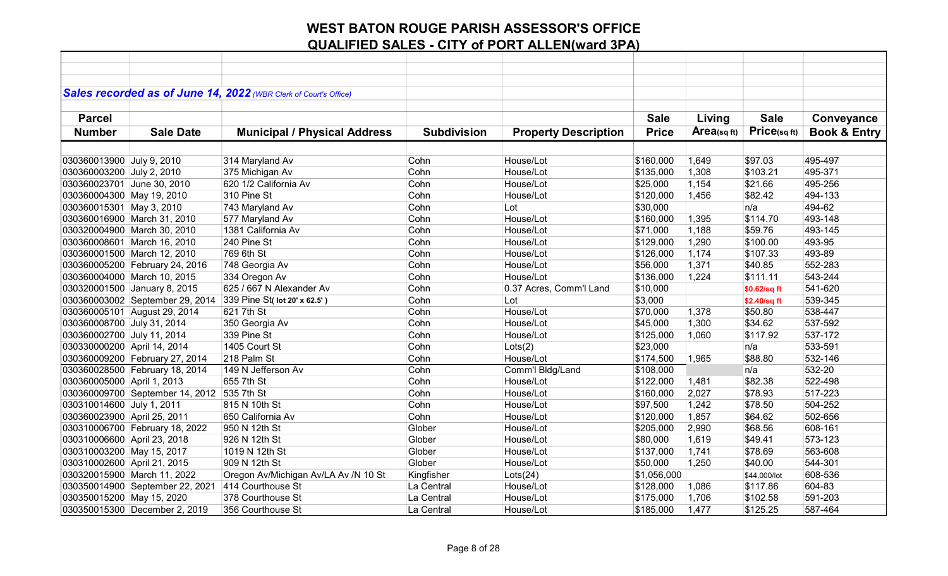|                             |                                 | Sales recorded as of June 14, 2022 (WBR Clerk of Court's Office) |                    |                             |              |            |                 |                         |
|-----------------------------|---------------------------------|------------------------------------------------------------------|--------------------|-----------------------------|--------------|------------|-----------------|-------------------------|
|                             |                                 |                                                                  |                    |                             |              |            |                 |                         |
| <b>Parcel</b>               |                                 |                                                                  |                    |                             | <b>Sale</b>  | Living     | <b>Sale</b>     | Conveyance              |
| <b>Number</b>               | <b>Sale Date</b>                | <b>Municipal / Physical Address</b>                              | <b>Subdivision</b> | <b>Property Description</b> | <b>Price</b> | Area(sqft) | $Price$ (sq ft) | <b>Book &amp; Entry</b> |
|                             |                                 |                                                                  |                    |                             |              |            |                 |                         |
| 030360013900 July 9, 2010   |                                 | 314 Maryland Av                                                  | Cohn               | House/Lot                   | \$160,000    | 1,649      | \$97.03         | 495-497                 |
| 030360003200 July 2, 2010   |                                 | 375 Michigan Av                                                  | Cohn               | House/Lot                   | \$135,000    | 1,308      | \$103.21        | 495-371                 |
| 030360023701 June 30, 2010  |                                 | 620 1/2 California Av                                            | Cohn               | House/Lot                   | \$25,000     | 1,154      | \$21.66         | 495-256                 |
| 030360004300 May 19, 2010   |                                 | 310 Pine St                                                      | Cohn               | House/Lot                   | \$120,000    | 1,456      | \$82.42         | 494-133                 |
| 030360015301 May 3, 2010    |                                 | 743 Maryland Av                                                  | Cohn               | Lot                         | \$30,000     |            | n/a             | 494-62                  |
|                             | 030360016900 March 31, 2010     | 577 Maryland Av                                                  | Cohn               | House/Lot                   | \$160,000    | 1,395      | \$114.70        | 493-148                 |
|                             | 030320004900 March 30, 2010     | 1381 California Av                                               | Cohn               | House/Lot                   | \$71,000     | 1,188      | \$59.76         | 493-145                 |
|                             | 030360008601 March 16, 2010     | 240 Pine St                                                      | Cohn               | House/Lot                   | \$129,000    | 1,290      | \$100.00        | 493-95                  |
|                             | 030360001500 March 12, 2010     | 769 6th St                                                       | Cohn               | House/Lot                   | \$126,000    | 1,174      | \$107.33        | 493-89                  |
|                             | 030360005200 February 24, 2016  | 748 Georgia Av                                                   | Cohn               | House/Lot                   | \$56,000     | 1,371      | \$40.85         | 552-283                 |
|                             | 030360004000 March 10, 2015     | 334 Oregon Av                                                    | Cohn               | House/Lot                   | \$136,000    | 1,224      | \$111.11        | 543-244                 |
|                             | 030320001500 January 8, 2015    | 625 / 667 N Alexander Av                                         | Cohn               | 0.37 Acres, Comm'l Land     | \$10,000     |            | \$0.62/sq ft    | 541-620                 |
|                             | 030360003002 September 29, 2014 | 339 Pine St( lot 20' x 62.5')                                    | Cohn               | Lot                         | \$3,000      |            | \$2.40/sq ft    | 539-345                 |
|                             | 030360005101 August 29, 2014    | 621 7th St                                                       | Cohn               | House/Lot                   | \$70,000     | 1,378      | \$50.80         | 538-447                 |
| 030360008700 July 31, 2014  |                                 | 350 Georgia Av                                                   | Cohn               | House/Lot                   | \$45,000     | 1,300      | \$34.62         | 537-592                 |
| 030360002700 July 11, 2014  |                                 | 339 Pine St                                                      | Cohn               | House/Lot                   | \$125,000    | 1,060      | \$117.92        | 537-172                 |
| 030330000200 April 14, 2014 |                                 | 1405 Court St                                                    | Cohn               | Lots(2)                     | \$23,000     |            | n/a             | 533-591                 |
|                             | 030360009200 February 27, 2014  | 218 Palm St                                                      | Cohn               | House/Lot                   | \$174,500    | 1,965      | \$88.80         | 532-146                 |
|                             | 030360028500 February 18, 2014  | 149 N Jefferson Av                                               | Cohn               | Comm'l Bldg/Land            | \$108,000    |            | n/a             | 532-20                  |
| 030360005000 April 1, 2013  |                                 | 655 7th St                                                       | Cohn               | House/Lot                   | \$122,000    | 1,481      | \$82.38         | 522-498                 |
|                             | 030360009700 September 14, 2012 | 535 7th St                                                       | Cohn               | House/Lot                   | \$160,000    | 2,027      | \$78.93         | 517-223                 |
| 030310014600 July 1, 2011   |                                 | 815 N 10th St                                                    | Cohn               | House/Lot                   | \$97,500     | 1,242      | \$78.50         | 504-252                 |
| 030360023900 April 25, 2011 |                                 | 650 California Av                                                | Cohn               | House/Lot                   | \$120,000    | 1,857      | \$64.62         | 502-656                 |
|                             | 030310006700 February 18, 2022  | 950 N 12th St                                                    | Glober             | House/Lot                   | \$205,000    | 2,990      | \$68.56         | 608-161                 |
| 030310006600 April 23, 2018 |                                 | 926 N 12th St                                                    | Glober             | House/Lot                   | \$80,000     | 1,619      | \$49.41         | 573-123                 |
| 030310003200 May 15, 2017   |                                 | 1019 N 12th St                                                   | Glober             | House/Lot                   | \$137,000    | 1,741      | \$78.69         | 563-608                 |
| 030310002600 April 21, 2015 |                                 | 909 N 12th St                                                    | Glober             | House/Lot                   | \$50,000     | 1,250      | \$40.00         | 544-301                 |
|                             | 030320015900 March 11, 2022     | Oregon Av/Michigan Av/LA Av /N 10 St                             | Kingfisher         | Lots(24)                    | \$1,056,000  |            | \$44,000/lot    | 608-536                 |
|                             | 030350014900 September 22, 2021 | 414 Courthouse St                                                | La Central         | House/Lot                   | \$128,000    | 1,086      | \$117.86        | 604-83                  |
| 030350015200 May 15, 2020   |                                 | 378 Courthouse St                                                | La Central         | House/Lot                   | \$175,000    | 1,706      | \$102.58        | 591-203                 |
|                             | 030350015300 December 2, 2019   | 356 Courthouse St                                                | La Central         | House/Lot                   | \$185,000    | 1,477      | \$125.25        | 587-464                 |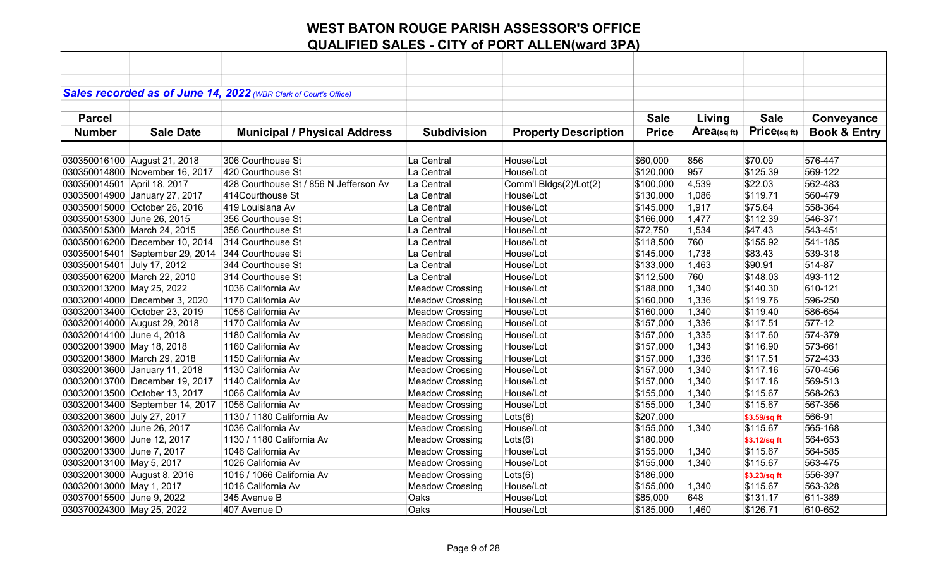|                             |                                 | Sales recorded as of June 14, 2022 (WBR Clerk of Court's Office) |                        |                             |              |            |              |                         |
|-----------------------------|---------------------------------|------------------------------------------------------------------|------------------------|-----------------------------|--------------|------------|--------------|-------------------------|
|                             |                                 |                                                                  |                        |                             |              |            |              |                         |
| <b>Parcel</b>               |                                 |                                                                  |                        |                             | <b>Sale</b>  | Living     | <b>Sale</b>  | Conveyance              |
| <b>Number</b>               | <b>Sale Date</b>                | <b>Municipal / Physical Address</b>                              | <b>Subdivision</b>     | <b>Property Description</b> | <b>Price</b> | Area(sqft) | Price(sq ft) | <b>Book &amp; Entry</b> |
|                             |                                 |                                                                  |                        |                             |              |            |              |                         |
|                             | 030350016100 August 21, 2018    | 306 Courthouse St                                                | La Central             | House/Lot                   | \$60,000     | 856        | \$70.09      | 576-447                 |
|                             | 030350014800 November 16, 2017  | 420 Courthouse St                                                | La Central             | House/Lot                   | \$120,000    | 957        | \$125.39     | 569-122                 |
| 030350014501 April 18, 2017 |                                 | 428 Courthouse St / 856 N Jefferson Av                           | La Central             | Comm'l Bldgs(2)/Lot(2)      | \$100,000    | 4,539      | \$22.03      | 562-483                 |
|                             | 030350014900 January 27, 2017   | 414Courthouse St                                                 | La Central             | House/Lot                   | \$130,000    | 1,086      | \$119.71     | 560-479                 |
|                             | 030350015000 October 26, 2016   | 419 Louisiana Av                                                 | La Central             | House/Lot                   | \$145,000    | 1,917      | \$75.64      | 558-364                 |
| 030350015300 June 26, 2015  |                                 | 356 Courthouse St                                                | La Central             | House/Lot                   | \$166,000    | 1,477      | \$112.39     | 546-371                 |
|                             | 030350015300 March 24, 2015     | 356 Courthouse St                                                | La Central             | House/Lot                   | \$72,750     | 1,534      | \$47.43      | 543-451                 |
|                             | 030350016200 December 10, 2014  | 314 Courthouse St                                                | La Central             | House/Lot                   | \$118,500    | 760        | \$155.92     | 541-185                 |
|                             | 030350015401 September 29, 2014 | 344 Courthouse St                                                | La Central             | House/Lot                   | \$145,000    | 1,738      | \$83.43      | 539-318                 |
| 030350015401 July 17, 2012  |                                 | 344 Courthouse St                                                | La Central             | House/Lot                   | \$133,000    | 1,463      | \$90.91      | 514-87                  |
|                             | 030350016200 March 22, 2010     | 314 Courthouse St                                                | La Central             | House/Lot                   | \$112,500    | 760        | \$148.03     | 493-112                 |
| 030320013200 May 25, 2022   |                                 | 1036 California Av                                               | <b>Meadow Crossing</b> | House/Lot                   | \$188,000    | 1,340      | \$140.30     | 610-121                 |
|                             | 030320014000 December 3, 2020   | 1170 California Av                                               | <b>Meadow Crossing</b> | House/Lot                   | \$160,000    | 1,336      | \$119.76     | 596-250                 |
|                             | 030320013400 October 23, 2019   | 1056 California Av                                               | <b>Meadow Crossing</b> | House/Lot                   | \$160,000    | 1,340      | \$119.40     | 586-654                 |
|                             | 030320014000 August 29, 2018    | 1170 California Av                                               | <b>Meadow Crossing</b> | House/Lot                   | \$157,000    | 1,336      | \$117.51     | 577-12                  |
| 030320014100 June 4, 2018   |                                 | 1180 California Av                                               | <b>Meadow Crossing</b> | House/Lot                   | \$157,000    | 1,335      | \$117.60     | 574-379                 |
| 030320013900 May 18, 2018   |                                 | 1160 California Av                                               | <b>Meadow Crossing</b> | House/Lot                   | \$157,000    | 1,343      | \$116.90     | 573-661                 |
|                             | 030320013800 March 29, 2018     | 1150 California Av                                               | <b>Meadow Crossing</b> | House/Lot                   | \$157,000    | 1,336      | \$117.51     | 572-433                 |
|                             | 030320013600 January 11, 2018   | 1130 California Av                                               | <b>Meadow Crossing</b> | House/Lot                   | \$157,000    | 1,340      | \$117.16     | 570-456                 |
|                             | 030320013700 December 19, 2017  | 1140 California Av                                               | <b>Meadow Crossing</b> | House/Lot                   | \$157,000    | 1,340      | \$117.16     | 569-513                 |
|                             | 030320013500 October 13, 2017   | 1066 California Av                                               | <b>Meadow Crossing</b> | House/Lot                   | \$155,000    | 1,340      | \$115.67     | 568-263                 |
|                             | 030320013400 September 14, 2017 | 1056 California Av                                               | <b>Meadow Crossing</b> | House/Lot                   | \$155,000    | 1,340      | \$115.67     | 567-356                 |
| 030320013600 July 27, 2017  |                                 | 1130 / 1180 California Av                                        | <b>Meadow Crossing</b> | Lots(6)                     | \$207,000    |            | \$3.59/sq ft | 566-91                  |
| 030320013200 June 26, 2017  |                                 | 1036 California Av                                               | <b>Meadow Crossing</b> | House/Lot                   | \$155,000    | 1,340      | \$115.67     | 565-168                 |
| 030320013600 June 12, 2017  |                                 | 1130 / 1180 California Av                                        | <b>Meadow Crossing</b> | Lots(6)                     | \$180,000    |            | \$3.12/sq ft | 564-653                 |
| 030320013300 June 7, 2017   |                                 | 1046 California Av                                               | <b>Meadow Crossing</b> | House/Lot                   | \$155,000    | 1,340      | \$115.67     | 564-585                 |
| 030320013100 May 5, 2017    |                                 | 1026 California Av                                               | <b>Meadow Crossing</b> | House/Lot                   | \$155,000    | 1,340      | \$115.67     | 563-475                 |
|                             | 030320013000 August 8, 2016     | 1016 / 1066 California Av                                        | <b>Meadow Crossing</b> | Lots(6)                     | \$186,000    |            | \$3.23/sq ft | 556-397                 |
| 030320013000 May 1, 2017    |                                 | 1016 California Av                                               | <b>Meadow Crossing</b> | House/Lot                   | \$155,000    | 1,340      | \$115.67     | 563-328                 |
| 030370015500 June 9, 2022   |                                 | 345 Avenue B                                                     | Oaks                   | House/Lot                   | \$85,000     | 648        | \$131.17     | 611-389                 |
| 030370024300 May 25, 2022   |                                 | 407 Avenue D                                                     | Oaks                   | House/Lot                   | \$185,000    | 1,460      | \$126.71     | 610-652                 |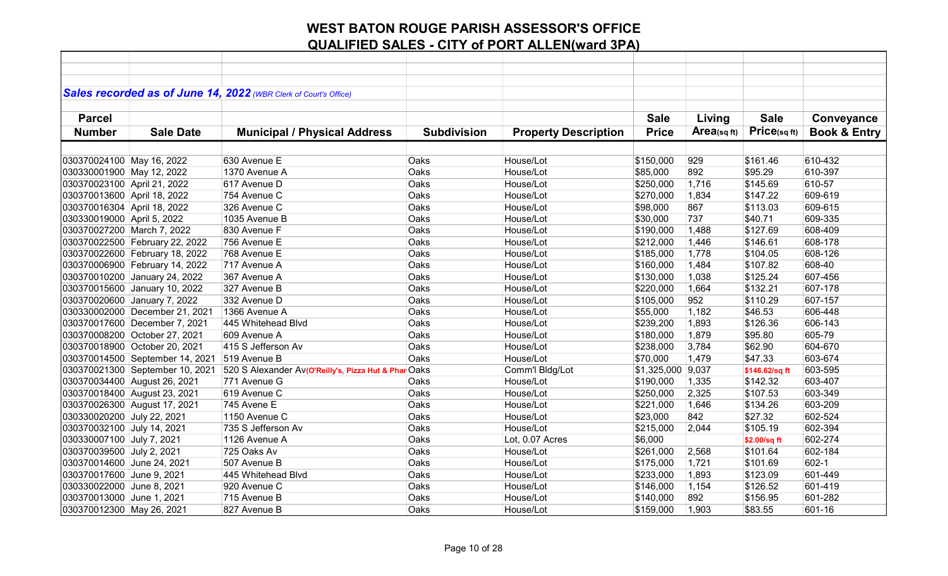| Sales recorded as of June 14, 2022 (WBR Clerk of Court's Office) |                                                      |                    |                             |              |            |                |                         |
|------------------------------------------------------------------|------------------------------------------------------|--------------------|-----------------------------|--------------|------------|----------------|-------------------------|
|                                                                  |                                                      |                    |                             |              |            |                |                         |
| <b>Parcel</b>                                                    |                                                      |                    |                             | <b>Sale</b>  | Living     | <b>Sale</b>    | Conveyance              |
| <b>Sale Date</b>                                                 |                                                      |                    |                             | <b>Price</b> | Area(sqft) | Price(sqft)    |                         |
| <b>Number</b>                                                    | <b>Municipal / Physical Address</b>                  | <b>Subdivision</b> | <b>Property Description</b> |              |            |                | <b>Book &amp; Entry</b> |
|                                                                  |                                                      |                    |                             |              |            |                |                         |
| 030370024100 May 16, 2022                                        | 630 Avenue E                                         | Oaks               | House/Lot                   | \$150,000    | 929        | \$161.46       | 610-432                 |
| 030330001900 May 12, 2022                                        | 1370 Avenue A                                        | Oaks               | House/Lot                   | \$85,000     | 892        | \$95.29        | 610-397                 |
| 030370023100 April 21, 2022                                      | 617 Avenue D                                         | Oaks               | House/Lot                   | \$250,000    | 1,716      | \$145.69       | 610-57                  |
| 030370013600 April 18, 2022                                      | 754 Avenue C                                         | Oaks               | House/Lot                   | \$270,000    | 1,834      | \$147.22       | 609-619                 |
| 030370016304 April 18, 2022                                      | 326 Avenue C                                         | Oaks               | House/Lot                   | \$98,000     | 867        | \$113.03       | 609-615                 |
| 030330019000 April 5, 2022                                       | 1035 Avenue B                                        | Oaks               | House/Lot                   | \$30,000     | 737        | \$40.71        | 609-335                 |
| 030370027200 March 7, 2022                                       | 830 Avenue F                                         | Oaks               | House/Lot                   | \$190,000    | 1,488      | \$127.69       | 608-409                 |
| 030370022500 February 22, 2022                                   | 756 Avenue E                                         | Oaks               | House/Lot                   | \$212,000    | 1,446      | \$146.61       | 608-178                 |
| 030370022600 February 18, 2022                                   | 768 Avenue E                                         | Oaks               | House/Lot                   | \$185,000    | 1,778      | \$104.05       | 608-126                 |
| 030370006900 February 14, 2022                                   | 717 Avenue A                                         | Oaks               | House/Lot                   | \$160,000    | 1,484      | \$107.82       | 608-40                  |
| 030370010200 January 24, 2022                                    | 367 Avenue A                                         | Oaks               | House/Lot                   | \$130,000    | 1,038      | \$125.24       | 607-456                 |
| 030370015600 January 10, 2022                                    | 327 Avenue B                                         | Oaks               | House/Lot                   | \$220,000    | 1,664      | \$132.21       | 607-178                 |
| 030370020600 January 7, 2022                                     | 332 Avenue D                                         | Oaks               | House/Lot                   | \$105,000    | 952        | \$110.29       | 607-157                 |
| 030330002000 December 21, 2021                                   | 1366 Avenue A                                        | Oaks               | House/Lot                   | \$55,000     | 1,182      | \$46.53        | 606-448                 |
| 030370017600 December 7, 2021                                    | 445 Whitehead Blvd                                   | Oaks               | House/Lot                   | \$239,200    | 1,893      | \$126.36       | 606-143                 |
| 030370008200 October 27, 2021                                    | 609 Avenue A                                         | Oaks               | House/Lot                   | \$180,000    | 1,879      | \$95.80        | 605-79                  |
| 030370018900 October 20, 2021                                    | 415 S Jefferson Av                                   | Oaks               | House/Lot                   | \$238,000    | 3,784      | \$62.90        | 604-670                 |
| 030370014500 September 14, 2021                                  | 519 Avenue B                                         | Oaks               | House/Lot                   | \$70,000     | 1,479      | \$47.33        | 603-674                 |
| 030370021300 September 10, 2021                                  | 520 S Alexander Av(O'Reilly's, Pizza Hut & Phar Oaks |                    | Comm'l Bldg/Lot             | \$1,325,000  | 9,037      | \$146.62/sq ft | 603-595                 |
| 030370034400 August 26, 2021                                     | 771 Avenue G                                         | Oaks               | House/Lot                   | \$190,000    | 1,335      | \$142.32       | 603-407                 |
| 030370018400 August 23, 2021                                     | 619 Avenue C                                         | Oaks               | House/Lot                   | \$250,000    | 2,325      | \$107.53       | 603-349                 |
| 030370026300 August 17, 2021                                     | 745 Avene E                                          | Oaks               | House/Lot                   | \$221,000    | 1,646      | \$134.26       | 603-209                 |
| 030330020200 July 22, 2021                                       | 1150 Avenue C                                        | Oaks               | House/Lot                   | \$23,000     | 842        | \$27.32        | 602-524                 |
| 030370032100 July 14, 2021                                       | 735 S Jefferson Av                                   | Oaks               | House/Lot                   | \$215,000    | 2,044      | \$105.19       | 602-394                 |
| 030330007100 July 7, 2021                                        | 1126 Avenue A                                        | Oaks               | Lot, 0.07 Acres             | \$6,000      |            | \$2.00/sq ft   | 602-274                 |
| 030370039500 July 2, 2021                                        | 725 Oaks Av                                          | Oaks               | House/Lot                   | \$261,000    | 2,568      | \$101.64       | 602-184                 |
| 030370014600 June 24, 2021                                       | 507 Avenue B                                         | Oaks               | House/Lot                   | \$175,000    | 1,721      | \$101.69       | 602-1                   |
| 030370017600 June 9, 2021                                        | 445 Whitehead Blvd                                   | Oaks               | House/Lot                   | \$233,000    | 1,893      | \$123.09       | 601-449                 |
| 030330022000 June 8, 2021                                        | 920 Avenue C                                         | Oaks               | House/Lot                   | \$146,000    | 1,154      | \$126.52       | 601-419                 |
| 030370013000 June 1, 2021                                        | 715 Avenue B                                         | Oaks               | House/Lot                   | \$140,000    | 892        | \$156.95       | 601-282                 |
| 030370012300 May 26, 2021                                        | 827 Avenue B                                         | Oaks               | House/Lot                   | \$159,000    | 1,903      | \$83.55        | 601-16                  |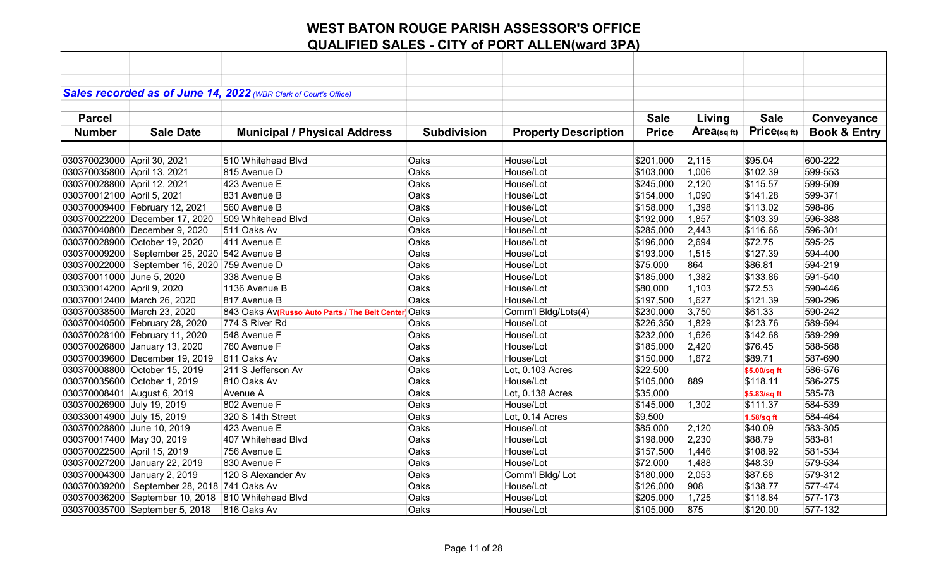|                             |                                                  | Sales recorded as of June 14, 2022 (WBR Clerk of Court's Office) |                    |                             |              |            |              |                         |
|-----------------------------|--------------------------------------------------|------------------------------------------------------------------|--------------------|-----------------------------|--------------|------------|--------------|-------------------------|
|                             |                                                  |                                                                  |                    |                             |              |            |              |                         |
| <b>Parcel</b>               |                                                  |                                                                  |                    |                             | <b>Sale</b>  | Living     | <b>Sale</b>  | Conveyance              |
| <b>Number</b>               | <b>Sale Date</b>                                 | <b>Municipal / Physical Address</b>                              | <b>Subdivision</b> | <b>Property Description</b> | <b>Price</b> | Area(sqft) | Price(sqft)  | <b>Book &amp; Entry</b> |
|                             |                                                  |                                                                  |                    |                             |              |            |              |                         |
| 030370023000 April 30, 2021 |                                                  | 510 Whitehead Blvd                                               | Oaks               | House/Lot                   | \$201,000    | 2,115      | \$95.04      | 600-222                 |
| 030370035800 April 13, 2021 |                                                  | 815 Avenue D                                                     | Oaks               | House/Lot                   | \$103,000    | 1,006      | \$102.39     | 599-553                 |
| 030370028800 April 12, 2021 |                                                  | 423 Avenue E                                                     | Oaks               | House/Lot                   | \$245,000    | 2,120      | \$115.57     | 599-509                 |
| 030370012100 April 5, 2021  |                                                  | 831 Avenue B                                                     | Oaks               | House/Lot                   | \$154,000    | 1,090      | \$141.28     | 599-371                 |
|                             | 030370009400 February 12, 2021                   | 560 Avenue B                                                     | Oaks               | House/Lot                   | \$158,000    | 1,398      | \$113.02     | 598-86                  |
|                             | 030370022200 December 17, 2020                   | 509 Whitehead Blvd                                               | Oaks               | House/Lot                   | \$192,000    | 1,857      | \$103.39     | 596-388                 |
|                             | 030370040800 December 9, 2020                    | 511 Oaks Av                                                      | Oaks               | House/Lot                   | \$285,000    | 2,443      | \$116.66     | 596-301                 |
|                             | 030370028900 October 19, 2020                    | 411 Avenue E                                                     | Oaks               | House/Lot                   | \$196,000    | 2,694      | \$72.75      | 595-25                  |
|                             | 030370009200   September 25, 2020   542 Avenue B |                                                                  | Oaks               | House/Lot                   | \$193,000    | 1,515      | \$127.39     | 594-400                 |
|                             | 030370022000   September 16, 2020   759 Avenue D |                                                                  | Oaks               | House/Lot                   | \$75,000     | 864        | \$86.81      | 594-219                 |
| 030370011000 June 5, 2020   |                                                  | 338 Avenue B                                                     | Oaks               | House/Lot                   | \$185,000    | 1,382      | \$133.86     | 591-540                 |
| 030330014200 April 9, 2020  |                                                  | 1136 Avenue B                                                    | Oaks               | House/Lot                   | \$80,000     | 1,103      | \$72.53      | 590-446                 |
|                             | 030370012400 March 26, 2020                      | 817 Avenue B                                                     | Oaks               | House/Lot                   | \$197,500    | 1,627      | \$121.39     | 590-296                 |
|                             | 030370038500 March 23, 2020                      | 843 Oaks Av(Russo Auto Parts / The Belt Center) Oaks             |                    | Comm'l Bldg/Lots(4)         | \$230,000    | 3,750      | \$61.33      | 590-242                 |
|                             | 030370040500 February 28, 2020                   | 774 S River Rd                                                   | Oaks               | House/Lot                   | \$226,350    | 1,829      | \$123.76     | 589-594                 |
|                             | 030370028100 February 11, 2020                   | 548 Avenue F                                                     | Oaks               | House/Lot                   | \$232,000    | 1,626      | \$142.68     | 589-299                 |
|                             | 030370026800 January 13, 2020                    | 760 Avenue F                                                     | Oaks               | House/Lot                   | \$185,000    | 2,420      | \$76.45      | 588-568                 |
|                             | 030370039600 December 19, 2019                   | 611 Oaks Av                                                      | Oaks               | House/Lot                   | \$150,000    | 1,672      | \$89.71      | 587-690                 |
|                             | 030370008800 October 15, 2019                    | 211 S Jefferson Av                                               | Oaks               | Lot, 0.103 Acres            | \$22,500     |            | \$5.00/sq ft | 586-576                 |
|                             | 030370035600 October 1, 2019                     | 810 Oaks Av                                                      | Oaks               | House/Lot                   | \$105,000    | 889        | \$118.11     | 586-275                 |
| 030370008401 August 6, 2019 |                                                  | Avenue A                                                         | Oaks               | Lot, 0.138 Acres            | \$35,000     |            | \$5.83/sq ft | 585-78                  |
| 030370026900 July 19, 2019  |                                                  | 802 Avenue F                                                     | Oaks               | House/Lot                   | \$145,000    | 1,302      | \$111.37     | 584-539                 |
| 030330014900 July 15, 2019  |                                                  | 320 S 14th Street                                                | Oaks               | Lot, 0.14 Acres             | \$9,500      |            | 1.58/sq ft   | 584-464                 |
| 030370028800 June 10, 2019  |                                                  | 423 Avenue E                                                     | Oaks               | House/Lot                   | \$85,000     | 2,120      | \$40.09      | 583-305                 |
| 030370017400 May 30, 2019   |                                                  | 407 Whitehead Blvd                                               | Oaks               | House/Lot                   | \$198,000    | 2,230      | \$88.79      | 583-81                  |
| 030370022500 April 15, 2019 |                                                  | 756 Avenue E                                                     | Oaks               | House/Lot                   | \$157,500    | 1,446      | \$108.92     | 581-534                 |
|                             | 030370027200 January 22, 2019                    | 830 Avenue F                                                     | Oaks               | House/Lot                   | \$72,000     | 1,488      | \$48.39      | 579-534                 |
|                             | 030370004300 January 2, 2019                     | 120 S Alexander Av                                               | Oaks               | Comm'l Bldg/Lot             | \$180,000    | 2,053      | \$87.68      | 579-312                 |
| 030370039200                | September 28, 2018 741 Oaks Av                   |                                                                  | Oaks               | House/Lot                   | \$126,000    | 908        | \$138.77     | 577-474                 |
|                             | 030370036200 September 10, 2018                  | 810 Whitehead Blvd                                               | Oaks               | House/Lot                   | \$205,000    | 1,725      | \$118.84     | 577-173                 |
|                             | 030370035700 September 5, 2018                   | 816 Oaks Av                                                      | Oaks               | House/Lot                   | \$105,000    | 875        | \$120.00     | 577-132                 |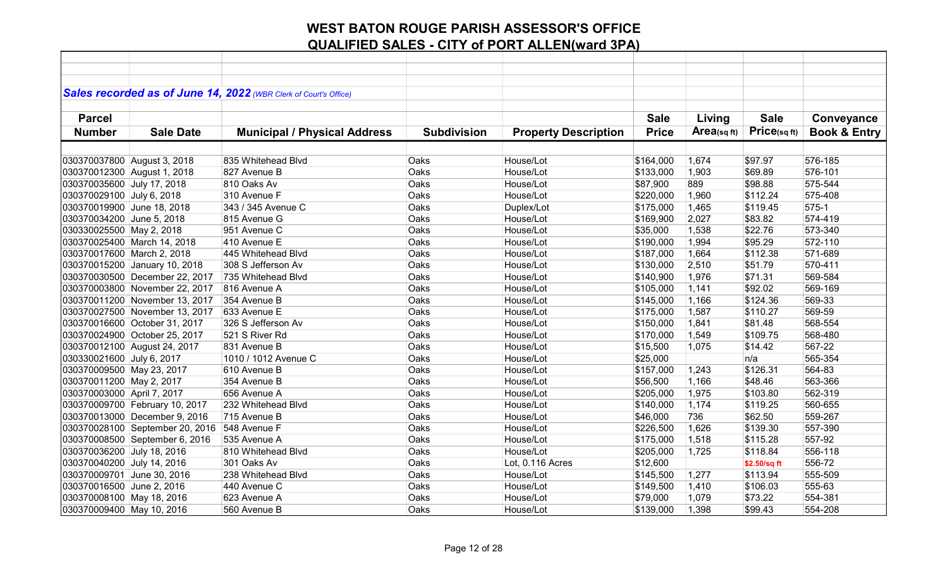|                             |                                 | Sales recorded as of June 14, 2022 (WBR Clerk of Court's Office) |                    |                             |              |            |              |                         |
|-----------------------------|---------------------------------|------------------------------------------------------------------|--------------------|-----------------------------|--------------|------------|--------------|-------------------------|
|                             |                                 |                                                                  |                    |                             |              |            |              |                         |
| <b>Parcel</b>               |                                 |                                                                  |                    |                             | <b>Sale</b>  | Living     | <b>Sale</b>  | Conveyance              |
| <b>Number</b>               | <b>Sale Date</b>                | <b>Municipal / Physical Address</b>                              | <b>Subdivision</b> | <b>Property Description</b> | <b>Price</b> | Area(sqft) | Price(sqft)  | <b>Book &amp; Entry</b> |
|                             |                                 |                                                                  |                    |                             |              |            |              |                         |
| 030370037800 August 3, 2018 |                                 | 835 Whitehead Blvd                                               | Oaks               | House/Lot                   | \$164,000    | 1,674      | \$97.97      | 576-185                 |
| 030370012300 August 1, 2018 |                                 | 827 Avenue B                                                     | Oaks               | House/Lot                   | \$133,000    | 1,903      | \$69.89      | 576-101                 |
| 030370035600 July 17, 2018  |                                 | 810 Oaks Av                                                      | Oaks               | House/Lot                   | \$87,900     | 889        | \$98.88      | 575-544                 |
| 030370029100 July 6, 2018   |                                 | 310 Avenue F                                                     | Oaks               | House/Lot                   | \$220,000    | 1,960      | \$112.24     | 575-408                 |
| 030370019900 June 18, 2018  |                                 | 343 / 345 Avenue C                                               | Oaks               | Duplex/Lot                  | \$175,000    | 1,465      | \$119.45     | 575-1                   |
| 030370034200 June 5, 2018   |                                 | 815 Avenue G                                                     | Oaks               | House/Lot                   | \$169,900    | 2,027      | \$83.82      | 574-419                 |
| 030330025500 May 2, 2018    |                                 | 951 Avenue C                                                     | Oaks               | House/Lot                   | \$35,000     | 1,538      | \$22.76      | 573-340                 |
|                             | 030370025400 March 14, 2018     | 410 Avenue E                                                     | Oaks               | House/Lot                   | \$190,000    | 1,994      | \$95.29      | 572-110                 |
| 030370017600 March 2, 2018  |                                 | 445 Whitehead Blvd                                               | Oaks               | House/Lot                   | \$187,000    | 1,664      | \$112.38     | 571-689                 |
|                             | 030370015200 January 10, 2018   | 308 S Jefferson Av                                               | Oaks               | House/Lot                   | \$130,000    | 2,510      | \$51.79      | 570-411                 |
|                             | 030370030500 December 22, 2017  | 735 Whitehead Blvd                                               | Oaks               | House/Lot                   | \$140,900    | 1,976      | \$71.31      | 569-584                 |
|                             | 030370003800 November 22, 2017  | 816 Avenue A                                                     | Oaks               | House/Lot                   | \$105,000    | 1,141      | \$92.02      | 569-169                 |
|                             | 030370011200 November 13, 2017  | 354 Avenue B                                                     | Oaks               | House/Lot                   | \$145,000    | 1,166      | \$124.36     | 569-33                  |
|                             | 030370027500 November 13, 2017  | 633 Avenue E                                                     | Oaks               | House/Lot                   | \$175,000    | 1,587      | \$110.27     | 569-59                  |
|                             | 030370016600 October 31, 2017   | 326 S Jefferson Av                                               | Oaks               | House/Lot                   | \$150,000    | 1,841      | \$81.48      | 568-554                 |
|                             | 030370024900 October 25, 2017   | 521 S River Rd                                                   | Oaks               | House/Lot                   | \$170,000    | 1,549      | \$109.75     | 568-480                 |
|                             | 030370012100 August 24, 2017    | 831 Avenue B                                                     | Oaks               | House/Lot                   | \$15,500     | 1,075      | \$14.42      | 567-22                  |
| 030330021600 July 6, 2017   |                                 | 1010 / 1012 Avenue C                                             | Oaks               | House/Lot                   | \$25,000     |            | n/a          | 565-354                 |
| 030370009500 May 23, 2017   |                                 | 610 Avenue B                                                     | Oaks               | House/Lot                   | \$157,000    | 1,243      | \$126.31     | 564-83                  |
| 030370011200 May 2, 2017    |                                 | 354 Avenue B                                                     | Oaks               | House/Lot                   | \$56,500     | 1,166      | \$48.46      | 563-366                 |
| 030370003000 April 7, 2017  |                                 | 656 Avenue A                                                     | Oaks               | House/Lot                   | \$205,000    | 1,975      | \$103.80     | 562-319                 |
|                             | 030370009700 February 10, 2017  | 232 Whitehead Blvd                                               | Oaks               | House/Lot                   | \$140,000    | 1,174      | \$119.25     | 560-655                 |
|                             | 030370013000 December 9, 2016   | 715 Avenue B                                                     | Oaks               | House/Lot                   | \$46,000     | 736        | \$62.50      | 559-267                 |
|                             | 030370028100 September 20, 2016 | 548 Avenue F                                                     | Oaks               | House/Lot                   | \$226,500    | 1,626      | \$139.30     | 557-390                 |
|                             | 030370008500 September 6, 2016  | 535 Avenue A                                                     | Oaks               | House/Lot                   | \$175,000    | 1,518      | \$115.28     | 557-92                  |
| 030370036200 July 18, 2016  |                                 | 810 Whitehead Blvd                                               | Oaks               | House/Lot                   | \$205,000    | 1,725      | \$118.84     | 556-118                 |
| 030370040200 July 14, 2016  |                                 | 301 Oaks Av                                                      | Oaks               | Lot, 0.116 Acres            | \$12,600     |            | \$2.50/sq ft | 556-72                  |
| 030370009701 June 30, 2016  |                                 | 238 Whitehead Blvd                                               | Oaks               | House/Lot                   | \$145,500    | 1,277      | \$113.94     | 555-509                 |
| 030370016500 June 2, 2016   |                                 | 440 Avenue C                                                     | Oaks               | House/Lot                   | \$149,500    | 1,410      | \$106.03     | 555-63                  |
| 030370008100 May 18, 2016   |                                 | 623 Avenue A                                                     | Oaks               | House/Lot                   | \$79,000     | 1,079      | \$73.22      | 554-381                 |
| 030370009400 May 10, 2016   |                                 | 560 Avenue B                                                     | Oaks               | House/Lot                   | \$139,000    | 1,398      | \$99.43      | 554-208                 |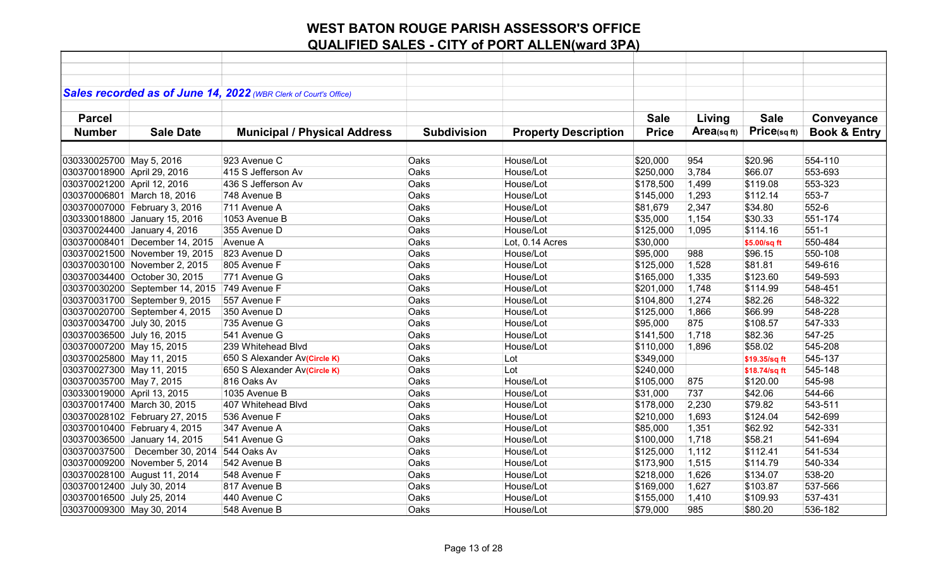|                             |                                  | Sales recorded as of June 14, 2022 (WBR Clerk of Court's Office) |                    |                             |              |             |               |                         |
|-----------------------------|----------------------------------|------------------------------------------------------------------|--------------------|-----------------------------|--------------|-------------|---------------|-------------------------|
|                             |                                  |                                                                  |                    |                             |              |             |               |                         |
| <b>Parcel</b>               |                                  |                                                                  |                    |                             | <b>Sale</b>  | Living      | <b>Sale</b>   | Conveyance              |
| <b>Number</b>               | <b>Sale Date</b>                 | <b>Municipal / Physical Address</b>                              | <b>Subdivision</b> | <b>Property Description</b> | <b>Price</b> | Area(sq ft) | Price(sq ft)  | <b>Book &amp; Entry</b> |
|                             |                                  |                                                                  |                    |                             |              |             |               |                         |
| 030330025700 May 5, 2016    |                                  | 923 Avenue C                                                     | Oaks               | House/Lot                   | \$20,000     | 954         | \$20.96       | 554-110                 |
| 030370018900 April 29, 2016 |                                  | 415 S Jefferson Av                                               | Oaks               | House/Lot                   | \$250,000    | 3,784       | \$66.07       | 553-693                 |
| 030370021200 April 12, 2016 |                                  | 436 S Jefferson Av                                               | Oaks               | House/Lot                   | \$178,500    | 1,499       | \$119.08      | 553-323                 |
|                             | 030370006801 March 18, 2016      | 748 Avenue B                                                     | Oaks               | House/Lot                   | \$145,000    | 1,293       | \$112.14      | 553-7                   |
|                             | 030370007000 February 3, 2016    | 711 Avenue A                                                     | Oaks               | House/Lot                   | \$81,679     | 2,347       | \$34.80       | 552-6                   |
|                             | 030330018800 January 15, 2016    | 1053 Avenue B                                                    | Oaks               | House/Lot                   | \$35,000     | 1,154       | \$30.33       | 551-174                 |
|                             | 030370024400 January 4, 2016     | 355 Avenue D                                                     | Oaks               | House/Lot                   | \$125,000    | 1,095       | \$114.16      | $551-1$                 |
|                             | 030370008401 December 14, 2015   | Avenue A                                                         | Oaks               | Lot, 0.14 Acres             | \$30,000     |             | \$5.00/sq ft  | 550-484                 |
|                             | 030370021500 November 19, 2015   | 823 Avenue D                                                     | Oaks               | House/Lot                   | \$95,000     | 988         | \$96.15       | 550-108                 |
|                             | 030370030100 November 2, 2015    | 805 Avenue F                                                     | Oaks               | House/Lot                   | \$125,000    | 1,528       | \$81.81       | 549-616                 |
|                             | 030370034400 October 30, 2015    | 771 Avenue G                                                     | Oaks               | House/Lot                   | \$165,000    | 1,335       | \$123.60      | 549-593                 |
|                             | 030370030200 September 14, 2015  | 749 Avenue F                                                     | Oaks               | House/Lot                   | \$201,000    | 1,748       | \$114.99      | 548-451                 |
|                             | 030370031700 September 9, 2015   | 557 Avenue F                                                     | Oaks               | House/Lot                   | \$104,800    | 1,274       | \$82.26       | 548-322                 |
|                             | 030370020700 September 4, 2015   | 350 Avenue D                                                     | Oaks               | House/Lot                   | \$125,000    | 1,866       | \$66.99       | 548-228                 |
| 030370034700 July 30, 2015  |                                  | 735 Avenue G                                                     | Oaks               | House/Lot                   | \$95,000     | 875         | \$108.57      | 547-333                 |
| 030370036500 July 16, 2015  |                                  | 541 Avenue G                                                     | Oaks               | House/Lot                   | \$141,500    | 1,718       | \$82.36       | 547-25                  |
| 030370007200 May 15, 2015   |                                  | 239 Whitehead Blvd                                               | Oaks               | House/Lot                   | \$110,000    | 1,896       | \$58.02       | 545-208                 |
| 030370025800 May 11, 2015   |                                  | 650 S Alexander Av(Circle K)                                     | Oaks               | Lot                         | \$349,000    |             | \$19.35/sq ft | 545-137                 |
| 030370027300 May 11, 2015   |                                  | 650 S Alexander Av(Circle K)                                     | Oaks               | Lot                         | \$240,000    |             | \$18.74/sq ft | 545-148                 |
| 030370035700 May 7, 2015    |                                  | 816 Oaks Av                                                      | Oaks               | House/Lot                   | \$105,000    | 875         | \$120.00      | 545-98                  |
| 030330019000 April 13, 2015 |                                  | 1035 Avenue B                                                    | Oaks               | House/Lot                   | \$31,000     | 737         | \$42.06       | 544-66                  |
|                             | 030370017400 March 30, 2015      | 407 Whitehead Blvd                                               | Oaks               | House/Lot                   | \$178,000    | 2,230       | \$79.82       | 543-511                 |
|                             | 030370028102 February 27, 2015   | 536 Avenue F                                                     | Oaks               | House/Lot                   | \$210,000    | 1,693       | \$124.04      | 542-699                 |
|                             | 030370010400 February 4, 2015    | 347 Avenue A                                                     | Oaks               | House/Lot                   | \$85,000     | 1,351       | \$62.92       | 542-331                 |
|                             | 030370036500 January 14, 2015    | 541 Avenue G                                                     | Oaks               | House/Lot                   | \$100,000    | 1,718       | \$58.21       | 541-694                 |
|                             | 030370037500   December 30, 2014 | 544 Oaks Av                                                      | Oaks               | House/Lot                   | \$125,000    | 1,112       | \$112.41      | 541-534                 |
|                             | 030370009200 November 5, 2014    | 542 Avenue B                                                     | Oaks               | House/Lot                   | \$173,900    | 1,515       | \$114.79      | 540-334                 |
|                             | 030370028100 August 11, 2014     | 548 Avenue F                                                     | Oaks               | House/Lot                   | \$218,000    | 1,626       | \$134.07      | 538-20                  |
| 030370012400 July 30, 2014  |                                  | 817 Avenue B                                                     | Oaks               | House/Lot                   | \$169,000    | 1,627       | \$103.87      | 537-566                 |
| 030370016500 July 25, 2014  |                                  | 440 Avenue C                                                     | Oaks               | House/Lot                   | \$155,000    | 1,410       | \$109.93      | 537-431                 |
| 030370009300 May 30, 2014   |                                  | 548 Avenue B                                                     | Oaks               | House/Lot                   | \$79,000     | 985         | \$80.20       | 536-182                 |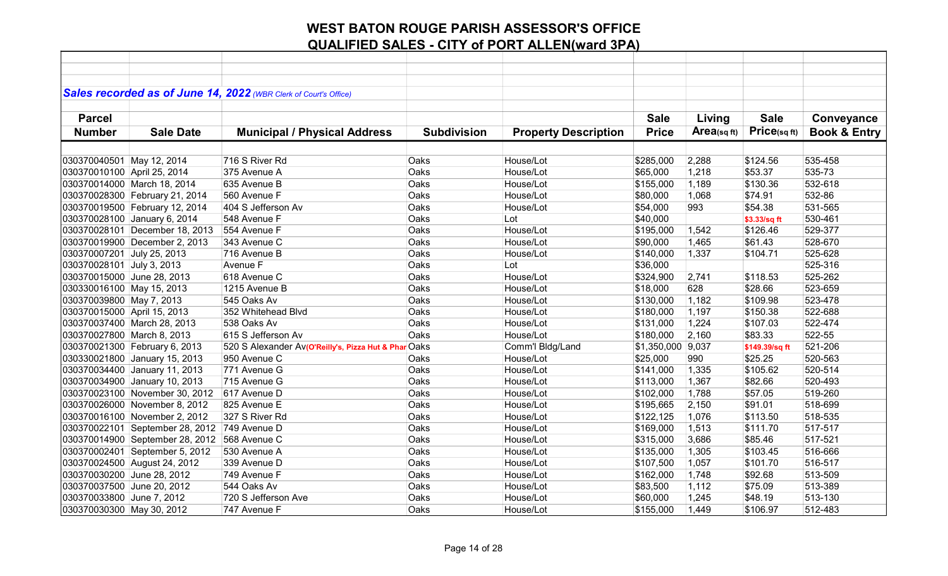|                             |                                 | Sales recorded as of June 14, 2022 (WBR Clerk of Court's Office) |                    |                             |                   |            |                |                         |
|-----------------------------|---------------------------------|------------------------------------------------------------------|--------------------|-----------------------------|-------------------|------------|----------------|-------------------------|
|                             |                                 |                                                                  |                    |                             |                   |            |                |                         |
| <b>Parcel</b>               |                                 |                                                                  |                    |                             | <b>Sale</b>       | Living     | <b>Sale</b>    | Conveyance              |
| <b>Number</b>               | <b>Sale Date</b>                | <b>Municipal / Physical Address</b>                              | <b>Subdivision</b> | <b>Property Description</b> | <b>Price</b>      | Area(sqft) | Price(sqft)    | <b>Book &amp; Entry</b> |
|                             |                                 |                                                                  |                    |                             |                   |            |                |                         |
|                             |                                 |                                                                  |                    |                             |                   |            |                |                         |
| 030370040501 May 12, 2014   |                                 | 716 S River Rd                                                   | Oaks               | House/Lot                   | \$285,000         | 2,288      | \$124.56       | 535-458                 |
| 030370010100 April 25, 2014 |                                 | 375 Avenue A                                                     | Oaks               | House/Lot                   | \$65,000          | 1,218      | \$53.37        | 535-73                  |
|                             | 030370014000 March 18, 2014     | 635 Avenue B                                                     | Oaks               | House/Lot                   | \$155,000         | 1,189      | \$130.36       | 532-618                 |
|                             | 030370028300 February 21, 2014  | 560 Avenue F                                                     | Oaks               | House/Lot                   | \$80,000          | 1,068      | \$74.91        | 532-86                  |
|                             | 030370019500 February 12, 2014  | 404 S Jefferson Av                                               | Oaks               | House/Lot                   | \$54,000          | 993        | \$54.38        | 531-565                 |
|                             | 030370028100 January 6, 2014    | 548 Avenue F                                                     | Oaks               | Lot                         | \$40,000          |            | \$3.33/sq ft   | 530-461                 |
|                             | 030370028101 December 18, 2013  | 554 Avenue F                                                     | Oaks               | House/Lot                   | \$195,000         | 1,542      | \$126.46       | 529-377                 |
|                             | 030370019900 December 2, 2013   | 343 Avenue C                                                     | Oaks               | House/Lot                   | \$90,000          | 1,465      | \$61.43        | 528-670                 |
| 030370007201 July 25, 2013  |                                 | 716 Avenue B                                                     | Oaks               | House/Lot                   | \$140,000         | 1,337      | \$104.71       | 525-628                 |
| 030370028101 July 3, 2013   |                                 | Avenue F                                                         | Oaks               | Lot                         | \$36,000          |            |                | 525-316                 |
| 030370015000 June 28, 2013  |                                 | 618 Avenue C                                                     | Oaks               | House/Lot                   | \$324,900         | 2,741      | \$118.53       | 525-262                 |
| 030330016100 May 15, 2013   |                                 | 1215 Avenue B                                                    | Oaks               | House/Lot                   | \$18,000          | 628        | \$28.66        | 523-659                 |
| 030370039800 May 7, 2013    |                                 | 545 Oaks Av                                                      | Oaks               | House/Lot                   | \$130,000         | 1,182      | \$109.98       | 523-478                 |
| 030370015000 April 15, 2013 |                                 | 352 Whitehead Blvd                                               | Oaks               | House/Lot                   | \$180,000         | 1,197      | \$150.38       | 522-688                 |
|                             | 030370037400 March 28, 2013     | 538 Oaks Av                                                      | Oaks               | House/Lot                   | \$131,000         | 1,224      | \$107.03       | 522-474                 |
| 030370027800 March 8, 2013  |                                 | 615 S Jefferson Av                                               | Oaks               | House/Lot                   | \$180,000         | 2,160      | \$83.33        | 522-55                  |
|                             | 030370021300 February 6, 2013   | 520 S Alexander Av(O'Reilly's, Pizza Hut & Phar Oaks             |                    | Comm'l Bldg/Land            | \$1,350,000 9,037 |            | \$149.39/sq ft | 521-206                 |
|                             | 030330021800 January 15, 2013   | 950 Avenue C                                                     | Oaks               | House/Lot                   | \$25,000          | 990        | \$25.25        | 520-563                 |
|                             | 030370034400 January 11, 2013   | 771 Avenue G                                                     | Oaks               | House/Lot                   | \$141,000         | 1,335      | \$105.62       | 520-514                 |
|                             | 030370034900 January 10, 2013   | 715 Avenue G                                                     | Oaks               | House/Lot                   | \$113,000         | 1,367      | \$82.66        | 520-493                 |
|                             | 030370023100 November 30, 2012  | 617 Avenue D                                                     | Oaks               | House/Lot                   | \$102,000         | 1,788      | \$57.05        | 519-260                 |
|                             | 030370026000 November 8, 2012   | 825 Avenue E                                                     | Oaks               | House/Lot                   | \$195,665         | 2,150      | \$91.01        | 518-699                 |
|                             | 030370016100 November 2, 2012   | 327 S River Rd                                                   | Oaks               | House/Lot                   | \$122, 125        | 1,076      | \$113.50       | 518-535                 |
|                             | 030370022101 September 28, 2012 | 749 Avenue D                                                     | Oaks               | House/Lot                   | \$169,000         | 1,513      | \$111.70       | 517-517                 |
|                             | 030370014900 September 28, 2012 | 568 Avenue C                                                     | Oaks               | House/Lot                   | \$315,000         | 3,686      | \$85.46        | 517-521                 |
|                             | 030370002401 September 5, 2012  | 530 Avenue A                                                     | Oaks               | House/Lot                   | \$135,000         | 1,305      | \$103.45       | 516-666                 |
|                             | 030370024500 August 24, 2012    | 339 Avenue D                                                     | Oaks               | House/Lot                   | \$107,500         | 1,057      | \$101.70       | 516-517                 |
| 030370030200 June 28, 2012  |                                 | 749 Avenue F                                                     | Oaks               | House/Lot                   | \$162,000         | 1,748      | \$92.68        | 513-509                 |
| 030370037500 June 20, 2012  |                                 | 544 Oaks Av                                                      | Oaks               | House/Lot                   | \$83,500          | 1,112      | \$75.09        | 513-389                 |
| 030370033800 June 7, 2012   |                                 | 720 S Jefferson Ave                                              | Oaks               | House/Lot                   | \$60,000          | 1,245      | \$48.19        | 513-130                 |
| 030370030300 May 30, 2012   |                                 | 747 Avenue F                                                     | Oaks               | House/Lot                   | \$155,000         | 1,449      | \$106.97       | 512-483                 |
|                             |                                 |                                                                  |                    |                             |                   |            |                |                         |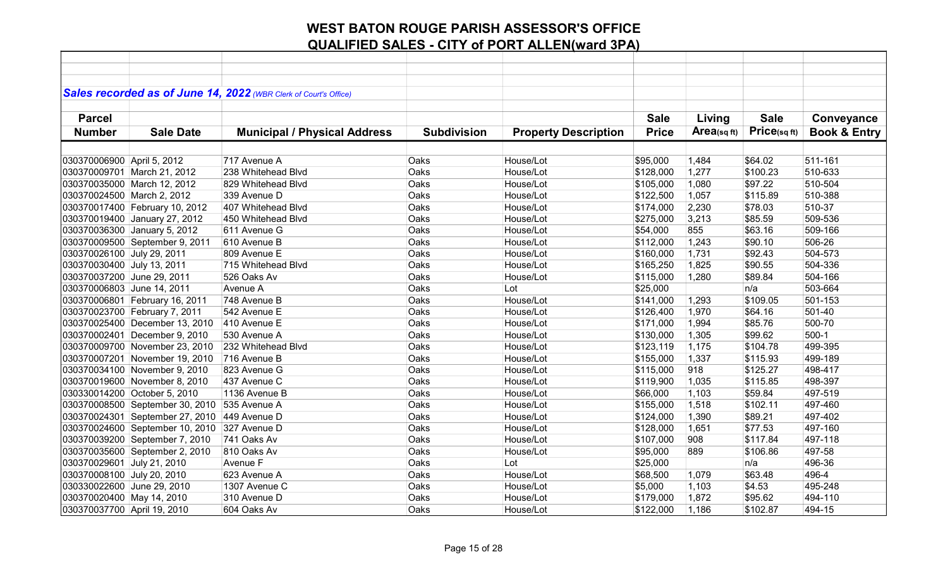|                             |                                 | Sales recorded as of June 14, 2022 (WBR Clerk of Court's Office) |                    |                             |              |            |             |                         |
|-----------------------------|---------------------------------|------------------------------------------------------------------|--------------------|-----------------------------|--------------|------------|-------------|-------------------------|
|                             |                                 |                                                                  |                    |                             |              |            |             |                         |
| <b>Parcel</b>               |                                 |                                                                  |                    |                             | <b>Sale</b>  | Living     | <b>Sale</b> | Conveyance              |
| <b>Number</b>               | <b>Sale Date</b>                | <b>Municipal / Physical Address</b>                              | <b>Subdivision</b> | <b>Property Description</b> | <b>Price</b> | Area(sqft) | Price(sqft) | <b>Book &amp; Entry</b> |
|                             |                                 |                                                                  |                    |                             |              |            |             |                         |
| 030370006900 April 5, 2012  |                                 | 717 Avenue A                                                     | Oaks               | House/Lot                   | \$95,000     | 1,484      | \$64.02     | 511-161                 |
|                             | 030370009701 March 21, 2012     | 238 Whitehead Blvd                                               | Oaks               | House/Lot                   | \$128,000    | 1,277      | \$100.23    | 510-633                 |
|                             | 030370035000 March 12, 2012     | 829 Whitehead Blvd                                               | Oaks               | House/Lot                   | \$105,000    | 1,080      | \$97.22     | 510-504                 |
| 030370024500 March 2, 2012  |                                 | 339 Avenue D                                                     | Oaks               | House/Lot                   | \$122,500    | 1,057      | \$115.89    | 510-388                 |
|                             | 030370017400 February 10, 2012  | 407 Whitehead Blvd                                               | Oaks               | House/Lot                   | \$174,000    | 2,230      | \$78.03     | 510-37                  |
|                             | 030370019400 January 27, 2012   | 450 Whitehead Blvd                                               | Oaks               | House/Lot                   | \$275,000    | 3,213      | \$85.59     | 509-536                 |
|                             | 030370036300 January 5, 2012    | 611 Avenue G                                                     | Oaks               | House/Lot                   | \$54,000     | 855        | \$63.16     | 509-166                 |
|                             | 030370009500 September 9, 2011  | 610 Avenue B                                                     | Oaks               | House/Lot                   | \$112,000    | 1,243      | \$90.10     | 506-26                  |
| 030370026100 July 29, 2011  |                                 | 809 Avenue E                                                     | Oaks               | House/Lot                   | \$160,000    | 1,731      | \$92.43     | 504-573                 |
| 030370030400 July 13, 2011  |                                 | 715 Whitehead Blvd                                               | Oaks               | House/Lot                   | \$165,250    | 1,825      | \$90.55     | 504-336                 |
| 030370037200 June 29, 2011  |                                 | 526 Oaks Av                                                      | Oaks               | House/Lot                   | \$115,000    | 1,280      | \$89.84     | 504-166                 |
| 030370006803 June 14, 2011  |                                 | Avenue A                                                         | Oaks               | Lot                         | \$25,000     |            | n/a         | 503-664                 |
|                             | 030370006801 February 16, 2011  | 748 Avenue B                                                     | Oaks               | House/Lot                   | \$141,000    | 1,293      | \$109.05    | 501-153                 |
|                             | 030370023700 February 7, 2011   | 542 Avenue E                                                     | Oaks               | House/Lot                   | \$126,400    | 1,970      | \$64.16     | 501-40                  |
|                             | 030370025400 December 13, 2010  | 410 Avenue E                                                     | Oaks               | House/Lot                   | \$171,000    | 1,994      | \$85.76     | 500-70                  |
|                             | 030370002401 December 9, 2010   | 530 Avenue A                                                     | Oaks               | House/Lot                   | \$130,000    | 1,305      | \$99.62     | $500-1$                 |
|                             | 030370009700 November 23, 2010  | 232 Whitehead Blvd                                               | Oaks               | House/Lot                   | \$123,119    | 1,175      | \$104.78    | 499-395                 |
|                             | 030370007201 November 19, 2010  | 716 Avenue B                                                     | Oaks               | House/Lot                   | \$155,000    | 1,337      | \$115.93    | 499-189                 |
|                             | 030370034100 November 9, 2010   | 823 Avenue G                                                     | Oaks               | House/Lot                   | \$115,000    | 918        | \$125.27    | 498-417                 |
|                             | 030370019600 November 8, 2010   | 437 Avenue C                                                     | Oaks               | House/Lot                   | \$119,900    | 1,035      | \$115.85    | 498-397                 |
|                             | 030330014200 October 5, 2010    | 1136 Avenue B                                                    | Oaks               | House/Lot                   | \$66,000     | 1,103      | \$59.84     | 497-519                 |
|                             | 030370008500 September 30, 2010 | 535 Avenue A                                                     | Oaks               | House/Lot                   | \$155,000    | 1,518      | \$102.11    | 497-460                 |
|                             | 030370024301 September 27, 2010 | 449 Avenue D                                                     | Oaks               | House/Lot                   | \$124,000    | 1,390      | \$89.21     | 497-402                 |
|                             | 030370024600 September 10, 2010 | 327 Avenue D                                                     | Oaks               | House/Lot                   | \$128,000    | 1,651      | \$77.53     | 497-160                 |
|                             | 030370039200 September 7, 2010  | 741 Oaks Av                                                      | Oaks               | House/Lot                   | \$107,000    | 908        | \$117.84    | 497-118                 |
|                             | 030370035600 September 2, 2010  | 810 Oaks Av                                                      | Oaks               | House/Lot                   | \$95,000     | 889        | \$106.86    | 497-58                  |
| 030370029601 July 21, 2010  |                                 | Avenue F                                                         | Oaks               | Lot                         | \$25,000     |            | n/a         | 496-36                  |
| 030370008100 July 20, 2010  |                                 | 623 Avenue A                                                     | Oaks               | House/Lot                   | \$68,500     | 1,079      | \$63.48     | 496-4                   |
| 030330022600 June 29, 2010  |                                 | 1307 Avenue C                                                    | Oaks               | House/Lot                   | \$5,000      | 1,103      | \$4.53      | 495-248                 |
| 030370020400 May 14, 2010   |                                 | 310 Avenue D                                                     | Oaks               | House/Lot                   | \$179,000    | 1,872      | \$95.62     | 494-110                 |
| 030370037700 April 19, 2010 |                                 | 604 Oaks Av                                                      | Oaks               | House/Lot                   | \$122,000    | 1,186      | \$102.87    | 494-15                  |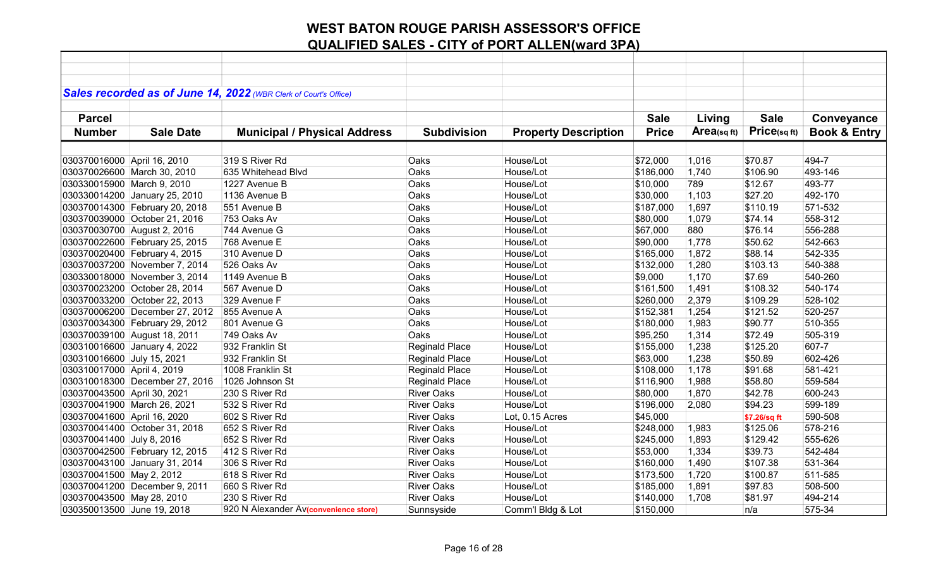|                             |                                | Sales recorded as of June 14, 2022 (WBR Clerk of Court's Office) |                       |                             |              |            |              |                         |
|-----------------------------|--------------------------------|------------------------------------------------------------------|-----------------------|-----------------------------|--------------|------------|--------------|-------------------------|
|                             |                                |                                                                  |                       |                             |              |            |              |                         |
| <b>Parcel</b>               |                                |                                                                  |                       |                             | <b>Sale</b>  | Living     | <b>Sale</b>  | Conveyance              |
| <b>Number</b>               | <b>Sale Date</b>               | <b>Municipal / Physical Address</b>                              | <b>Subdivision</b>    | <b>Property Description</b> | <b>Price</b> | Area(sqft) | Price(sq ft) | <b>Book &amp; Entry</b> |
|                             |                                |                                                                  |                       |                             |              |            |              |                         |
|                             |                                |                                                                  |                       |                             |              |            |              |                         |
| 030370016000 April 16, 2010 |                                | 319 S River Rd                                                   | Oaks                  | House/Lot                   | \$72,000     | 1,016      | \$70.87      | 494-7                   |
|                             | 030370026600 March 30, 2010    | 635 Whitehead Blvd                                               | Oaks                  | House/Lot                   | \$186,000    | 1,740      | \$106.90     | 493-146                 |
| 030330015900 March 9, 2010  |                                | 1227 Avenue B                                                    | Oaks                  | House/Lot                   | \$10,000     | 789        | \$12.67      | 493-77                  |
|                             | 030330014200 January 25, 2010  | 1136 Avenue B                                                    | Oaks                  | House/Lot                   | \$30,000     | 1,103      | \$27.20      | 492-170                 |
|                             | 030370014300 February 20, 2018 | 551 Avenue B                                                     | Oaks                  | House/Lot                   | \$187,000    | 1,697      | \$110.19     | 571-532                 |
|                             | 030370039000 October 21, 2016  | 753 Oaks Av                                                      | Oaks                  | House/Lot                   | \$80,000     | 1,079      | \$74.14      | 558-312                 |
|                             | 030370030700 August 2, 2016    | 744 Avenue G                                                     | Oaks                  | House/Lot                   | \$67,000     | 880        | \$76.14      | 556-288                 |
|                             | 030370022600 February 25, 2015 | 768 Avenue E                                                     | Oaks                  | House/Lot                   | \$90,000     | 1,778      | \$50.62      | 542-663                 |
|                             | 030370020400 February 4, 2015  | 310 Avenue D                                                     | Oaks                  | House/Lot                   | \$165,000    | 1,872      | \$88.14      | 542-335                 |
|                             | 030370037200 November 7, 2014  | 526 Oaks Av                                                      | Oaks                  | House/Lot                   | \$132,000    | 1,280      | \$103.13     | 540-388                 |
|                             | 030330018000 November 3, 2014  | 1149 Avenue B                                                    | Oaks                  | House/Lot                   | \$9,000      | 1,170      | \$7.69       | 540-260                 |
|                             | 030370023200 October 28, 2014  | 567 Avenue D                                                     | Oaks                  | House/Lot                   | \$161,500    | 1,491      | \$108.32     | 540-174                 |
|                             | 030370033200 October 22, 2013  | 329 Avenue F                                                     | Oaks                  | House/Lot                   | \$260,000    | 2,379      | \$109.29     | 528-102                 |
|                             | 030370006200 December 27, 2012 | 855 Avenue A                                                     | Oaks                  | House/Lot                   | \$152,381    | 1,254      | \$121.52     | 520-257                 |
|                             | 030370034300 February 29, 2012 | 801 Avenue G                                                     | Oaks                  | House/Lot                   | \$180,000    | 1,983      | \$90.77      | 510-355                 |
|                             | 030370039100 August 18, 2011   | 749 Oaks Av                                                      | Oaks                  | House/Lot                   | \$95,250     | 1,314      | \$72.49      | 505-319                 |
|                             | 030310016600 January 4, 2022   | 932 Franklin St                                                  | Reginald Place        | House/Lot                   | \$155,000    | 1,238      | \$125.20     | 607-7                   |
| 030310016600 July 15, 2021  |                                | 932 Franklin St                                                  | Reginald Place        | House/Lot                   | \$63,000     | 1,238      | \$50.89      | 602-426                 |
| 030310017000 April 4, 2019  |                                | 1008 Franklin St                                                 | <b>Reginald Place</b> | House/Lot                   | \$108,000    | 1,178      | \$91.68      | 581-421                 |
|                             | 030310018300 December 27, 2016 | 1026 Johnson St                                                  | <b>Reginald Place</b> | House/Lot                   | \$116,900    | 1,988      | \$58.80      | 559-584                 |
| 030370043500 April 30, 2021 |                                | 230 S River Rd                                                   | <b>River Oaks</b>     | House/Lot                   | \$80,000     | 1,870      | \$42.78      | 600-243                 |
|                             | 030370041900 March 26, 2021    | 532 S River Rd                                                   | <b>River Oaks</b>     | House/Lot                   | \$196,000    | 2,080      | \$94.23      | 599-189                 |
| 030370041600 April 16, 2020 |                                | 602 S River Rd                                                   | <b>River Oaks</b>     | Lot, 0.15 Acres             | \$45,000     |            | \$7.26/sq ft | 590-508                 |
|                             | 030370041400 October 31, 2018  | 652 S River Rd                                                   | <b>River Oaks</b>     | House/Lot                   | \$248,000    | 1,983      | \$125.06     | 578-216                 |
| 030370041400 July 8, 2016   |                                | 652 S River Rd                                                   | <b>River Oaks</b>     | House/Lot                   | \$245,000    | 1,893      | \$129.42     | 555-626                 |
|                             | 030370042500 February 12, 2015 | 412 S River Rd                                                   | <b>River Oaks</b>     | House/Lot                   | \$53,000     | 1,334      | \$39.73      | 542-484                 |
|                             | 030370043100 January 31, 2014  | 306 S River Rd                                                   | <b>River Oaks</b>     | House/Lot                   | \$160,000    | 1,490      | \$107.38     | 531-364                 |
| 030370041500 May 2, 2012    |                                | 618 S River Rd                                                   | <b>River Oaks</b>     | House/Lot                   | \$173,500    | 1,720      | \$100.87     | 511-585                 |
|                             | 030370041200 December 9, 2011  | 660 S River Rd                                                   | <b>River Oaks</b>     | House/Lot                   | \$185,000    | 1,891      | \$97.83      | 508-500                 |
| 030370043500 May 28, 2010   |                                | 230 S River Rd                                                   | <b>River Oaks</b>     | House/Lot                   | \$140,000    | 1,708      | \$81.97      | 494-214                 |
| 030350013500 June 19, 2018  |                                | 920 N Alexander Av(convenience store)                            | Sunnsyside            | Comm'l Bldg & Lot           |              |            | n/a          | 575-34                  |
|                             |                                |                                                                  |                       |                             | \$150,000    |            |              |                         |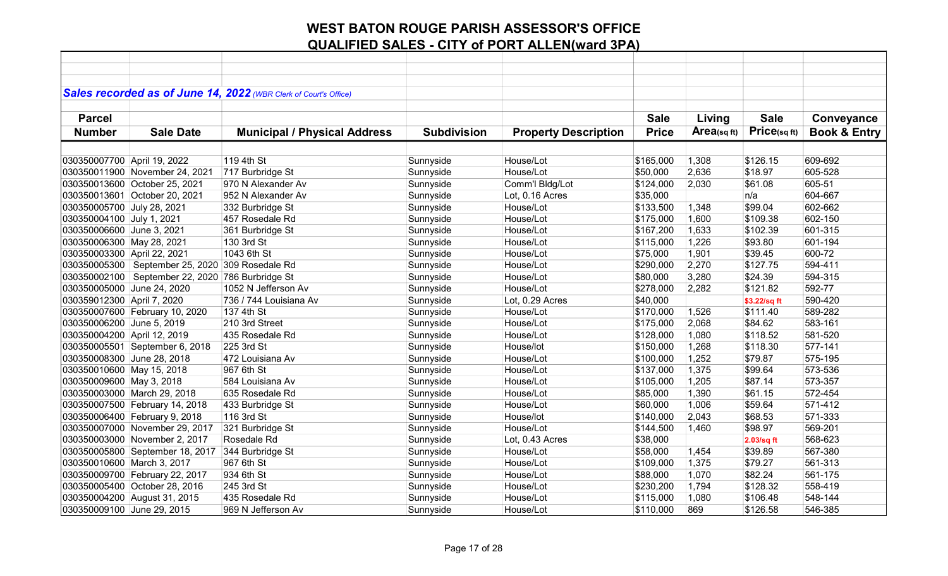| Sales recorded as of June 14, 2022 (WBR Clerk of Court's Office)                                                                                            |              |                         |
|-------------------------------------------------------------------------------------------------------------------------------------------------------------|--------------|-------------------------|
|                                                                                                                                                             |              |                         |
| <b>Parcel</b><br><b>Sale</b><br>Living                                                                                                                      | <b>Sale</b>  | Conveyance              |
| Area(sqft)<br><b>Price</b><br><b>Number</b><br><b>Sale Date</b><br><b>Municipal / Physical Address</b><br><b>Subdivision</b><br><b>Property Description</b> | Price(sqft)  | <b>Book &amp; Entry</b> |
|                                                                                                                                                             |              |                         |
|                                                                                                                                                             |              |                         |
| 119 4th St<br>1,308<br>030350007700 April 19, 2022<br>Sunnyside<br>House/Lot<br>\$165,000                                                                   | \$126.15     | 609-692                 |
| 717 Burbridge St<br>House/Lot<br>2,636<br>030350011900 November 24, 2021<br>Sunnyside<br>\$50,000                                                           | \$18.97      | 605-528                 |
| 030350013600 October 25, 2021<br>970 N Alexander Av<br>Sunnyside<br>Comm'l Bldg/Lot<br>\$124,000<br>2,030                                                   | \$61.08      | 605-51                  |
| 030350013601 October 20, 2021<br>Sunnyside<br>Lot, 0.16 Acres<br>\$35,000<br>952 N Alexander Av                                                             | n/a          | 604-667                 |
| 030350005700 July 28, 2021<br>Sunnyside<br>House/Lot<br>1,348<br>332 Burbridge St<br>\$133,500                                                              | \$99.04      | 602-662                 |
| Sunnyside<br>House/Lot<br>1,600<br>030350004100 July 1, 2021<br>457 Rosedale Rd<br>\$175,000                                                                | \$109.38     | 602-150                 |
| 030350006600 June 3, 2021<br>361 Burbridge St<br>Sunnyside<br>House/Lot<br>\$167,200<br>1,633                                                               | \$102.39     | 601-315                 |
| 1,226<br>030350006300 May 28, 2021<br>130 3rd St<br>Sunnyside<br>House/Lot<br>\$115,000                                                                     | \$93.80      | 601-194                 |
| 1043 6th St<br>030350003300 April 22, 2021<br>Sunnyside<br>1,901<br>House/Lot<br>\$75,000                                                                   | \$39.45      | 600-72                  |
| 2,270<br>030350005300   September 25, 2020   309 Rosedale Rd<br>Sunnyside<br>House/Lot<br>\$290,000                                                         | \$127.75     | 594-411                 |
| September 22, 2020 786 Burbridge St<br>030350002100<br>Sunnyside<br>House/Lot<br>\$80,000<br>3,280                                                          | \$24.39      | 594-315                 |
| 1052 N Jefferson Av<br>030350005000 June 24, 2020<br>Sunnyside<br>House/Lot<br>\$278,000<br>2,282                                                           | \$121.82     | 592-77                  |
| 736 / 744 Louisiana Av<br>Sunnyside<br>Lot, 0.29 Acres<br>030359012300 April 7, 2020<br>\$40,000                                                            | \$3.22/sq ft | 590-420                 |
| 030350007600 February 10, 2020<br>137 4th St<br>Sunnyside<br>House/Lot<br>\$170,000<br>1,526                                                                | \$111.40     | 589-282                 |
| 2,068<br>030350006200 June 5, 2019<br>210 3rd Street<br>Sunnyside<br>House/Lot<br>\$175,000                                                                 | \$84.62      | 583-161                 |
| Sunnyside<br>1,080<br>030350004200 April 12, 2019<br>435 Rosedale Rd<br>House/Lot<br>\$128,000                                                              | \$118.52     | 581-520                 |
| 1,268<br>030350005501 September 6, 2018<br>225 3rd St<br>Sunnyside<br>House/lot<br>\$150,000                                                                | \$118.30     | 577-141                 |
| 1,252<br>030350008300 June 28, 2018<br>Sunnyside<br>472 Louisiana Av<br>House/Lot<br>\$100,000                                                              | \$79.87      | 575-195                 |
| 030350010600 May 15, 2018<br>967 6th St<br>House/Lot<br>1,375<br>Sunnyside<br>\$137,000                                                                     | \$99.64      | 573-536                 |
| 030350009600 May 3, 2018<br>Sunnyside<br>1,205<br>584 Louisiana Av<br>House/Lot<br>\$105,000                                                                | \$87.14      | 573-357                 |
| 030350003000 March 29, 2018<br>Sunnyside<br>1,390<br>635 Rosedale Rd<br>House/Lot<br>\$85,000                                                               | \$61.15      | 572-454                 |
| 030350007500 February 14, 2018<br>Sunnyside<br>House/Lot<br>\$60,000<br>1,006<br>433 Burbridge St                                                           | \$59.64      | 571-412                 |
| 2,043<br>030350006400 February 9, 2018<br>116 3rd St<br>Sunnyside<br>House/lot<br>\$140,000                                                                 | \$68.53      | 571-333                 |
| Sunnyside<br>House/Lot<br>030350007000 November 29, 2017<br>321 Burbridge St<br>\$144,500<br>1,460                                                          | \$98.97      | 569-201                 |
| Sunnyside<br>030350003000 November 2, 2017<br>Rosedale Rd<br>Lot, 0.43 Acres<br>\$38,000                                                                    | 2.03/sq ft   | 568-623                 |
| 030350005800 September 18, 2017<br>344 Burbridge St<br>Sunnyside<br>House/Lot<br>\$58,000<br>1,454                                                          | \$39.89      | 567-380                 |
| 1,375<br>030350010600 March 3, 2017<br>967 6th St<br>Sunnyside<br>House/Lot<br>\$109,000                                                                    | \$79.27      | 561-313                 |
| 934 6th St<br>House/Lot<br>1,070<br>030350009700 February 22, 2017<br>Sunnyside<br>\$88,000                                                                 | \$82.24      | 561-175                 |
| 030350005400 October 28, 2016<br>245 3rd St<br>Sunnyside<br>House/Lot<br>\$230,200<br>1,794                                                                 | \$128.32     | 558-419                 |
| Sunnyside<br>030350004200 August 31, 2015<br>435 Rosedale Rd<br>House/Lot<br>\$115,000<br>1,080                                                             | \$106.48     | 548-144                 |
| 030350009100 June 29, 2015<br>969 N Jefferson Av<br>Sunnyside<br>House/Lot<br>869<br>\$110,000                                                              | \$126.58     | 546-385                 |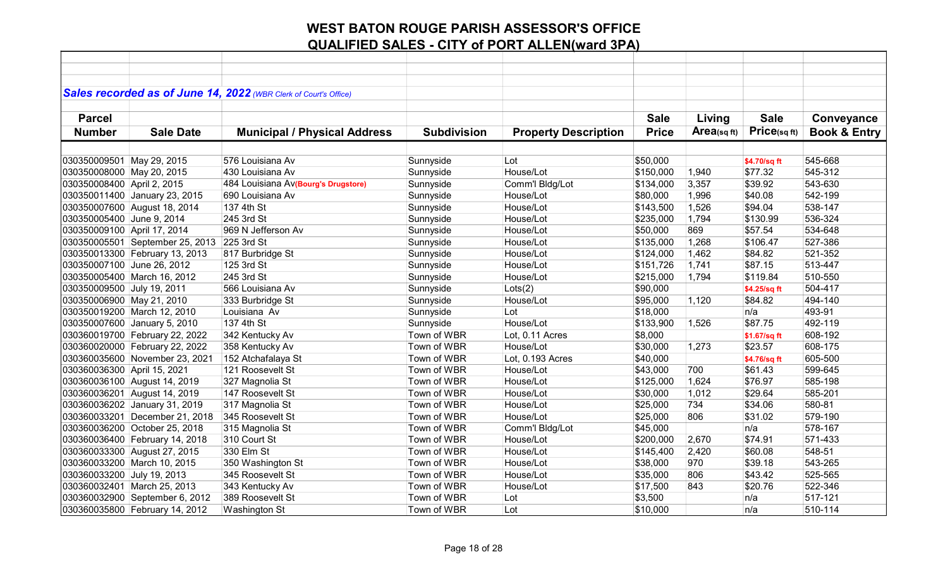|                             |                                 | Sales recorded as of June 14, 2022 (WBR Clerk of Court's Office) |                    |                             |              |            |              |                         |
|-----------------------------|---------------------------------|------------------------------------------------------------------|--------------------|-----------------------------|--------------|------------|--------------|-------------------------|
|                             |                                 |                                                                  |                    |                             |              |            |              |                         |
| <b>Parcel</b>               |                                 |                                                                  |                    |                             | <b>Sale</b>  | Living     | <b>Sale</b>  | Conveyance              |
| <b>Number</b>               | <b>Sale Date</b>                | <b>Municipal / Physical Address</b>                              | <b>Subdivision</b> | <b>Property Description</b> | <b>Price</b> | Area(sqft) | Price(sqft)  | <b>Book &amp; Entry</b> |
|                             |                                 |                                                                  |                    |                             |              |            |              |                         |
| 030350009501 May 29, 2015   |                                 | 576 Louisiana Av                                                 | Sunnyside          | Lot                         | \$50,000     |            | \$4.70/sq ft | 545-668                 |
| 030350008000 May 20, 2015   |                                 | 430 Louisiana Av                                                 | Sunnyside          | House/Lot                   | \$150,000    | 1,940      | \$77.32      | 545-312                 |
| 030350008400 April 2, 2015  |                                 | 484 Louisiana Av(Bourg's Drugstore)                              | Sunnyside          | Comm'l Bldg/Lot             | \$134,000    | 3,357      | \$39.92      | 543-630                 |
|                             | 030350011400 January 23, 2015   | 690 Louisiana Av                                                 | Sunnyside          | House/Lot                   | \$80,000     | 1,996      | \$40.08      | 542-199                 |
|                             | 030350007600 August 18, 2014    | 137 4th St                                                       | Sunnyside          | House/Lot                   | \$143,500    | 1,526      | \$94.04      | 538-147                 |
| 030350005400 June 9, 2014   |                                 | 245 3rd St                                                       | Sunnyside          | House/Lot                   | \$235,000    | 1,794      | \$130.99     | 536-324                 |
| 030350009100 April 17, 2014 |                                 | 969 N Jefferson Av                                               | Sunnyside          | House/Lot                   | \$50,000     | 869        | \$57.54      | 534-648                 |
|                             | 030350005501 September 25, 2013 | 225 3rd St                                                       | Sunnyside          | House/Lot                   | \$135,000    | 1,268      | \$106.47     | 527-386                 |
|                             | 030350013300 February 13, 2013  | 817 Burbridge St                                                 | Sunnyside          | House/Lot                   | \$124,000    | 1,462      | \$84.82      | 521-352                 |
| 030350007100 June 26, 2012  |                                 | 125 3rd St                                                       | Sunnyside          | House/Lot                   | \$151,726    | 1,741      | \$87.15      | 513-447                 |
|                             | 030350005400 March 16, 2012     | 245 3rd St                                                       | Sunnyside          | House/Lot                   | \$215,000    | 1,794      | \$119.84     | 510-550                 |
| 030350009500 July 19, 2011  |                                 | 566 Louisiana Av                                                 | Sunnyside          | Lots(2)                     | \$90,000     |            | \$4.25/sq ft | 504-417                 |
| 030350006900 May 21, 2010   |                                 | 333 Burbridge St                                                 | Sunnyside          | House/Lot                   | \$95,000     | 1,120      | \$84.82      | 494-140                 |
|                             | 030350019200 March 12, 2010     | Louisiana Av                                                     | Sunnyside          | Lot                         | \$18,000     |            | n/a          | 493-91                  |
|                             | 030350007600 January 5, 2010    | 137 4th St                                                       | Sunnyside          | House/Lot                   | \$133,900    | 1,526      | \$87.75      | 492-119                 |
|                             | 030360019700 February 22, 2022  | 342 Kentucky Av                                                  | Town of WBR        | Lot, 0.11 Acres             | \$8,000      |            | \$1.67/sq ft | 608-192                 |
|                             | 030360020000 February 22, 2022  | 358 Kentucky Av                                                  | Town of WBR        | House/Lot                   | \$30,000     | 1,273      | \$23.57      | 608-175                 |
|                             | 030360035600 November 23, 2021  | 152 Atchafalaya St                                               | Town of WBR        | Lot, 0.193 Acres            | \$40,000     |            | \$4.76/sq ft | 605-500                 |
| 030360036300 April 15, 2021 |                                 | 121 Roosevelt St                                                 | Town of WBR        | House/Lot                   | \$43,000     | 700        | \$61.43      | 599-645                 |
|                             | 030360036100 August 14, 2019    | 327 Magnolia St                                                  | Town of WBR        | House/Lot                   | \$125,000    | 1,624      | \$76.97      | 585-198                 |
|                             | 030360036201 August 14, 2019    | 147 Roosevelt St                                                 | Town of WBR        | House/Lot                   | \$30,000     | 1,012      | \$29.64      | 585-201                 |
|                             | 030360036202 January 31, 2019   | 317 Magnolia St                                                  | Town of WBR        | House/Lot                   | \$25,000     | 734        | \$34.06      | 580-81                  |
|                             | 030360033201 December 21, 2018  | 345 Roosevelt St                                                 | Town of WBR        | House/Lot                   | \$25,000     | 806        | \$31.02      | 579-190                 |
|                             | 030360036200 October 25, 2018   | 315 Magnolia St                                                  | Town of WBR        | Comm'l Bldg/Lot             | \$45,000     |            | n/a          | 578-167                 |
|                             | 030360036400 February 14, 2018  | 310 Court St                                                     | Town of WBR        | House/Lot                   | \$200,000    | 2,670      | \$74.91      | 571-433                 |
|                             | 030360033300 August 27, 2015    | 330 Elm St                                                       | Town of WBR        | House/Lot                   | \$145,400    | 2,420      | \$60.08      | 548-51                  |
|                             | 030360033200 March 10, 2015     | 350 Washington St                                                | Town of WBR        | House/Lot                   | \$38,000     | 970        | \$39.18      | 543-265                 |
| 030360033200 July 19, 2013  |                                 | 345 Roosevelt St                                                 | Town of WBR        | House/Lot                   | \$35,000     | 806        | \$43.42      | 525-565                 |
|                             | 030360032401 March 25, 2013     | 343 Kentucky Av                                                  | Town of WBR        | House/Lot                   | \$17,500     | 843        | \$20.76      | 522-346                 |
|                             | 030360032900 September 6, 2012  | 389 Roosevelt St                                                 | Town of WBR        | Lot                         | \$3,500      |            | n/a          | 517-121                 |
|                             | 030360035800 February 14, 2012  | Washington St                                                    | Town of WBR        | Lot                         | \$10,000     |            | n/a          | 510-114                 |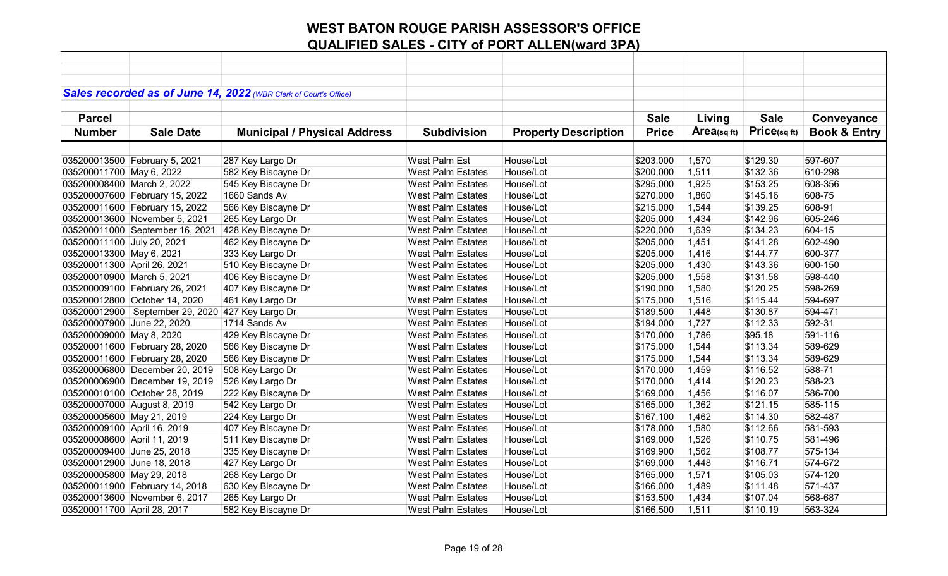|                             |                                                    | Sales recorded as of June 14, 2022 (WBR Clerk of Court's Office) |                          |                             |              |                |              |                         |
|-----------------------------|----------------------------------------------------|------------------------------------------------------------------|--------------------------|-----------------------------|--------------|----------------|--------------|-------------------------|
|                             |                                                    |                                                                  |                          |                             |              |                |              |                         |
| <b>Parcel</b>               |                                                    |                                                                  |                          |                             | <b>Sale</b>  | Living         | <b>Sale</b>  | Conveyance              |
| <b>Number</b>               | <b>Sale Date</b>                                   | <b>Municipal / Physical Address</b>                              | <b>Subdivision</b>       | <b>Property Description</b> | <b>Price</b> | $Area$ (sq ft) | Price(sq ft) | <b>Book &amp; Entry</b> |
|                             |                                                    |                                                                  |                          |                             |              |                |              |                         |
|                             | 035200013500 February 5, 2021                      | 287 Key Largo Dr                                                 | West Palm Est            | House/Lot                   | \$203,000    | 1,570          | \$129.30     | 597-607                 |
| 035200011700 May 6, 2022    |                                                    | 582 Key Biscayne Dr                                              | <b>West Palm Estates</b> | House/Lot                   | \$200,000    | 1,511          | \$132.36     | 610-298                 |
| 035200008400 March 2, 2022  |                                                    | 545 Key Biscayne Dr                                              | <b>West Palm Estates</b> | House/Lot                   | \$295,000    | 1,925          | \$153.25     | 608-356                 |
|                             | 035200007600 February 15, 2022                     | 1660 Sands Av                                                    | <b>West Palm Estates</b> | House/Lot                   | \$270,000    | 1,860          | \$145.16     | 608-75                  |
|                             | 035200011600 February 15, 2022                     | 566 Key Biscayne Dr                                              | <b>West Palm Estates</b> | House/Lot                   | \$215,000    | 1,544          | \$139.25     | 608-91                  |
|                             | 035200013600 November 5, 2021                      | 265 Key Largo Dr                                                 | <b>West Palm Estates</b> | House/Lot                   | \$205,000    | 1,434          | \$142.96     | 605-246                 |
|                             | 035200011000 September 16, 2021                    | 428 Key Biscayne Dr                                              | <b>West Palm Estates</b> | House/Lot                   | \$220,000    | 1,639          | \$134.23     | 604-15                  |
| 035200011100 July 20, 2021  |                                                    | 462 Key Biscayne Dr                                              | <b>West Palm Estates</b> | House/Lot                   | \$205,000    | 1,451          | \$141.28     | 602-490                 |
| 035200013300 May 6, 2021    |                                                    | 333 Key Largo Dr                                                 | <b>West Palm Estates</b> | House/Lot                   | \$205,000    | 1,416          | \$144.77     | 600-377                 |
| 035200011300 April 26, 2021 |                                                    | 510 Key Biscayne Dr                                              | <b>West Palm Estates</b> | House/Lot                   | \$205,000    | 1,430          | \$143.36     | 600-150                 |
| 035200010900 March 5, 2021  |                                                    | 406 Key Biscayne Dr                                              | <b>West Palm Estates</b> | House/Lot                   | \$205,000    | 1,558          | \$131.58     | 598-440                 |
|                             | 035200009100 February 26, 2021                     | 407 Key Biscayne Dr                                              | <b>West Palm Estates</b> | House/Lot                   | \$190,000    | 1,580          | \$120.25     | 598-269                 |
|                             | 035200012800 October 14, 2020                      | 461 Key Largo Dr                                                 | <b>West Palm Estates</b> | House/Lot                   | \$175,000    | 1,516          | \$115.44     | 594-697                 |
|                             | 035200012900   September 29, 2020 427 Key Largo Dr |                                                                  | <b>West Palm Estates</b> | House/Lot                   | \$189,500    | 1,448          | \$130.87     | 594-471                 |
| 035200007900 June 22, 2020  |                                                    | 1714 Sands Av                                                    | <b>West Palm Estates</b> | House/Lot                   | \$194,000    | 1,727          | \$112.33     | 592-31                  |
| 035200009000 May 8, 2020    |                                                    | 429 Key Biscayne Dr                                              | <b>West Palm Estates</b> | House/Lot                   | \$170,000    | 1,786          | \$95.18      | 591-116                 |
|                             | 035200011600 February 28, 2020                     | 566 Key Biscayne Dr                                              | <b>West Palm Estates</b> | House/Lot                   | \$175,000    | 1,544          | \$113.34     | 589-629                 |
|                             | 035200011600 February 28, 2020                     | 566 Key Biscayne Dr                                              | <b>West Palm Estates</b> | House/Lot                   | \$175,000    | 1,544          | \$113.34     | 589-629                 |
|                             | 035200006800 December 20, 2019                     | 508 Key Largo Dr                                                 | <b>West Palm Estates</b> | House/Lot                   | \$170,000    | 1,459          | \$116.52     | 588-71                  |
|                             | 035200006900 December 19, 2019                     | 526 Key Largo Dr                                                 | <b>West Palm Estates</b> | House/Lot                   | \$170,000    | 1,414          | \$120.23     | 588-23                  |
|                             | 035200010100 October 28, 2019                      | 222 Key Biscayne Dr                                              | <b>West Palm Estates</b> | House/Lot                   | \$169,000    | 1,456          | \$116.07     | 586-700                 |
| 035200007000 August 8, 2019 |                                                    | 542 Key Largo Dr                                                 | <b>West Palm Estates</b> | House/Lot                   | \$165,000    | 1,362          | \$121.15     | 585-115                 |
| 035200005600 May 21, 2019   |                                                    | 224 Key Largo Dr                                                 | <b>West Palm Estates</b> | House/Lot                   | \$167,100    | 1,462          | \$114.30     | 582-487                 |
| 035200009100 April 16, 2019 |                                                    | 407 Key Biscayne Dr                                              | <b>West Palm Estates</b> | House/Lot                   | \$178,000    | 1,580          | \$112.66     | 581-593                 |
| 035200008600 April 11, 2019 |                                                    | 511 Key Biscayne Dr                                              | <b>West Palm Estates</b> | House/Lot                   | \$169,000    | 1,526          | \$110.75     | 581-496                 |
| 035200009400 June 25, 2018  |                                                    | 335 Key Biscayne Dr                                              | <b>West Palm Estates</b> | House/Lot                   | \$169,900    | 1,562          | \$108.77     | 575-134                 |
| 035200012900 June 18, 2018  |                                                    | 427 Key Largo Dr                                                 | <b>West Palm Estates</b> | House/Lot                   | \$169,000    | 1,448          | \$116.71     | 574-672                 |
| 035200005800 May 29, 2018   |                                                    | 268 Key Largo Dr                                                 | <b>West Palm Estates</b> | House/Lot                   | \$165,000    | 1,571          | \$105.03     | 574-120                 |
|                             | 035200011900 February 14, 2018                     | 630 Key Biscayne Dr                                              | <b>West Palm Estates</b> | House/Lot                   | \$166,000    | 1,489          | \$111.48     | 571-437                 |
|                             | 035200013600 November 6, 2017                      | 265 Key Largo Dr                                                 | <b>West Palm Estates</b> | House/Lot                   | \$153,500    | 1,434          | \$107.04     | 568-687                 |
| 035200011700 April 28, 2017 |                                                    | 582 Key Biscayne Dr                                              | <b>West Palm Estates</b> | House/Lot                   | \$166,500    | 1,511          | \$110.19     | 563-324                 |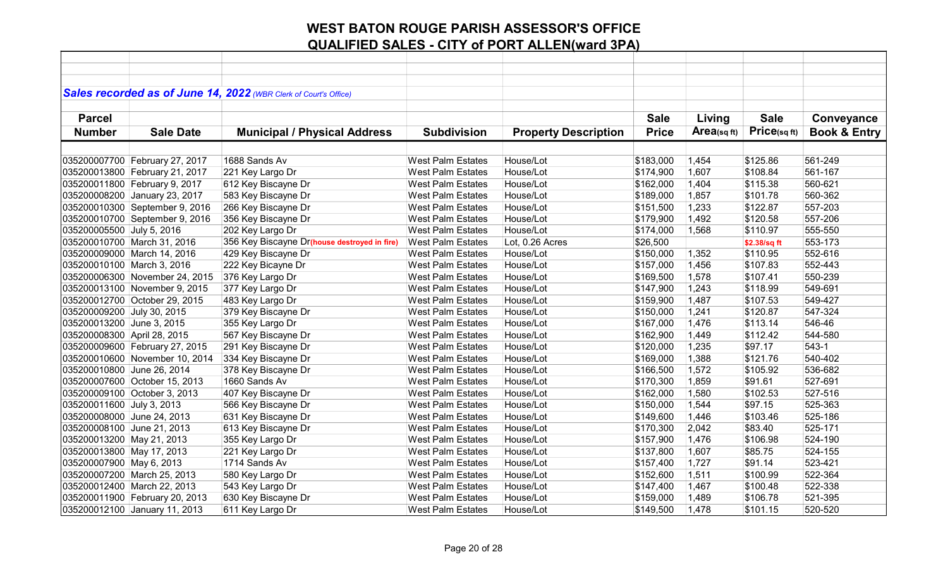|                             |                                | Sales recorded as of June 14, 2022 (WBR Clerk of Court's Office) |                          |                             |              |            |              |                         |
|-----------------------------|--------------------------------|------------------------------------------------------------------|--------------------------|-----------------------------|--------------|------------|--------------|-------------------------|
|                             |                                |                                                                  |                          |                             |              |            |              |                         |
| <b>Parcel</b>               |                                |                                                                  |                          |                             | <b>Sale</b>  | Living     | <b>Sale</b>  | Conveyance              |
| <b>Number</b>               | <b>Sale Date</b>               | <b>Municipal / Physical Address</b>                              | <b>Subdivision</b>       | <b>Property Description</b> | <b>Price</b> | Area(sqft) | Price(sqft)  | <b>Book &amp; Entry</b> |
|                             |                                |                                                                  |                          |                             |              |            |              |                         |
|                             | 035200007700 February 27, 2017 | 1688 Sands Av                                                    | <b>West Palm Estates</b> | House/Lot                   | \$183,000    | 1,454      | \$125.86     | 561-249                 |
|                             | 035200013800 February 21, 2017 | 221 Key Largo Dr                                                 | <b>West Palm Estates</b> | House/Lot                   | \$174,900    | 1,607      | \$108.84     | 561-167                 |
|                             | 035200011800 February 9, 2017  | 612 Key Biscayne Dr                                              | <b>West Palm Estates</b> | House/Lot                   | \$162,000    | 1,404      | \$115.38     | 560-621                 |
|                             | 035200008200 January 23, 2017  | 583 Key Biscayne Dr                                              | <b>West Palm Estates</b> | House/Lot                   | \$189,000    | 1,857      | \$101.78     | 560-362                 |
|                             | 035200010300 September 9, 2016 | 266 Key Biscayne Dr                                              | <b>West Palm Estates</b> | House/Lot                   | \$151,500    | 1,233      | \$122.87     | 557-203                 |
|                             | 035200010700 September 9, 2016 | 356 Key Biscayne Dr                                              | <b>West Palm Estates</b> | House/Lot                   | \$179,900    | 1,492      | \$120.58     | 557-206                 |
| 035200005500 July 5, 2016   |                                | 202 Key Largo Dr                                                 | <b>West Palm Estates</b> | House/Lot                   | \$174,000    | 1,568      | \$110.97     | 555-550                 |
|                             | 035200010700 March 31, 2016    | 356 Key Biscayne Dr(house destroyed in fire)                     | <b>West Palm Estates</b> | Lot, 0.26 Acres             | \$26,500     |            | \$2.38/sq ft | 553-173                 |
|                             | 035200009000 March 14, 2016    | 429 Key Biscayne Dr                                              | <b>West Palm Estates</b> | House/Lot                   | \$150,000    | 1,352      | \$110.95     | 552-616                 |
| 035200010100 March 3, 2016  |                                | 222 Key Bicayne Dr                                               | <b>West Palm Estates</b> | House/Lot                   | \$157,000    | 1,456      | \$107.83     | 552-443                 |
|                             | 035200006300 November 24, 2015 | 376 Key Largo Dr                                                 | <b>West Palm Estates</b> | House/Lot                   | \$169,500    | 1,578      | \$107.41     | 550-239                 |
|                             | 035200013100 November 9, 2015  | 377 Key Largo Dr                                                 | <b>West Palm Estates</b> | House/Lot                   | \$147,900    | 1,243      | \$118.99     | 549-691                 |
|                             | 035200012700 October 29, 2015  | 483 Key Largo Dr                                                 | <b>West Palm Estates</b> | House/Lot                   | \$159,900    | 1,487      | \$107.53     | 549-427                 |
| 035200009200 July 30, 2015  |                                | 379 Key Biscayne Dr                                              | <b>West Palm Estates</b> | House/Lot                   | \$150,000    | 1,241      | \$120.87     | 547-324                 |
| 035200013200 June 3, 2015   |                                | 355 Key Largo Dr                                                 | <b>West Palm Estates</b> | House/Lot                   | \$167,000    | 1,476      | \$113.14     | 546-46                  |
| 035200008300 April 28, 2015 |                                | 567 Key Biscayne Dr                                              | <b>West Palm Estates</b> | House/Lot                   | \$162,900    | 1,449      | \$112.42     | 544-580                 |
|                             | 035200009600 February 27, 2015 | 291 Key Biscayne Dr                                              | <b>West Palm Estates</b> | House/Lot                   | \$120,000    | 1,235      | \$97.17      | $543-1$                 |
|                             | 035200010600 November 10, 2014 | 334 Key Biscayne Dr                                              | <b>West Palm Estates</b> | House/Lot                   | \$169,000    | 1,388      | \$121.76     | 540-402                 |
| 035200010800 June 26, 2014  |                                | 378 Key Biscayne Dr                                              | <b>West Palm Estates</b> | House/Lot                   | \$166,500    | 1,572      | \$105.92     | 536-682                 |
|                             | 035200007600 October 15, 2013  | 1660 Sands Av                                                    | <b>West Palm Estates</b> | House/Lot                   | \$170,300    | 1,859      | \$91.61      | 527-691                 |
|                             | 035200009100 October 3, 2013   | 407 Key Biscayne Dr                                              | <b>West Palm Estates</b> | House/Lot                   | \$162,000    | 1,580      | \$102.53     | 527-516                 |
| 035200011600 July 3, 2013   |                                | 566 Key Biscayne Dr                                              | <b>West Palm Estates</b> | House/Lot                   | \$150,000    | 1,544      | \$97.15      | 525-363                 |
| 035200008000 June 24, 2013  |                                | 631 Key Biscayne Dr                                              | <b>West Palm Estates</b> | House/Lot                   | \$149,600    | 1,446      | \$103.46     | 525-186                 |
| 035200008100 June 21, 2013  |                                | 613 Key Biscayne Dr                                              | <b>West Palm Estates</b> | House/Lot                   | \$170,300    | 2,042      | \$83.40      | 525-171                 |
| 035200013200 May 21, 2013   |                                | 355 Key Largo Dr                                                 | <b>West Palm Estates</b> | House/Lot                   | \$157,900    | 1,476      | \$106.98     | 524-190                 |
| 035200013800 May 17, 2013   |                                | 221 Key Largo Dr                                                 | <b>West Palm Estates</b> | House/Lot                   | \$137,800    | 1,607      | \$85.75      | 524-155                 |
| 035200007900 May 6, 2013    |                                | 1714 Sands Av                                                    | <b>West Palm Estates</b> | House/Lot                   | \$157,400    | 1,727      | \$91.14      | 523-421                 |
|                             | 035200007200 March 25, 2013    | 580 Key Largo Dr                                                 | <b>West Palm Estates</b> | House/Lot                   | \$152,600    | 1,511      | \$100.99     | 522-364                 |
|                             | 035200012400 March 22, 2013    | 543 Key Largo Dr                                                 | <b>West Palm Estates</b> | House/Lot                   | \$147,400    | 1,467      | \$100.48     | 522-338                 |
|                             | 035200011900 February 20, 2013 | 630 Key Biscayne Dr                                              | <b>West Palm Estates</b> | House/Lot                   | \$159,000    | 1,489      | \$106.78     | 521-395                 |
|                             | 035200012100 January 11, 2013  | 611 Key Largo Dr                                                 | <b>West Palm Estates</b> | House/Lot                   | \$149,500    | 1,478      | \$101.15     | 520-520                 |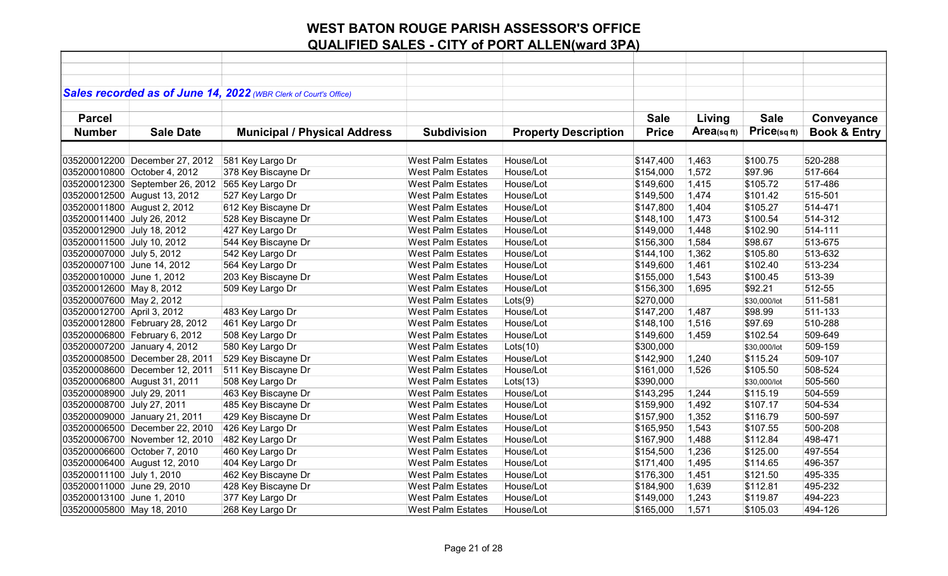|                              |                                 | Sales recorded as of June 14, 2022 (WBR Clerk of Court's Office) |                                                      |                             |                        |                |                     |                         |
|------------------------------|---------------------------------|------------------------------------------------------------------|------------------------------------------------------|-----------------------------|------------------------|----------------|---------------------|-------------------------|
|                              |                                 |                                                                  |                                                      |                             |                        |                |                     |                         |
| <b>Parcel</b>                |                                 |                                                                  |                                                      |                             | <b>Sale</b>            | Living         | <b>Sale</b>         | Conveyance              |
| <b>Number</b>                | <b>Sale Date</b>                | <b>Municipal / Physical Address</b>                              | <b>Subdivision</b>                                   | <b>Property Description</b> | <b>Price</b>           | Area(sqft)     | Price(sqft)         | <b>Book &amp; Entry</b> |
|                              |                                 |                                                                  |                                                      |                             |                        |                |                     |                         |
|                              |                                 |                                                                  |                                                      |                             |                        |                |                     |                         |
|                              | 035200012200 December 27, 2012  | 581 Key Largo Dr                                                 | <b>West Palm Estates</b><br><b>West Palm Estates</b> | House/Lot<br>House/Lot      | \$147,400              | 1,463<br>1,572 | \$100.75<br>\$97.96 | 520-288<br>517-664      |
| 035200010800 October 4, 2012 |                                 | 378 Key Biscayne Dr                                              |                                                      | House/Lot                   | \$154,000<br>\$149,600 | 1,415          | \$105.72            | 517-486                 |
|                              | 035200012300 September 26, 2012 | 565 Key Largo Dr                                                 | West Palm Estates                                    |                             |                        |                |                     |                         |
| 035200012500 August 13, 2012 |                                 | 527 Key Largo Dr                                                 | <b>West Palm Estates</b>                             | House/Lot                   | \$149,500              | 1,474          | \$101.42            | 515-501                 |
| 035200011800 August 2, 2012  |                                 | 612 Key Biscayne Dr                                              | <b>West Palm Estates</b>                             | House/Lot                   | \$147,800              | 1,404          | \$105.27            | 514-471                 |
| 035200011400 July 26, 2012   |                                 | 528 Key Biscayne Dr                                              | <b>West Palm Estates</b>                             | House/Lot                   | \$148,100              | 1,473          | \$100.54            | 514-312                 |
| 035200012900 July 18, 2012   |                                 | 427 Key Largo Dr                                                 | <b>West Palm Estates</b>                             | House/Lot                   | \$149,000              | 1,448          | \$102.90            | 514-111                 |
| 035200011500 July 10, 2012   |                                 | 544 Key Biscayne Dr                                              | <b>West Palm Estates</b>                             | House/Lot                   | \$156,300              | 1,584          | \$98.67             | 513-675                 |
| 035200007000 July 5, 2012    |                                 | 542 Key Largo Dr                                                 | <b>West Palm Estates</b>                             | House/Lot                   | \$144,100              | 1,362          | \$105.80            | 513-632                 |
| 035200007100 June 14, 2012   |                                 | 564 Key Largo Dr                                                 | <b>West Palm Estates</b>                             | House/Lot                   | \$149,600              | 1,461          | \$102.40            | 513-234                 |
| 035200010000 June 1, 2012    |                                 | 203 Key Biscayne Dr                                              | <b>West Palm Estates</b>                             | House/Lot                   | \$155,000              | 1,543          | \$100.45            | 513-39                  |
| 035200012600 May 8, 2012     |                                 | 509 Key Largo Dr                                                 | <b>West Palm Estates</b>                             | House/Lot                   | \$156,300              | 1,695          | \$92.21             | 512-55                  |
| 035200007600 May 2, 2012     |                                 |                                                                  | <b>West Palm Estates</b>                             | Lots(9)                     | \$270,000              |                | \$30,000/lot        | 511-581                 |
| 035200012700 April 3, 2012   |                                 | 483 Key Largo Dr                                                 | <b>West Palm Estates</b>                             | House/Lot                   | \$147,200              | 1,487          | \$98.99             | 511-133                 |
|                              | 035200012800 February 28, 2012  | 461 Key Largo Dr                                                 | <b>West Palm Estates</b>                             | House/Lot                   | \$148,100              | 1,516          | \$97.69             | 510-288                 |
|                              | 035200006800 February 6, 2012   | 508 Key Largo Dr                                                 | <b>West Palm Estates</b>                             | House/Lot                   | \$149,600              | 1,459          | \$102.54            | 509-649                 |
| 035200007200 January 4, 2012 |                                 | 580 Key Largo Dr                                                 | <b>West Palm Estates</b>                             | Lots(10)                    | \$300,000              |                | \$30,000/lot        | 509-159                 |
|                              | 035200008500 December 28, 2011  | 529 Key Biscayne Dr                                              | <b>West Palm Estates</b>                             | House/Lot                   | \$142,900              | 1,240          | \$115.24            | 509-107                 |
|                              | 035200008600 December 12, 2011  | 511 Key Biscayne Dr                                              | <b>West Palm Estates</b>                             | House/Lot                   | \$161,000              | 1,526          | \$105.50            | 508-524                 |
| 035200006800 August 31, 2011 |                                 | 508 Key Largo Dr                                                 | <b>West Palm Estates</b>                             | Lots(13)                    | \$390,000              |                | \$30,000/lot        | 505-560                 |
| 035200008900 July 29, 2011   |                                 | 463 Key Biscayne Dr                                              | <b>West Palm Estates</b>                             | House/Lot                   | \$143,295              | 1,244          | \$115.19            | 504-559                 |
| 035200008700 July 27, 2011   |                                 | 485 Key Biscayne Dr                                              | <b>West Palm Estates</b>                             | House/Lot                   | \$159,900              | 1,492          | \$107.17            | 504-534                 |
|                              | 035200009000 January 21, 2011   | 429 Key Biscayne Dr                                              | <b>West Palm Estates</b>                             | House/Lot                   | \$157,900              | 1,352          | \$116.79            | 500-597                 |
|                              | 035200006500 December 22, 2010  | 426 Key Largo Dr                                                 | <b>West Palm Estates</b>                             | House/Lot                   | \$165,950              | 1,543          | \$107.55            | 500-208                 |
|                              | 035200006700 November 12, 2010  | 482 Key Largo Dr                                                 | <b>West Palm Estates</b>                             | House/Lot                   | \$167,900              | 1,488          | \$112.84            | 498-471                 |
| 035200006600 October 7, 2010 |                                 | 460 Key Largo Dr                                                 | <b>West Palm Estates</b>                             | House/Lot                   | \$154,500              | 1,236          | \$125.00            | 497-554                 |
| 035200006400 August 12, 2010 |                                 | 404 Key Largo Dr                                                 | <b>West Palm Estates</b>                             | House/Lot                   | \$171,400              | 1,495          | \$114.65            | 496-357                 |
| 035200011100 July 1, 2010    |                                 | 462 Key Biscayne Dr                                              | <b>West Palm Estates</b>                             | House/Lot                   | \$176,300              | 1,451          | \$121.50            | 495-335                 |
| 035200011000 June 29, 2010   |                                 | 428 Key Biscayne Dr                                              | <b>West Palm Estates</b>                             | House/Lot                   | \$184,900              | 1,639          | \$112.81            | 495-232                 |
| 035200013100 June 1, 2010    |                                 | 377 Key Largo Dr                                                 | <b>West Palm Estates</b>                             | House/Lot                   | \$149,000              | 1,243          | \$119.87            | 494-223                 |
| 035200005800 May 18, 2010    |                                 | 268 Key Largo Dr                                                 | <b>West Palm Estates</b>                             | House/Lot                   | \$165,000              | 1,571          | \$105.03            | 494-126                 |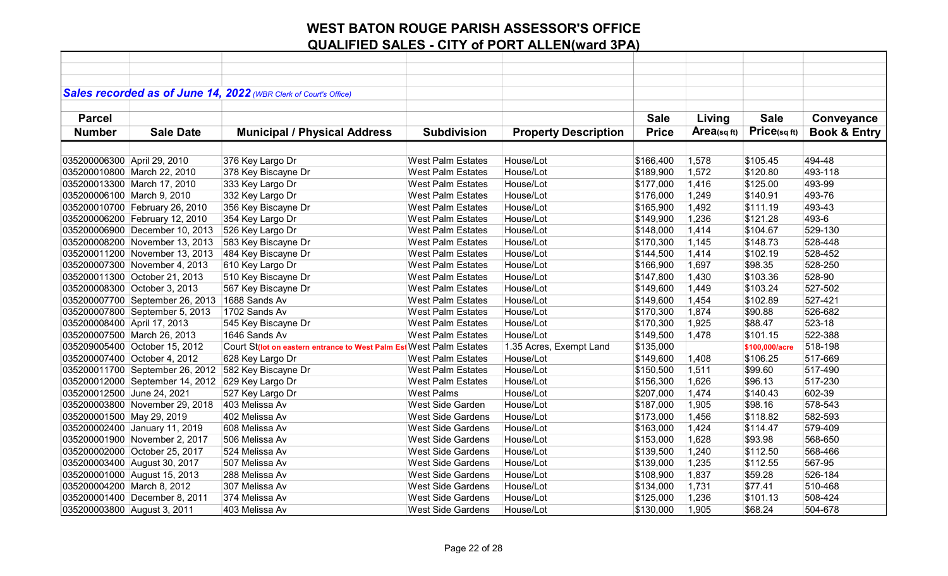|                             |                                 | Sales recorded as of June 14, 2022 (WBR Clerk of Court's Office)   |                          |                             |              |            |                |                         |
|-----------------------------|---------------------------------|--------------------------------------------------------------------|--------------------------|-----------------------------|--------------|------------|----------------|-------------------------|
|                             |                                 |                                                                    |                          |                             |              |            |                |                         |
| <b>Parcel</b>               |                                 |                                                                    |                          |                             | <b>Sale</b>  | Living     | <b>Sale</b>    | Conveyance              |
| <b>Number</b>               | <b>Sale Date</b>                | <b>Municipal / Physical Address</b>                                | <b>Subdivision</b>       | <b>Property Description</b> | <b>Price</b> | Area(sqft) | Price(sq ft)   | <b>Book &amp; Entry</b> |
|                             |                                 |                                                                    |                          |                             |              |            |                |                         |
| 035200006300 April 29, 2010 |                                 | 376 Key Largo Dr                                                   | <b>West Palm Estates</b> | House/Lot                   | \$166,400    | 1,578      | \$105.45       | 494-48                  |
|                             | 035200010800 March 22, 2010     | 378 Key Biscayne Dr                                                | <b>West Palm Estates</b> | House/Lot                   | \$189,900    | 1,572      | \$120.80       | 493-118                 |
|                             | 035200013300 March 17, 2010     | 333 Key Largo Dr                                                   | <b>West Palm Estates</b> | House/Lot                   | \$177,000    | 1,416      | \$125.00       | 493-99                  |
| 035200006100 March 9, 2010  |                                 | 332 Key Largo Dr                                                   | <b>West Palm Estates</b> | House/Lot                   | \$176,000    | 1,249      | \$140.91       | 493-76                  |
|                             | 035200010700 February 26, 2010  | 356 Key Biscayne Dr                                                | <b>West Palm Estates</b> | House/Lot                   | \$165,900    | 1,492      | \$111.19       | 493-43                  |
|                             | 035200006200 February 12, 2010  | 354 Key Largo Dr                                                   | <b>West Palm Estates</b> | House/Lot                   | \$149,900    | 1,236      | \$121.28       | 493-6                   |
|                             | 035200006900 December 10, 2013  | 526 Key Largo Dr                                                   | West Palm Estates        | House/Lot                   | \$148,000    | 1,414      | \$104.67       | 529-130                 |
|                             | 035200008200 November 13, 2013  | 583 Key Biscayne Dr                                                | <b>West Palm Estates</b> | House/Lot                   | \$170,300    | 1,145      | \$148.73       | 528-448                 |
|                             | 035200011200 November 13, 2013  | 484 Key Biscayne Dr                                                | <b>West Palm Estates</b> | House/Lot                   | \$144,500    | 1,414      | \$102.19       | 528-452                 |
|                             | 035200007300 November 4, 2013   | 610 Key Largo Dr                                                   | <b>West Palm Estates</b> | House/Lot                   | \$166,900    | 1,697      | \$98.35        | 528-250                 |
|                             | 035200011300 October 21, 2013   | 510 Key Biscayne Dr                                                | <b>West Palm Estates</b> | House/Lot                   | \$147,800    | 1,430      | \$103.36       | 528-90                  |
|                             | 035200008300 October 3, 2013    | 567 Key Biscayne Dr                                                | <b>West Palm Estates</b> | House/Lot                   | \$149,600    | 1,449      | \$103.24       | 527-502                 |
|                             | 035200007700 September 26, 2013 | 1688 Sands Av                                                      | <b>West Palm Estates</b> | House/Lot                   | \$149,600    | 1,454      | \$102.89       | 527-421                 |
|                             | 035200007800 September 5, 2013  | 1702 Sands Av                                                      | <b>West Palm Estates</b> | House/Lot                   | \$170,300    | 1,874      | \$90.88        | 526-682                 |
| 035200008400 April 17, 2013 |                                 | 545 Key Biscayne Dr                                                | <b>West Palm Estates</b> | House/Lot                   | \$170,300    | 1,925      | \$88.47        | 523-18                  |
|                             | 035200007500 March 26, 2013     | 1646 Sands Av                                                      | <b>West Palm Estates</b> | House/Lot                   | \$149,500    | 1,478      | \$101.15       | 522-388                 |
|                             | 035209005400 October 15, 2012   | Court St(lot on eastern entrance to West Palm Es(West Palm Estates |                          | 1.35 Acres, Exempt Land     | \$135,000    |            | \$100,000/acre | 518-198                 |
|                             | 035200007400 October 4, 2012    | 628 Key Largo Dr                                                   | <b>West Palm Estates</b> | House/Lot                   | \$149,600    | 1,408      | \$106.25       | 517-669                 |
|                             | 035200011700 September 26, 2012 | 582 Key Biscayne Dr                                                | <b>West Palm Estates</b> | House/Lot                   | \$150,500    | 1,511      | \$99.60        | 517-490                 |
|                             | 035200012000 September 14, 2012 | 629 Key Largo Dr                                                   | <b>West Palm Estates</b> | House/Lot                   | \$156,300    | 1,626      | \$96.13        | 517-230                 |
| 035200012500 June 24, 2021  |                                 | 527 Key Largo Dr                                                   | <b>West Palms</b>        | House/Lot                   | \$207,000    | 1,474      | \$140.43       | 602-39                  |
|                             | 035200003800 November 29, 2018  | 403 Melissa Av                                                     | West Side Garden         | House/Lot                   | \$187,000    | 1,905      | \$98.16        | 578-543                 |
| 035200001500 May 29, 2019   |                                 | 402 Melissa Av                                                     | <b>West Side Gardens</b> | House/Lot                   | \$173,000    | 1,456      | \$118.82       | 582-593                 |
|                             | 035200002400 January 11, 2019   | 608 Melissa Av                                                     | <b>West Side Gardens</b> | House/Lot                   | \$163,000    | 1,424      | \$114.47       | 579-409                 |
|                             | 035200001900 November 2, 2017   | 506 Melissa Av                                                     | <b>West Side Gardens</b> | House/Lot                   | \$153,000    | 1,628      | \$93.98        | 568-650                 |
|                             | 035200002000 October 25, 2017   | 524 Melissa Av                                                     | <b>West Side Gardens</b> | House/Lot                   | \$139,500    | 1,240      | \$112.50       | 568-466                 |
|                             | 035200003400 August 30, 2017    | 507 Melissa Av                                                     | <b>West Side Gardens</b> | House/Lot                   | \$139,000    | 1,235      | \$112.55       | 567-95                  |
|                             | 035200001000 August 15, 2013    | 288 Melissa Av                                                     | <b>West Side Gardens</b> | House/Lot                   | \$108,900    | 1,837      | \$59.28        | 526-184                 |
| 035200004200 March 8, 2012  |                                 | 307 Melissa Av                                                     | <b>West Side Gardens</b> | House/Lot                   | \$134,000    | 1,731      | \$77.41        | 510-468                 |
|                             | 035200001400 December 8, 2011   | 374 Melissa Av                                                     | <b>West Side Gardens</b> | House/Lot                   | \$125,000    | 1,236      | \$101.13       | 508-424                 |
| 035200003800 August 3, 2011 |                                 | 403 Melissa Av                                                     | West Side Gardens        | House/Lot                   | \$130,000    | 1,905      | \$68.24        | 504-678                 |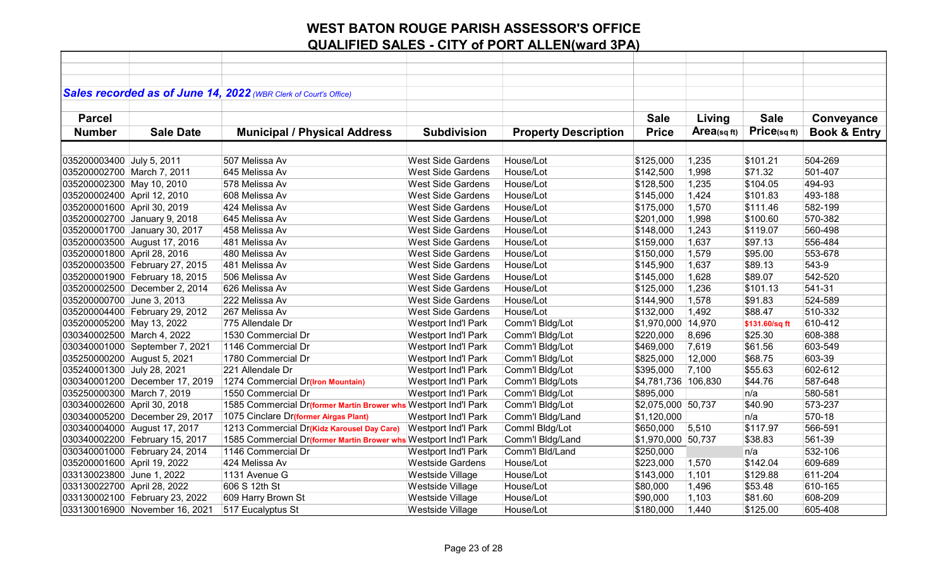|                             |                                | Sales recorded as of June 14, 2022 (WBR Clerk of Court's Office) |                            |                             |                       |                |                |                         |
|-----------------------------|--------------------------------|------------------------------------------------------------------|----------------------------|-----------------------------|-----------------------|----------------|----------------|-------------------------|
|                             |                                |                                                                  |                            |                             |                       |                |                |                         |
| <b>Parcel</b>               |                                |                                                                  |                            |                             | <b>Sale</b>           | Living         | <b>Sale</b>    | Conveyance              |
| <b>Number</b>               | <b>Sale Date</b>               | <b>Municipal / Physical Address</b>                              | <b>Subdivision</b>         | <b>Property Description</b> | <b>Price</b>          | $Area$ (sq ft) | Price(sq ft)   | <b>Book &amp; Entry</b> |
|                             |                                |                                                                  |                            |                             |                       |                |                |                         |
| 035200003400 July 5, 2011   |                                | 507 Melissa Av                                                   | <b>West Side Gardens</b>   | House/Lot                   | \$125,000             | 1,235          | \$101.21       | 504-269                 |
| 035200002700 March 7, 2011  |                                | 645 Melissa Av                                                   | <b>West Side Gardens</b>   | House/Lot                   | \$142,500             | 1,998          | \$71.32        | 501-407                 |
| 035200002300 May 10, 2010   |                                | 578 Melissa Av                                                   | <b>West Side Gardens</b>   | House/Lot                   | \$128,500             | 1,235          | \$104.05       | 494-93                  |
| 035200002400 April 12, 2010 |                                | 608 Melissa Av                                                   | <b>West Side Gardens</b>   | House/Lot                   | \$145,000             | 1,424          | \$101.83       | 493-188                 |
| 035200001600 April 30, 2019 |                                | 424 Melissa Av                                                   | <b>West Side Gardens</b>   | House/Lot                   | \$175,000             | 1,570          | \$111.46       | 582-199                 |
|                             | 035200002700 January 9, 2018   | 645 Melissa Av                                                   | <b>West Side Gardens</b>   | House/Lot                   | \$201,000             | 1,998          | \$100.60       | 570-382                 |
|                             | 035200001700 January 30, 2017  | 458 Melissa Av                                                   | <b>West Side Gardens</b>   | House/Lot                   | \$148,000             | 1,243          | \$119.07       | 560-498                 |
|                             | 035200003500 August 17, 2016   | 481 Melissa Av                                                   | <b>West Side Gardens</b>   | House/Lot                   | \$159,000             | 1,637          | \$97.13        | 556-484                 |
| 035200001800 April 28, 2016 |                                | 480 Melissa Av                                                   | <b>West Side Gardens</b>   | House/Lot                   | \$150,000             | 1,579          | \$95.00        | 553-678                 |
|                             | 035200003500 February 27, 2015 | 481 Melissa Av                                                   | <b>West Side Gardens</b>   | House/Lot                   | \$145,900             | 1,637          | \$89.13        | 543-9                   |
|                             | 035200001900 February 18, 2015 | 506 Melissa Av                                                   | <b>West Side Gardens</b>   | House/Lot                   | \$145,000             | 1,628          | \$89.07        | 542-520                 |
|                             | 035200002500 December 2, 2014  | 626 Melissa Av                                                   | <b>West Side Gardens</b>   | House/Lot                   | \$125,000             | 1,236          | \$101.13       | 541-31                  |
| 035200000700 June 3, 2013   |                                | 222 Melissa Av                                                   | <b>West Side Gardens</b>   | House/Lot                   | \$144,900             | 1,578          | \$91.83        | 524-589                 |
|                             | 035200004400 February 29, 2012 | 267 Melissa Av                                                   | <b>West Side Gardens</b>   | House/Lot                   | \$132,000             | 1,492          | \$88.47        | 510-332                 |
| 035200005200 May 13, 2022   |                                | 775 Allendale Dr                                                 | Westport Ind'l Park        | Comm'l Bldg/Lot             | \$1,970,000 14,970    |                | \$131.60/sq ft | 610-412                 |
| 030340002500 March 4, 2022  |                                | 1530 Commercial Dr                                               | Westport Ind'l Park        | Comm'l Bldg/Lot             | \$220,000             | 8,696          | \$25.30        | 608-388                 |
|                             | 030340001000 September 7, 2021 | 1146 Commercial Dr                                               | Westport Ind'l Park        | Comm'l Bldg/Lot             | \$469,000             | 7,619          | \$61.56        | 603-549                 |
| 035250000200 August 5, 2021 |                                | 1780 Commercial Dr                                               | Westport Ind'l Park        | Comm'l Bldg/Lot             | \$825,000             | 12,000         | \$68.75        | 603-39                  |
| 035240001300 July 28, 2021  |                                | 221 Allendale Dr                                                 | <b>Westport Ind'l Park</b> | Comm'l Bldg/Lot             | \$395,000             | 7,100          | \$55.63        | 602-612                 |
|                             | 030340001200 December 17, 2019 | 1274 Commercial Dr(Iron Mountain)                                | Westport Ind'l Park        | Comm'l Bldg/Lots            | \$4,781,736   106,830 |                | \$44.76        | 587-648                 |
| 035250000300 March 7, 2019  |                                | 1550 Commercial Dr                                               | Westport Ind'l Park        | Comm'l Bldg/Lot             | \$895,000             |                | n/a            | 580-581                 |
| 030340002600 April 30, 2018 |                                | 1585 Commercial Dr(former Martin Brower whs Westport Ind'l Park  |                            | Comm'l Bldg/Lot             | \$2,075,000 50,737    |                | \$40.90        | 573-237                 |
|                             | 030340005200 December 29, 2017 | 1075 Cinclare Dr(former Airgas Plant)                            | Westport Ind'l Park        | Comm'l Bldg/Land            | \$1,120,000           |                | n/a            | 570-18                  |
|                             | 030340004000 August 17, 2017   | 1213 Commercial Dr(Kidz Karousel Day Care)                       | <b>Westport Ind'l Park</b> | Comml Bldg/Lot              | \$650,000             | 5,510          | \$117.97       | 566-591                 |
|                             | 030340002200 February 15, 2017 | 1585 Commercial Dr(former Martin Brower whs Westport Ind'l Park  |                            | Comm'l Bldg/Land            | \$1,970,000 50,737    |                | \$38.83        | 561-39                  |
|                             | 030340001000 February 24, 2014 | 1146 Commercial Dr                                               | Westport Ind'l Park        | Comm'l Bld/Land             | \$250,000             |                | n/a            | 532-106                 |
| 035200001600 April 19, 2022 |                                | 424 Melissa Av                                                   | <b>Westside Gardens</b>    | House/Lot                   | \$223,000             | 1,570          | \$142.04       | 609-689                 |
| 033130023800 June 1, 2022   |                                | 1131 Avenue G                                                    | Westside Village           | House/Lot                   | \$143,000             | 1,101          | \$129.88       | 611-204                 |
| 033130022700 April 28, 2022 |                                | 606 S 12th St                                                    | Westside Village           | House/Lot                   | \$80,000              | 1,496          | \$53.48        | 610-165                 |
|                             | 033130002100 February 23, 2022 | 609 Harry Brown St                                               | Westside Village           | House/Lot                   | \$90,000              | 1,103          | \$81.60        | 608-209                 |
|                             | 033130016900 November 16, 2021 | 517 Eucalyptus St                                                | Westside Village           | House/Lot                   | \$180,000             | 1,440          | \$125.00       | 605-408                 |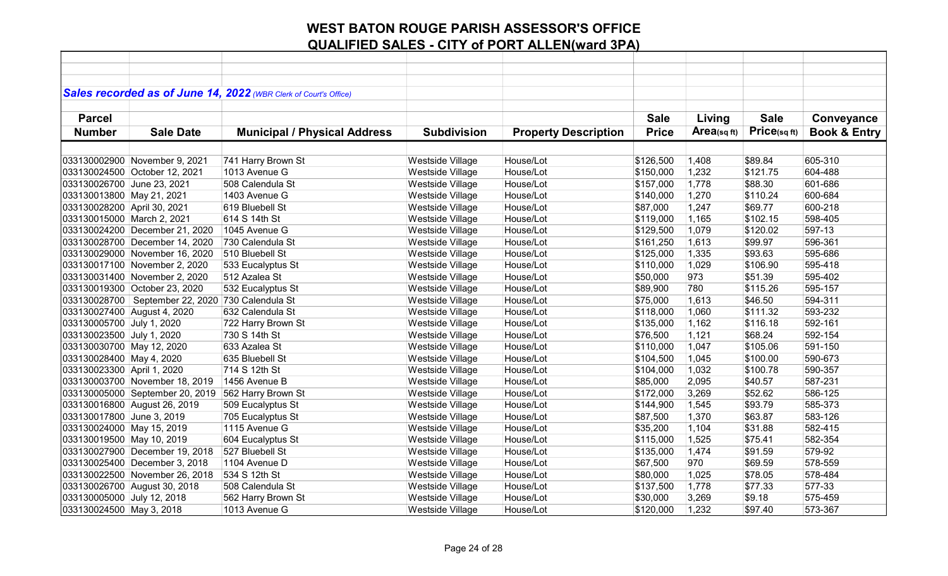| Sales recorded as of June 14, 2022 (WBR Clerk of Court's Office)<br><b>Sale</b><br><b>Parcel</b><br><b>Sale</b><br>Living<br>Conveyance<br>Price(sqft)<br>Area(sqft)<br><b>Price</b><br><b>Book &amp; Entry</b><br><b>Number</b><br><b>Sale Date</b><br><b>Municipal / Physical Address</b><br><b>Subdivision</b><br><b>Property Description</b><br>House/Lot<br>\$89.84<br>605-310<br>033130002900 November 9, 2021<br>741 Harry Brown St<br>Westside Village<br>\$126,500<br>1,408<br>1013 Avenue G<br>Westside Village<br>House/Lot<br>1,232<br>\$121.75<br>604-488<br>033130024500 October 12, 2021<br>\$150,000<br>508 Calendula St<br>Westside Village<br>\$88.30<br>601-686<br>033130026700 June 23, 2021<br>House/Lot<br>\$157,000<br>1,778<br>1403 Avenue G<br>Westside Village<br>House/Lot<br>1,270<br>\$110.24<br>600-684<br>\$140,000 |                           |
|----------------------------------------------------------------------------------------------------------------------------------------------------------------------------------------------------------------------------------------------------------------------------------------------------------------------------------------------------------------------------------------------------------------------------------------------------------------------------------------------------------------------------------------------------------------------------------------------------------------------------------------------------------------------------------------------------------------------------------------------------------------------------------------------------------------------------------------------------|---------------------------|
|                                                                                                                                                                                                                                                                                                                                                                                                                                                                                                                                                                                                                                                                                                                                                                                                                                                    |                           |
|                                                                                                                                                                                                                                                                                                                                                                                                                                                                                                                                                                                                                                                                                                                                                                                                                                                    |                           |
|                                                                                                                                                                                                                                                                                                                                                                                                                                                                                                                                                                                                                                                                                                                                                                                                                                                    |                           |
|                                                                                                                                                                                                                                                                                                                                                                                                                                                                                                                                                                                                                                                                                                                                                                                                                                                    |                           |
|                                                                                                                                                                                                                                                                                                                                                                                                                                                                                                                                                                                                                                                                                                                                                                                                                                                    |                           |
|                                                                                                                                                                                                                                                                                                                                                                                                                                                                                                                                                                                                                                                                                                                                                                                                                                                    |                           |
|                                                                                                                                                                                                                                                                                                                                                                                                                                                                                                                                                                                                                                                                                                                                                                                                                                                    |                           |
|                                                                                                                                                                                                                                                                                                                                                                                                                                                                                                                                                                                                                                                                                                                                                                                                                                                    |                           |
|                                                                                                                                                                                                                                                                                                                                                                                                                                                                                                                                                                                                                                                                                                                                                                                                                                                    |                           |
|                                                                                                                                                                                                                                                                                                                                                                                                                                                                                                                                                                                                                                                                                                                                                                                                                                                    | 033130013800 May 21, 2021 |
| 033130028200 April 30, 2021<br>House/Lot<br>1,247<br>\$69.77<br>600-218<br>619 Bluebell St<br>Westside Village<br>\$87,000                                                                                                                                                                                                                                                                                                                                                                                                                                                                                                                                                                                                                                                                                                                         |                           |
| House/Lot<br>1,165<br>033130015000 March 2, 2021<br>614 S 14th St<br>Westside Village<br>\$119,000<br>\$102.15<br>598-405                                                                                                                                                                                                                                                                                                                                                                                                                                                                                                                                                                                                                                                                                                                          |                           |
| House/Lot<br>1,079<br>\$120.02<br>597-13<br>033130024200 December 21, 2020<br>1045 Avenue G<br>Westside Village<br>\$129,500                                                                                                                                                                                                                                                                                                                                                                                                                                                                                                                                                                                                                                                                                                                       |                           |
| House/Lot<br>1,613<br>033130028700 December 14, 2020<br>730 Calendula St<br>Westside Village<br>\$99.97<br>596-361<br>\$161,250                                                                                                                                                                                                                                                                                                                                                                                                                                                                                                                                                                                                                                                                                                                    |                           |
| \$93.63<br>595-686<br>Westside Village<br>House/Lot<br>1,335<br>033130029000 November 16, 2020<br>510 Bluebell St<br>\$125,000                                                                                                                                                                                                                                                                                                                                                                                                                                                                                                                                                                                                                                                                                                                     |                           |
| Westside Village<br>House/Lot<br>1,029<br>\$106.90<br>595-418<br>033130017100 November 2, 2020<br>533 Eucalyptus St<br>\$110,000                                                                                                                                                                                                                                                                                                                                                                                                                                                                                                                                                                                                                                                                                                                   |                           |
| Westside Village<br>House/Lot<br>973<br>\$51.39<br>595-402<br>033130031400 November 2, 2020<br>512 Azalea St<br>\$50,000                                                                                                                                                                                                                                                                                                                                                                                                                                                                                                                                                                                                                                                                                                                           |                           |
| Westside Village<br>\$115.26<br>595-157<br>033130019300 October 23, 2020<br>532 Eucalyptus St<br>House/Lot<br>\$89,900<br>780                                                                                                                                                                                                                                                                                                                                                                                                                                                                                                                                                                                                                                                                                                                      |                           |
| 033130028700   September 22, 2020   730 Calendula St<br>Westside Village<br>House/Lot<br>\$46.50<br>594-311<br>\$75,000<br>1,613                                                                                                                                                                                                                                                                                                                                                                                                                                                                                                                                                                                                                                                                                                                   |                           |
| 593-232<br>033130027400 August 4, 2020<br>632 Calendula St<br>Westside Village<br>House/Lot<br>\$118,000<br>1,060<br>\$111.32                                                                                                                                                                                                                                                                                                                                                                                                                                                                                                                                                                                                                                                                                                                      |                           |
| House/Lot<br>033130005700 July 1, 2020<br>Westside Village<br>1,162<br>\$116.18<br>592-161<br>722 Harry Brown St<br>\$135,000                                                                                                                                                                                                                                                                                                                                                                                                                                                                                                                                                                                                                                                                                                                      |                           |
| 1,121<br>\$68.24<br>592-154<br>033130023500 July 1, 2020<br>730 S 14th St<br>Westside Village<br>House/Lot<br>\$76,500                                                                                                                                                                                                                                                                                                                                                                                                                                                                                                                                                                                                                                                                                                                             |                           |
| 1,047<br>\$105.06<br>591-150<br>033130030700 May 12, 2020<br>633 Azalea St<br>Westside Village<br>House/Lot<br>\$110,000                                                                                                                                                                                                                                                                                                                                                                                                                                                                                                                                                                                                                                                                                                                           |                           |
| 033130028400 May 4, 2020<br>635 Bluebell St<br>Westside Village<br>House/Lot<br>1,045<br>\$100.00<br>590-673<br>\$104,500                                                                                                                                                                                                                                                                                                                                                                                                                                                                                                                                                                                                                                                                                                                          |                           |
| 033130023300 April 1, 2020<br>714 S 12th St<br>Westside Village<br>House/Lot<br>1,032<br>\$100.78<br>590-357<br>\$104,000                                                                                                                                                                                                                                                                                                                                                                                                                                                                                                                                                                                                                                                                                                                          |                           |
| 587-231<br>1456 Avenue B<br>Westside Village<br>House/Lot<br>2,095<br>\$40.57<br>033130003700 November 18, 2019<br>\$85,000                                                                                                                                                                                                                                                                                                                                                                                                                                                                                                                                                                                                                                                                                                                        |                           |
| 562 Harry Brown St<br>Westside Village<br>House/Lot<br>3,269<br>\$52.62<br>586-125<br>033130005000 September 20, 2019<br>\$172,000                                                                                                                                                                                                                                                                                                                                                                                                                                                                                                                                                                                                                                                                                                                 |                           |
| \$93.79<br>585-373<br>033130016800 August 26, 2019<br>509 Eucalyptus St<br>Westside Village<br>House/Lot<br>\$144,900<br>1,545                                                                                                                                                                                                                                                                                                                                                                                                                                                                                                                                                                                                                                                                                                                     |                           |
| 033130017800 June 3, 2019<br>House/Lot<br>1,370<br>\$63.87<br>583-126<br>705 Eucalyptus St<br>Westside Village<br>\$87,500                                                                                                                                                                                                                                                                                                                                                                                                                                                                                                                                                                                                                                                                                                                         |                           |
| 1115 Avenue G<br>House/Lot<br>033130024000 May 15, 2019<br>Westside Village<br>\$35,200<br>1,104<br>\$31.88<br>582-415                                                                                                                                                                                                                                                                                                                                                                                                                                                                                                                                                                                                                                                                                                                             |                           |
| House/Lot<br>582-354<br>033130019500 May 10, 2019<br>604 Eucalyptus St<br>Westside Village<br>\$115,000<br>1,525<br>\$75.41                                                                                                                                                                                                                                                                                                                                                                                                                                                                                                                                                                                                                                                                                                                        |                           |
| \$91.59<br>579-92<br>033130027900 December 19, 2018<br>527 Bluebell St<br>Westside Village<br>House/Lot<br>1,474<br>\$135,000                                                                                                                                                                                                                                                                                                                                                                                                                                                                                                                                                                                                                                                                                                                      |                           |
| 970<br>578-559<br>Westside Village<br>House/Lot<br>\$67,500<br>\$69.59<br>033130025400 December 3, 2018<br>1104 Avenue D                                                                                                                                                                                                                                                                                                                                                                                                                                                                                                                                                                                                                                                                                                                           |                           |
| 534 S 12th St<br>Westside Village<br>House/Lot<br>1,025<br>\$78.05<br>578-484<br>033130022500 November 26, 2018<br>\$80,000                                                                                                                                                                                                                                                                                                                                                                                                                                                                                                                                                                                                                                                                                                                        |                           |
| Westside Village<br>House/Lot<br>\$77.33<br>577-33<br>033130026700 August 30, 2018<br>508 Calendula St<br>\$137,500<br>1,778                                                                                                                                                                                                                                                                                                                                                                                                                                                                                                                                                                                                                                                                                                                       |                           |
| 562 Harry Brown St<br>Westside Village<br>033130005000 July 12, 2018<br>House/Lot<br>\$30,000<br>3,269<br>\$9.18<br>575-459                                                                                                                                                                                                                                                                                                                                                                                                                                                                                                                                                                                                                                                                                                                        |                           |
| 033130024500 May 3, 2018<br>1013 Avenue G<br>Westside Village<br>House/Lot<br>1,232<br>\$97.40<br>573-367<br>\$120,000                                                                                                                                                                                                                                                                                                                                                                                                                                                                                                                                                                                                                                                                                                                             |                           |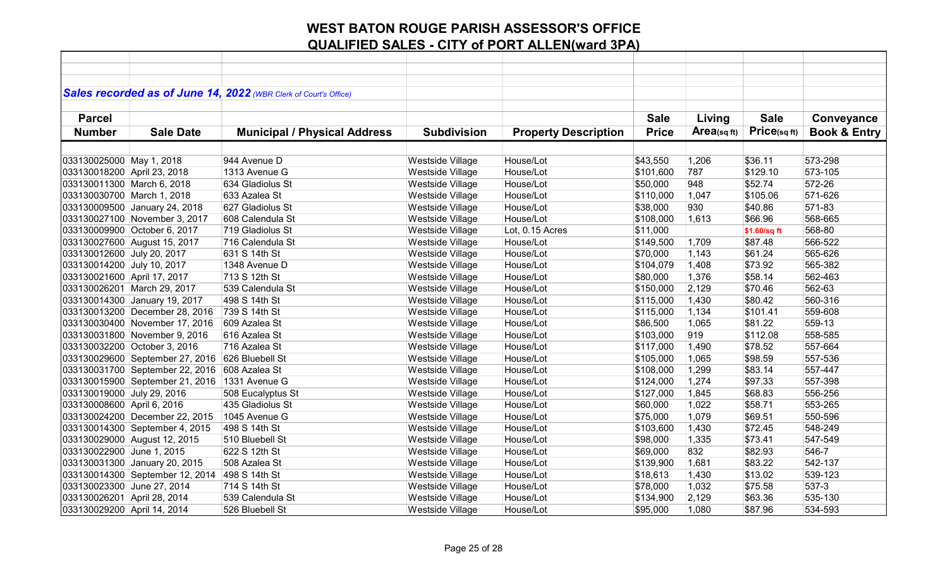|                             |                                 | Sales recorded as of June 14, 2022 (WBR Clerk of Court's Office) |                    |                             |              |             |              |                         |
|-----------------------------|---------------------------------|------------------------------------------------------------------|--------------------|-----------------------------|--------------|-------------|--------------|-------------------------|
|                             |                                 |                                                                  |                    |                             |              |             |              |                         |
| <b>Parcel</b>               |                                 |                                                                  |                    |                             | <b>Sale</b>  | Living      | <b>Sale</b>  | Conveyance              |
| <b>Number</b>               | <b>Sale Date</b>                | <b>Municipal / Physical Address</b>                              | <b>Subdivision</b> | <b>Property Description</b> | <b>Price</b> | Area(sq ft) | Price(sqft)  | <b>Book &amp; Entry</b> |
|                             |                                 |                                                                  |                    |                             |              |             |              |                         |
| 033130025000 May 1, 2018    |                                 | 944 Avenue D                                                     | Westside Village   | House/Lot                   | \$43,550     | 1,206       | \$36.11      | 573-298                 |
| 033130018200 April 23, 2018 |                                 | 1313 Avenue G                                                    | Westside Village   | House/Lot                   | \$101,600    | 787         | \$129.10     | 573-105                 |
| 033130011300 March 6, 2018  |                                 | 634 Gladiolus St                                                 | Westside Village   | House/Lot                   | \$50,000     | 948         | \$52.74      | 572-26                  |
| 033130030700 March 1, 2018  |                                 | 633 Azalea St                                                    | Westside Village   | House/Lot                   | \$110,000    | 1,047       | \$105.06     | 571-626                 |
|                             | 033130009500 January 24, 2018   | 627 Gladiolus St                                                 | Westside Village   | House/Lot                   | \$38,000     | 930         | \$40.86      | 571-83                  |
|                             | 033130027100 November 3, 2017   | 608 Calendula St                                                 | Westside Village   | House/Lot                   | \$108,000    | 1,613       | \$66.96      | 568-665                 |
|                             | 033130009900 October 6, 2017    | 719 Gladiolus St                                                 | Westside Village   | Lot, 0.15 Acres             | \$11,000     |             | \$1.60/sq ft | 568-80                  |
|                             | 033130027600 August 15, 2017    | 716 Calendula St                                                 | Westside Village   | House/Lot                   | \$149,500    | 1,709       | \$87.48      | 566-522                 |
| 033130012600 July 20, 2017  |                                 | 631 S 14th St                                                    | Westside Village   | House/Lot                   | \$70,000     | 1,143       | \$61.24      | 565-626                 |
| 033130014200 July 10, 2017  |                                 | 1348 Avenue D                                                    | Westside Village   | House/Lot                   | \$104,079    | 1,408       | \$73.92      | 565-382                 |
| 033130021600 April 17, 2017 |                                 | 713 S 12th St                                                    | Westside Village   | House/Lot                   | \$80,000     | 1,376       | \$58.14      | 562-463                 |
|                             | 033130026201 March 29, 2017     | 539 Calendula St                                                 | Westside Village   | House/Lot                   | \$150,000    | 2,129       | \$70.46      | 562-63                  |
|                             | 033130014300 January 19, 2017   | 498 S 14th St                                                    | Westside Village   | House/Lot                   | \$115,000    | 1,430       | \$80.42      | 560-316                 |
|                             | 033130013200 December 28, 2016  | 739 S 14th St                                                    | Westside Village   | House/Lot                   | \$115,000    | 1,134       | \$101.41     | 559-608                 |
|                             | 033130030400 November 17, 2016  | 609 Azalea St                                                    | Westside Village   | House/Lot                   | \$86,500     | 1,065       | \$81.22      | 559-13                  |
|                             | 033130031800 November 9, 2016   | 616 Azalea St                                                    | Westside Village   | House/Lot                   | \$103,000    | 919         | \$112.08     | 558-585                 |
|                             | 033130032200 October 3, 2016    | 716 Azalea St                                                    | Westside Village   | House/Lot                   | \$117,000    | 1,490       | \$78.52      | 557-664                 |
|                             | 033130029600 September 27, 2016 | 626 Bluebell St                                                  | Westside Village   | House/Lot                   | \$105,000    | 1,065       | \$98.59      | 557-536                 |
|                             | 033130031700 September 22, 2016 | 608 Azalea St                                                    | Westside Village   | House/Lot                   | \$108,000    | 1,299       | \$83.14      | 557-447                 |
|                             | 033130015900 September 21, 2016 | 1331 Avenue G                                                    | Westside Village   | House/Lot                   | \$124,000    | 1,274       | \$97.33      | 557-398                 |
| 033130019000 July 29, 2016  |                                 | 508 Eucalyptus St                                                | Westside Village   | House/Lot                   | \$127,000    | 1,845       | \$68.83      | 556-256                 |
| 033130008600 April 6, 2016  |                                 | 435 Gladiolus St                                                 | Westside Village   | House/Lot                   | \$60,000     | 1,022       | \$58.71      | 553-265                 |
|                             | 033130024200 December 22, 2015  | 1045 Avenue G                                                    | Westside Village   | House/Lot                   | \$75,000     | 1,079       | \$69.51      | 550-596                 |
|                             | 033130014300 September 4, 2015  | 498 S 14th St                                                    | Westside Village   | House/Lot                   | \$103,600    | 1,430       | \$72.45      | 548-249                 |
|                             | 033130029000 August 12, 2015    | 510 Bluebell St                                                  | Westside Village   | House/Lot                   | \$98,000     | 1,335       | \$73.41      | 547-549                 |
| 033130022900 June 1, 2015   |                                 | 622 S 12th St                                                    | Westside Village   | House/Lot                   | \$69,000     | 832         | \$82.93      | 546-7                   |
|                             | 033130031300 January 20, 2015   | 508 Azalea St                                                    | Westside Village   | House/Lot                   | \$139,900    | 1,681       | \$83.22      | 542-137                 |
|                             | 033130014300 September 12, 2014 | 498 S 14th St                                                    | Westside Village   | House/Lot                   | \$18,613     | 1,430       | \$13.02      | 539-123                 |
| 033130023300 June 27, 2014  |                                 | 714 S 14th St                                                    | Westside Village   | House/Lot                   | \$78,000     | 1,032       | \$75.58      | 537-3                   |
| 033130026201 April 28, 2014 |                                 | 539 Calendula St                                                 | Westside Village   | House/Lot                   | \$134,900    | 2,129       | \$63.36      | 535-130                 |
| 033130029200 April 14, 2014 |                                 | 526 Bluebell St                                                  | Westside Village   | House/Lot                   | \$95,000     | 1,080       | \$87.96      | 534-593                 |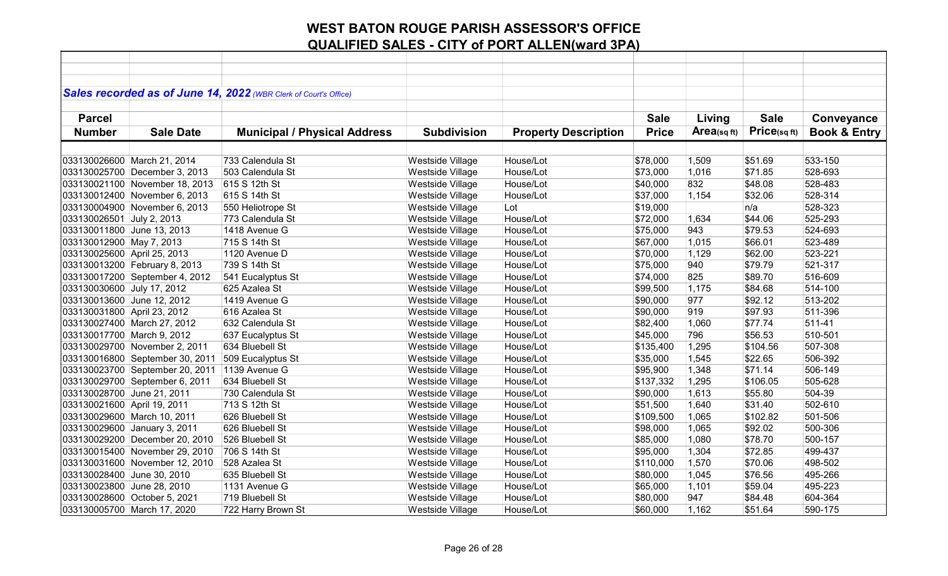| Sales recorded as of June 14, 2022 (WBR Clerk of Court's Office)                                                                                             |                                        |
|--------------------------------------------------------------------------------------------------------------------------------------------------------------|----------------------------------------|
|                                                                                                                                                              |                                        |
| <b>Parcel</b><br><b>Sale</b><br>Living                                                                                                                       | <b>Sale</b><br>Conveyance              |
| Area(sq ft)<br><b>Price</b><br><b>Number</b><br><b>Sale Date</b><br><b>Municipal / Physical Address</b><br><b>Subdivision</b><br><b>Property Description</b> | Price(sqft)<br><b>Book &amp; Entry</b> |
|                                                                                                                                                              |                                        |
|                                                                                                                                                              |                                        |
| 733 Calendula St<br>House/Lot<br>\$51.69<br>033130026600 March 21, 2014<br>Westside Village<br>\$78,000<br>1,509                                             | 533-150                                |
| 503 Calendula St<br>Westside Village<br>House/Lot<br>\$71.85<br>033130025700 December 3, 2013<br>\$73,000<br>1,016                                           | 528-693                                |
| 615 S 12th St<br>832<br>033130021100 November 18, 2013<br>Westside Village<br>House/Lot<br>\$40,000<br>\$48.08                                               | 528-483                                |
| 033130012400 November 6, 2013<br>615 S 14th St<br>Westside Village<br>House/Lot<br>\$37,000<br>1,154<br>\$32.06                                              | 528-314                                |
| 033130004900 November 6, 2013<br>Lot<br>550 Heliotrope St<br>Westside Village<br>\$19,000<br>n/a                                                             | 528-323                                |
| House/Lot<br>033130026501 July 2, 2013<br>773 Calendula St<br>Westside Village<br>\$72,000<br>1,634<br>\$44.06                                               | 525-293                                |
| 033130011800 June 13, 2013<br>1418 Avenue G<br>Westside Village<br>House/Lot<br>\$75,000<br>943<br>\$79.53                                                   | 524-693                                |
| 033130012900 May 7, 2013<br>715 S 14th St<br>Westside Village<br>House/Lot<br>\$67,000<br>1,015<br>\$66.01                                                   | 523-489                                |
| \$62.00<br>1120 Avenue D<br><b>Westside Village</b><br>House/Lot<br>\$70,000<br>1,129<br>033130025600 April 25, 2013                                         | 523-221                                |
| 033130013200 February 8, 2013<br>739 S 14th St<br>Westside Village<br>House/Lot<br>940<br>\$79.79<br>\$75,000                                                | 521-317                                |
| Westside Village<br>House/Lot<br>825<br>\$89.70<br>033130017200 September 4, 2012<br>541 Eucalyptus St<br>\$74,000                                           | 516-609                                |
| Westside Village<br>\$84.68<br>033130030600 July 17, 2012<br>625 Azalea St<br>House/Lot<br>\$99,500<br>1,175                                                 | 514-100                                |
| Westside Village<br>House/Lot<br>977<br>\$92.12<br>033130013600 June 12, 2012<br>1419 Avenue G<br>\$90,000                                                   | 513-202                                |
| 919<br>\$97.93<br>033130031800 April 23, 2012<br>616 Azalea St<br>Westside Village<br>House/Lot<br>\$90,000                                                  | 511-396                                |
| 632 Calendula St<br>House/Lot<br>\$77.74<br>033130027400 March 27, 2012<br>Westside Village<br>1,060<br>\$82,400                                             | 511-41                                 |
| 796<br>\$56.53<br>033130017700 March 9, 2012<br>637 Eucalyptus St<br>Westside Village<br>House/Lot<br>\$45,000                                               | 510-501                                |
| \$104.56<br>033130029700 November 2, 2011<br>634 Bluebell St<br>Westside Village<br>House/Lot<br>1,295<br>\$135,400                                          | 507-308                                |
| 033130016800 September 30, 2011<br>509 Eucalyptus St<br>Westside Village<br>House/Lot<br>\$35,000<br>1,545<br>\$22.65                                        | 506-392                                |
| 033130023700 September 20, 2011<br>Westside Village<br>House/Lot<br>1,348<br>\$71.14<br>1139 Avenue G<br>\$95,900                                            | 506-149                                |
| 033130029700 September 6, 2011<br>634 Bluebell St<br>Westside Village<br>House/Lot<br>\$106.05<br>\$137,332<br>1,295                                         | 505-628                                |
| Westside Village<br>House/Lot<br>\$55.80<br>033130028700 June 21, 2011<br>730 Calendula St<br>\$90,000<br>1,613                                              | 504-39                                 |
| 033130021600 April 19, 2011<br>713 S 12th St<br>Westside Village<br>House/Lot<br>\$51,500<br>1,640<br>\$31.40                                                | 502-610                                |
| 033130029600 March 10, 2011<br>626 Bluebell St<br>Westside Village<br>House/Lot<br>1,065<br>\$102.82<br>\$109,500                                            | 501-506                                |
| House/Lot<br>\$92.02<br>033130029600 January 3, 2011<br>626 Bluebell St<br>Westside Village<br>\$98,000<br>1,065                                             | 500-306                                |
| House/Lot<br>1,080<br>\$78.70<br>033130029200 December 20, 2010<br>526 Bluebell St<br>Westside Village<br>\$85,000                                           | 500-157                                |
| \$72.85<br>033130015400 November 29, 2010<br>706 S 14th St<br>Westside Village<br>House/Lot<br>\$95,000<br>1,304                                             | 499-437                                |
| 033130031600 November 12, 2010<br>528 Azalea St<br>Westside Village<br>House/Lot<br>1,570<br>\$70.06<br>\$110,000                                            | 498-502                                |
| 033130028400 June 30, 2010<br>Westside Village<br>House/Lot<br>\$76.56<br>635 Bluebell St<br>\$80,000<br>1,045                                               | 495-266                                |
| 033130023800 June 28, 2010<br>Westside Village<br>House/Lot<br>\$59.04<br>1131 Avenue G<br>\$65,000<br>1,101                                                 | 495-223                                |
| Westside Village<br>947<br>033130028600 October 5, 2021<br>719 Bluebell St<br>House/Lot<br>\$80,000<br>\$84.48                                               | 604-364                                |
| 033130005700 March 17, 2020<br>Westside Village<br>House/Lot<br>\$60,000<br>\$51.64<br>722 Harry Brown St<br>1,162                                           | 590-175                                |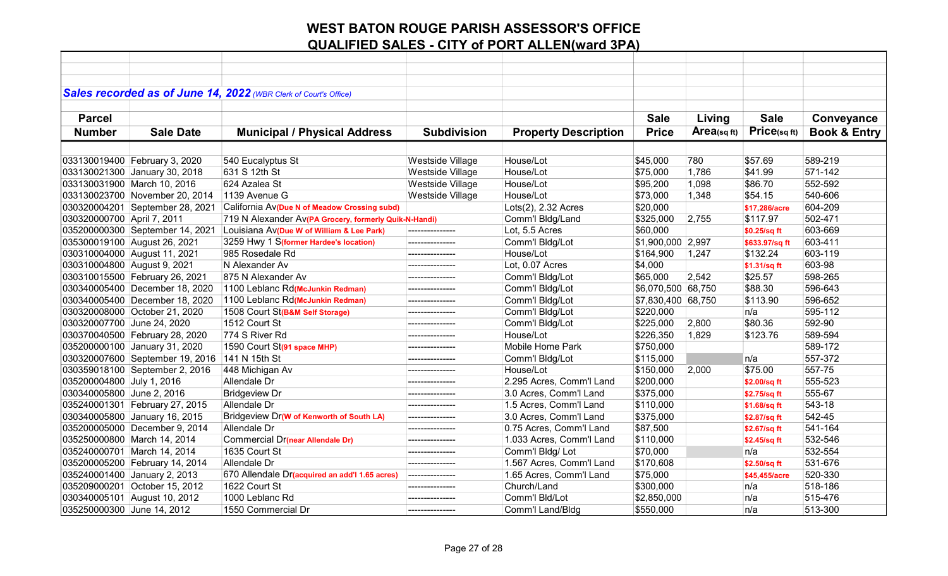| Sales recorded as of June 14, 2022 (WBR Clerk of Court's Office) |                                 |                                                       |                    |                             |                    |            |                |                         |
|------------------------------------------------------------------|---------------------------------|-------------------------------------------------------|--------------------|-----------------------------|--------------------|------------|----------------|-------------------------|
|                                                                  |                                 |                                                       |                    |                             |                    |            |                |                         |
| <b>Parcel</b>                                                    |                                 |                                                       |                    |                             | <b>Sale</b>        | Living     | <b>Sale</b>    | Conveyance              |
| <b>Number</b>                                                    | <b>Sale Date</b>                | <b>Municipal / Physical Address</b>                   | <b>Subdivision</b> | <b>Property Description</b> | <b>Price</b>       | Area(sqft) | Price(sqft)    | <b>Book &amp; Entry</b> |
|                                                                  |                                 |                                                       |                    |                             |                    |            |                |                         |
|                                                                  | 033130019400 February 3, 2020   | 540 Eucalyptus St                                     | Westside Village   | House/Lot                   | \$45,000           | 780        | \$57.69        | 589-219                 |
|                                                                  | 033130021300 January 30, 2018   | 631 S 12th St                                         | Westside Village   | House/Lot                   | \$75,000           | 1,786      | \$41.99        | 571-142                 |
|                                                                  | 033130031900 March 10, 2016     | 624 Azalea St                                         | Westside Village   | House/Lot                   | \$95,200           | 1,098      | \$86.70        | 552-592                 |
|                                                                  | 033130023700 November 20, 2014  | 1139 Avenue G                                         | Westside Village   | House/Lot                   | \$73,000           | 1,348      | \$54.15        | 540-606                 |
|                                                                  | 030320004201 September 28, 2021 | California Av(Due N of Meadow Crossing subd)          |                    | Lots(2), 2.32 Acres         | \$20,000           |            | \$17,286/acre  | 604-209                 |
| 030320000700 April 7, 2011                                       |                                 | 719 N Alexander Av(PA Grocery, formerly Quik-N-Handi) |                    | Comm'l Bldg/Land            | \$325,000          | 2,755      | \$117.97       | 502-471                 |
|                                                                  | 035200000300 September 14, 2021 | Louisiana Av(Due W of William & Lee Park)             | ---------------    | Lot, 5.5 Acres              | \$60,000           |            | \$0.25/sq ft   | 603-669                 |
|                                                                  | 035300019100 August 26, 2021    | 3259 Hwy 1 S(former Hardee's location)                | ---------------    | Comm'l Bldg/Lot             | \$1,900,000 2,997  |            | \$633.97/sq ft | 603-411                 |
|                                                                  | 030310004000 August 11, 2021    | 985 Rosedale Rd                                       | ---------------    | House/Lot                   | \$164,900          | 1,247      | \$132.24       | 603-119                 |
| 030310004800 August 9, 2021                                      |                                 | N Alexander Av                                        | ---------------    | Lot, 0.07 Acres             | \$4,000            |            | \$1.31/sq ft   | 603-98                  |
|                                                                  | 030310015500 February 26, 2021  | 875 N Alexander Av                                    | ---------------    | Comm'l Bldg/Lot             | \$65,000           | 2,542      | \$25.57        | 598-265                 |
|                                                                  | 030340005400 December 18, 2020  | 1100 Leblanc Rd(McJunkin Redman)                      | ---------------    | Comm'l Bldg/Lot             | \$6,070,500 68,750 |            | \$88.30        | 596-643                 |
|                                                                  | 030340005400 December 18, 2020  | 1100 Leblanc Rd(McJunkin Redman)                      | ---------------    | Comm'l Bldg/Lot             | \$7,830,400 68,750 |            | \$113.90       | 596-652                 |
|                                                                  | 030320008000 October 21, 2020   | 1508 Court St(B&M Self Storage)                       | ---------------    | Comm'l Bldg/Lot             | \$220,000          |            | n/a            | 595-112                 |
| 030320007700 June 24, 2020                                       |                                 | 1512 Court St                                         | ---------------    | Comm'l Bldg/Lot             | \$225,000          | 2,800      | \$80.36        | 592-90                  |
|                                                                  | 030370040500 February 28, 2020  | 774 S River Rd                                        | ---------------    | House/Lot                   | \$226,350          | 1,829      | \$123.76       | 589-594                 |
|                                                                  | 035200000100 January 31, 2020   | 1590 Court St(91 space MHP)                           | ---------------    | Mobile Home Park            | \$750,000          |            |                | 589-172                 |
|                                                                  | 030320007600 September 19, 2016 | 141 N 15th St                                         |                    | Comm'l Bldg/Lot             | \$115,000          |            | n/a            | 557-372                 |
|                                                                  | 030359018100 September 2, 2016  | 448 Michigan Av                                       |                    | House/Lot                   | \$150,000          | 2,000      | \$75.00        | 557-75                  |
| 035200004800 July 1, 2016                                        |                                 | Allendale Dr                                          |                    | 2.295 Acres, Comm'l Land    | \$200,000          |            | \$2.00/sq ft   | 555-523                 |
| 030340005800 June 2, 2016                                        |                                 | <b>Bridgeview Dr</b>                                  |                    | 3.0 Acres, Comm'l Land      | \$375,000          |            | \$2.75/sq ft   | 555-67                  |
|                                                                  | 035240001301 February 27, 2015  | Allendale Dr                                          | ---------------    | 1.5 Acres, Comm'l Land      | \$110,000          |            | \$1.68/sq ft   | 543-18                  |
|                                                                  | 030340005800 January 16, 2015   | Bridgeview Dr(W of Kenworth of South LA)              | ---------------    | 3.0 Acres, Comm'l Land      | \$375,000          |            | \$2.87/sq ft   | 542-45                  |
|                                                                  | 035200005000 December 9, 2014   | Allendale Dr                                          | ---------------    | 0.75 Acres, Comm'l Land     | \$87,500           |            | \$2.67/sq ft   | 541-164                 |
|                                                                  | 035250000800 March 14, 2014     | Commercial Dr(near Allendale Dr)                      | ---------------    | 1.033 Acres, Comm'l Land    | \$110,000          |            | \$2.45/sq ft   | 532-546                 |
|                                                                  | 035240000701 March 14, 2014     | 1635 Court St                                         | ---------------    | Comm'l Bldg/ Lot            | \$70,000           |            | n/a            | 532-554                 |
|                                                                  | 035200005200 February 14, 2014  | Allendale Dr                                          | ---------------    | 1.567 Acres, Comm'l Land    | \$170,608          |            | \$2.50/sq ft   | 531-676                 |
|                                                                  | 035240001400 January 2, 2013    | 670 Allendale Dr(acquired an add'l 1.65 acres)        | ---------------    | 1.65 Acres, Comm'l Land     | \$75,000           |            | \$45,455/acre  | 520-330                 |
|                                                                  | 035209000201 October 15, 2012   | 1622 Court St                                         | ---------------    | Church/Land                 | \$300,000          |            | n/a            | 518-186                 |
|                                                                  | 030340005101 August 10, 2012    | 1000 Leblanc Rd                                       | ---------------    | Comm'l Bld/Lot              | \$2,850,000        |            | n/a            | 515-476                 |
| 035250000300 June 14, 2012                                       |                                 | 1550 Commercial Dr                                    | ---------------    | Comm'l Land/Bldg            | \$550,000          |            | n/a            | 513-300                 |